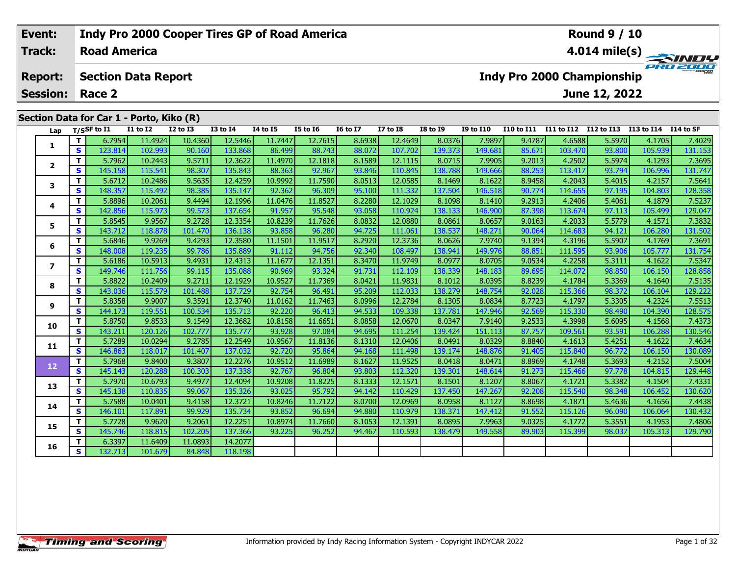# **Event:Round 9 / 10 Indy Pro 2000 Cooper Tires GP of Road America Track:Road America4.014 mile(s)** PRO ZOO **Report: Section Data Report Indy Pro 2000 Championship June 12, 2022 Session: Race 2 Section Data for Car 1 - Porto, Kiko (R)** Lap T/S<sup>SF</sup> to I1 I1 to I2 I2 to I3 I3 to I4 I4 to I5 I5 to I6 I6 to I7 I7 to I8 I8 to I9 I9 to I10 I10 to I11 I11 to I12 I12 to I13 I13 to I14 I14 to SF 1 | T | 6.7954 11.4924 10.4360 12.5446 11.7447 12.7615 8.6938 12.4649 8.0376 7.9897 9.4787 4.6588 5.5970 4.1705 7.4029<br>1 | S | 123.814 102.993 90.160 133.868 86.499 88.743 88.072 107.702 139.373 149.681 85.671 103.470 93.8 **1**2 | T | 5.7962| 10.2443| 9.5711| 12.3622| 11.4970| 12.1818| 8.1589| 12.1115| 8.0715| 7.9905| 9.2013| 4.2502| 5.5974| 4.1293| 7.3695<br>| S | 145.158| 115.541| 98.307| 135.843| 88.363| 92.967| 93.846| 110.845| 138.788| 149.666 **23**

| $\mathbf{2}$ | T.       | 5.7962  | 10.2443 | 9.5711  | 12.3622 | 11.4970 | 12.1818 | 8.1589 | 12.1115 | 8.0715  | 7.9905  | 9.2013 | 4.2502  | 5.59741 | 4.12931 | 7.3695  |
|--------------|----------|---------|---------|---------|---------|---------|---------|--------|---------|---------|---------|--------|---------|---------|---------|---------|
|              | <b>S</b> | 145.158 | 115.541 | 98.307  | 135.843 | 88.363  | 92.967  | 93.846 | 110.845 | 138.788 | 149.666 | 88.253 | 113.417 | 93.794  | 106.996 | 131.747 |
| 3            | т        | 5.6712  | 10.2486 | 9.5635  | 12.4259 | 10.9992 | 11.7590 | 8.0513 | 12.0585 | 8.1469  | 8.1622  | 8.9458 | 4.2043  | 5.4015  | 4.2157  | 7.5641  |
|              | S        | 148.357 | 115.492 | 98.385  | 135.147 | 92.362  | 96.309  | 95.100 | 111.332 | 137.504 | 146.518 | 90.774 | 114.655 | 97.195  | 104.803 | 128.358 |
| 4            | т        | 5.8896  | 10.2061 | 9.4494  | 12.1996 | 11.0476 | 11.8527 | 8.2280 | 12.1029 | 8.1098  | 8.1410  | 9.2913 | 4.2406  | 5.4061  | 4.1879  | 7.5237  |
|              | S        | 142.856 | 115.973 | 99.573  | 137.654 | 91.957  | 95.548  | 93.058 | 110.924 | 138.133 | 146.900 | 87.398 | 113.674 | 97.113  | 105.499 | 129.047 |
| 5            | T.       | 5.8545  | 9.9567  | 9.2728  | 12.3354 | 10.8239 | 11.7626 | 8.0832 | 12.0880 | 8.0861  | 8.0657  | 9.0163 | 4.2033  | 5.5779  | 4.1571  | 7.3832  |
|              | S        | 143.712 | 118.878 | 101.470 | 136.138 | 93.858  | 96.280  | 94.725 | 111.061 | 138.537 | 148.271 | 90.064 | 114.683 | 94.121  | 106.280 | 131.502 |
| 6            | т        | 5.6846  | 9.9269  | 9.4293  | 12.3580 | 11.1501 | 11.9517 | 8.2920 | 12.3736 | 8.0626  | 7.9740  | 9.1394 | 4.3196  | 5.5907  | 4.1769  | 7.3691  |
|              | <b>S</b> | 148.008 | 119.235 | 99.786  | 135.889 | 91.112  | 94.756  | 92.340 | 108.497 | 138.941 | 149.976 | 88.851 | 111.595 | 93.906  | 105.777 | 131.754 |
| 7            | T.       | 5.6186  | 10.5913 | 9.4931  | 12.4313 | 11.1677 | 12.1351 | 8.3470 | 11.9749 | 8.0977  | 8.0705  | 9.0534 | 4.2258  | 5.3111  | 4.1622  | 7.5347  |
|              | <b>S</b> | 149.746 | 111.756 | 99.115  | 135.088 | 90.969  | 93.324  | 91.731 | 112.109 | 138.339 | 148.183 | 89.695 | 114.072 | 98.850  | 106.150 | 128.858 |
| 8            | т        | 5.8822  | 10.2409 | 9.2711  | 12.1929 | 10.9527 | 11.7369 | 8.0421 | 11.9831 | 8.1012  | 8.0395  | 8.8239 | 4.1784  | 5.3369  | 4.1640  | 7.5135  |
|              | <b>S</b> | 143.036 | 115.579 | 101.488 | 137.729 | 92.754  | 96.491  | 95.209 | 112.033 | 138.279 | 148.754 | 92.028 | 115.366 | 98.372  | 106.104 | 129.222 |
| 9            | T.       | 5.8358  | 9.9007  | 9.3591  | 12.3740 | 11.0162 | 11.7463 | 8.0996 | 12.2784 | 8.1305  | 8.0834  | 8.7723 | 4.1797  | 5.3305  | 4.2324  | 7.5513  |
|              | S        | 144.173 | 119.551 | 100.534 | 135.713 | 92.220  | 96.413  | 94.533 | 109.338 | 137.781 | 147.946 | 92.569 | 115.330 | 98.490  | 104.390 | 128.575 |
| 10           | T.       | 5.8750  | 9.8533  | 9.1549  | 12.3682 | 10.8158 | 11.6651 | 8.0858 | 12.0670 | 8.0347  | 7.9140  | 9.2533 | 4.3998  | 5.6095  | 4.1568  | 7.4373  |
|              | <b>S</b> | 143.211 | 120.126 | 102.777 | 135.777 | 93.928  | 97.084  | 94.695 | 111.254 | 139.424 | 151.113 | 87.757 | 109.561 | 93.591  | 106.288 | 130.546 |
| 11           | T.       | 5.7289  | 10.0294 | 9.2785  | 12.2549 | 10.9567 | 11.8136 | 8.1310 | 12.0406 | 8.0491  | 8.0329  | 8.8840 | 4.1613  | 5.4251  | 4.1622  | 7.4634  |
|              | S        | 146.863 | 118.017 | 101.407 | 137.032 | 92.720  | 95.864  | 94.168 | 111.498 | 139.174 | 148.876 | 91.405 | 115.840 | 96.772  | 106.150 | 130.089 |
| 12           | T.       | 5.7968  | 9.8400  | 9.3807  | 12.2276 | 10.9512 | 11.6989 | 8.1627 | 11.9525 | 8.0418  | 8.0471  | 8.8969 | 4.1748  | 5.3693  | 4.2152  | 7.5004  |
|              | <b>S</b> | 145.143 | 120.288 | 100.303 | 137.338 | 92.767  | 96.804  | 93.803 | 112.320 | 139.301 | 148.614 | 91.273 | 115.466 | 97.778  | 104.815 | 129.448 |
| 13           | T.       | 5.7970  | 10.6793 | 9.4977  | 12.4094 | 10.9208 | 11.8225 | 8.1333 | 12.1571 | 8.1501  | 8.1207  | 8.8067 | 4.1721  | 5.3382  | 4.1504  | 7.4331  |
|              | <b>S</b> | 145.138 | 110.835 | 99.067  | 135.326 | 93.025  | 95.792  | 94.142 | 110.429 | 137.450 | 147.267 | 92.208 | 115.540 | 98.348  | 106.452 | 130.620 |
| 14           | T.       | 5.7588  | 10.0401 | 9.4158  | 12.3721 | 10.8246 | 11.7122 | 8.0700 | 12.0969 | 8.0958  | 8.1127  | 8.8698 | 4.1871  | 5.4636  | 4.1656  | 7.4438  |
|              | <b>S</b> | 146.101 | 117.891 | 99.929  | 135.734 | 93.852  | 96.694  | 94.880 | 110.979 | 138.371 | 147.412 | 91.552 | 115.126 | 96.090  | 106.064 | 130.432 |
| 15           | T.       | 5.7728  | 9.9620  | 9.2061  | 12.2251 | 10.8974 | 11.7660 | 8.1053 | 12.1391 | 8.0895  | 7.9963  | 9.0325 | 4.1772  | 5.3551  | 4.1953  | 7.4806  |
|              | S        | 145.746 | 118.815 | 102.205 | 137.366 | 93.225  | 96.252  | 94.467 | 110.593 | 138.479 | 149.558 | 89.903 | 115.399 | 98.037  | 105.313 | 129.790 |
| 16           | T.       | 6.3397  | 11.6409 | 11.0893 | 14.2077 |         |         |        |         |         |         |        |         |         |         |         |
|              | S        | 132.713 | 101.679 | 84.848  | 118.198 |         |         |        |         |         |         |        |         |         |         |         |
|              |          |         |         |         |         |         |         |        |         |         |         |        |         |         |         |         |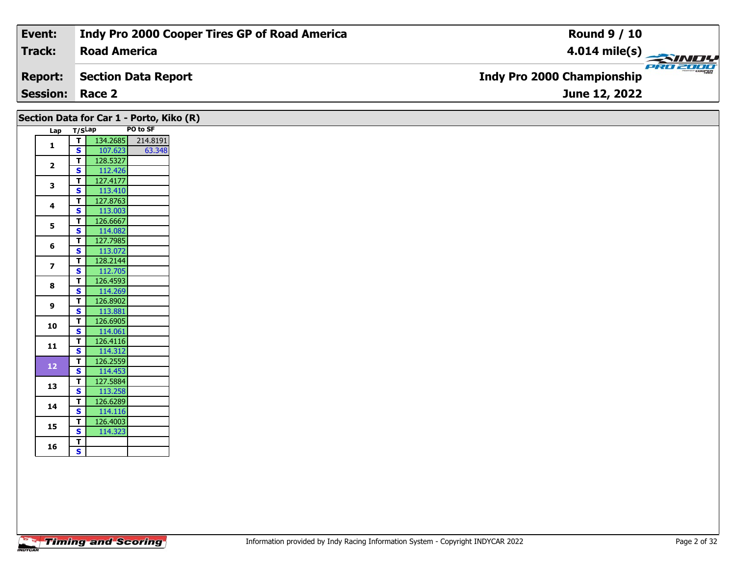| $\frac{4.014 \text{ mile(s)}}{4.014 \text{ miles}}$ |
|-----------------------------------------------------|
| <b>Indy Pro 2000 Championship</b>                   |
| June 12, 2022                                       |
|                                                     |

|                          |                         | Section Data for Car 1 - Porto, Kiko (R) |          |
|--------------------------|-------------------------|------------------------------------------|----------|
| Lap                      | T/SLap                  |                                          | PO to SF |
| $\mathbf{1}$             | T                       | 134.2685                                 | 214.8191 |
|                          | $\mathbf{s}$            | 107.623                                  | 63.348   |
| $\overline{2}$           | T                       | 128.5327                                 |          |
|                          | $\mathbf{s}$            | 112.426                                  |          |
| 3                        | $\overline{\mathsf{r}}$ | 127.4177                                 |          |
|                          | $\mathbf{s}$            | 113.410                                  |          |
| 4                        | T                       | 127.8763                                 |          |
|                          | $\mathbf{s}$            | 113.003                                  |          |
| 5                        | T                       | 126.6667                                 |          |
|                          | $\mathbf{s}$            | 114.082                                  |          |
| 6                        | T                       | 127.7985                                 |          |
|                          | $\mathbf{s}$            | 113.072                                  |          |
| $\overline{\phantom{a}}$ | T                       | 128.2144                                 |          |
|                          | $\mathbf{s}$            | 112.705                                  |          |
| 8                        | $\overline{\mathsf{r}}$ | 126.4593                                 |          |
|                          | $\mathbf{s}$            | 114.269                                  |          |
| 9                        | T                       | 126.8902                                 |          |
|                          | $\mathbf{s}$            | 113.881                                  |          |
| 10                       | T                       | 126.6905                                 |          |
|                          | $\mathbf{s}$            | 114.061                                  |          |
| 11                       | T                       | 126.4116                                 |          |
|                          | $\mathbf{s}$            | 114.312                                  |          |
|                          | T                       | 126.2559                                 |          |
| 12                       | $\mathbf{s}$            | 114.453                                  |          |
| 13                       | $\overline{\mathsf{r}}$ | 127.5884                                 |          |
|                          | $\mathbf{s}$            | 113.258                                  |          |
|                          | T                       | 126.6289                                 |          |
| 14                       | $\mathbf s$             | 114.116                                  |          |
|                          | T                       | 126.4003                                 |          |
| 15                       | $\mathbf{s}$            | 114.323                                  |          |
|                          | T                       |                                          |          |
| 16                       | S                       |                                          |          |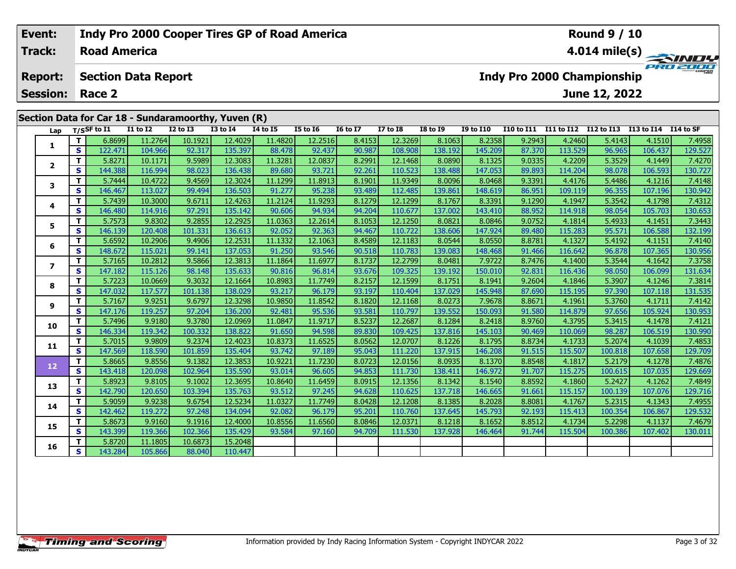| Event:          |    |                     |                            | Indy Pro 2000 Cooper Tires GP of Road America       |                 |          |                 |                 |                 |                 |                      |                   |            | <b>Round 9 / 10</b>        |             |                         |
|-----------------|----|---------------------|----------------------------|-----------------------------------------------------|-----------------|----------|-----------------|-----------------|-----------------|-----------------|----------------------|-------------------|------------|----------------------------|-------------|-------------------------|
| <b>Track:</b>   |    | <b>Road America</b> |                            |                                                     |                 |          |                 |                 |                 |                 |                      |                   |            |                            |             | $4.014 \text{ mile(s)}$ |
| <b>Report:</b>  |    |                     | <b>Section Data Report</b> |                                                     |                 |          |                 |                 |                 |                 |                      |                   |            | Indy Pro 2000 Championship |             | PRO 2000                |
| <b>Session:</b> |    | Race 2              |                            |                                                     |                 |          |                 |                 |                 |                 |                      |                   |            | June 12, 2022              |             |                         |
|                 |    |                     |                            | Section Data for Car 18 - Sundaramoorthy, Yuven (R) |                 |          |                 |                 |                 |                 |                      |                   |            |                            |             |                         |
| Lap             |    | T/SSF to I1         | <b>I1 to I2</b>            | <b>I2 to I3</b>                                     | <b>I3 to I4</b> | 14 to 15 | <b>I5 to 16</b> | <b>16 to 17</b> | <b>I7 to I8</b> | <b>I8 to I9</b> | <b>I9 to I10</b>     | <b>I10 to I11</b> | I11 to I12 | I12 to I13                 | I13 to I14  | I 14 to SF              |
|                 |    | 6.8699              | 11.2764                    | 10.1921                                             | 12.4029         | 11.4820  | 12.2516         | 8.4153          | 12.3269         | 8.1063          | 8.2358               | 9.2943            | 4.2460     | 5.4143                     | 4.1510      | 7.4958                  |
|                 | S. | 122.471             | 104.966                    | 92.317                                              | 135.397         | 88.478   | 92.437          | 90.987          | 108.908         | 138.192         | 145.209              | 87.370            | 113.529    | 96.965                     | 106.437     | 129.527                 |
|                 |    | 5.8271              | 10.1171                    | 9.5989                                              | 12.3083         | 11.3281  | 12.0837         | 8.2991          | 12.14681        | 8.0890          | 8.1325               | 9.0335            | 4.2209     | 5.3529                     | 4.1449      | 7.4270                  |
|                 | S  | 144.388             | 116.994                    | 98.023                                              | 136.438         | 89.680   | 93.721          | 92.261          | 110.523         | 138.488         | 147.053              | 89.893            | 114.204    | 98.078                     | 106.593     | 130.727                 |
|                 |    | 5.7444              | 10.4722                    | 9.4569                                              | 12.3024         | 11.1299  | 11.8913         | 8.1901          | 11.9349         | 8.0096          | 8.0468               | 9.3391            | 4.4176     | 5.4486                     | 4.1216      | 7.4148                  |
|                 | S  | 146.467             | 113.027                    | 99.494                                              | 136.503         | 91.277   | 95.238          | 93.489          | 112.485         | 139.861         | 148.619              | 86.951            | 109.119    | 96.355                     | 107.196     | 130.942                 |
|                 |    | 5.7439              | 10.3000                    | 9.6711                                              | 12.4263         | 11.2124  | 11.9293         | 8.1279          | 12.1299         | 8.1767          | 8.3391               | 9.1290            | 4.1947     | 5.3542                     | 4.1798      | 7.4312                  |
|                 |    | $\overline{112}$    | . 1                        | 27.221                                              | $125 - 125$     | 00000    | 0.4021          | 0.4001          |                 | 12220           | $\sim$ $\sim$ $\sim$ | 00.05             | 11.010     | 0.0.001                    | $205 - 202$ | 12225                   |

94.204

8.1053

94.467

8.4589

90.518

8.1737

93.676

8.2157

93.197

8.1820

93.581

8.5237

89.83

8.0562

95.043

8.0723

94.853

8.0915

94.628

8.0428

95.201

8.0846

94.709

110.677

12.1250

110.722

12.1183

110.783

12.2799

109.325

12.1599

110.404

12.1168

110.797

12.2687

109.425

12.0707

111.22

12.0156

111.730

12.1356

110.625

12.1208

110.760

12.0371

111.530

137.002

8.0821

138,606

8.0544

139.083

8.0481

139.192

8.1751

137.029

8.0273

139.552

8.1284

137.816

8.1226

137.915

8.0935

138.411

8.1342

137.718

8.1385

137.645

8.1218

137.928

143.410

8.0846

147.924

8.0550

7.9722

150.010

8.1941

145.948

150.093

8.2418

145.103

8.1795

8.1370

146.972

8.1540

146.665

8.2028

145.793

8.1652

146.464

146.20

7.9678

148.468

88.952

9.0752

89.480

8.8781

91.466

8.7476

92.831

9.2604

87.690

8.8671

91.580

8.9760

90.469

8.8734

91.515

8.8548

91.707

8.8592

91.661

8.8081

92.193

8.8512

91.744

114.918

115.283

4.1327

116.642

116.436

115.19

114.879

110.069

115.50

115.275

4.1860

115.157

4.1767

115.413

4.1734

115.504

4.3795

4.1733

4.1817

4.1400

4.1846

4.1961

4.1814

98.054

5.4933

95.571

5.4192

96.878

5.3544

98.050

5.3907

97.390

5.3760

97.656

5.3415

98.287

5.2074

5.2179

100.615

 $5.2427$ 

100.139

5.2315

100.354

5.2298

100.386

100.818

105.703

4.1451

4.1151

107.365

106.099

107.118

4.1642

4.1246

4.1711

105.924

4.1478

106.519

4.1039

4.1278

107.658

107.035

4.1262

107.076

4.1343

106.867

4.1137

107.402

106.58

130.653

7.3443

132.199

7.4140

7.3758

131.634

7.3814

131.535

7.4142

130.953

7.4121

130.990

7.4853

129.709

7.4876

129,669

7.4849

129,716

7.4955

129.532

130.011

7.4679

130.956

#### T 5.8720 11.1805 10.6873 15.2048 16 S 143.28 105.866 88.04 110.447

 ${\bf S}$ 

T.

 $\mathbf{s}$ 

 $\mathbf{T}$ 

S

 $\mathbf T$ 

 $\overline{\mathbf{s}}$ 

T.

 $\overline{\mathbf{s}}$ 

T.

S

T

 $\overline{\mathbf{s}}$ 

 $\mathbf{T}$ 

 $\overline{\mathbf{s}}$ 

T.

 $\overline{\mathbf{s}}$ 

 $\mathbf{T}$ 

 $\overline{\mathbf{s}}$ 

T

 $\mathbf{s}$ 

T.

 $\mathbf{s}$ 

5

6

 $\overline{7}$ 

8

 $\mathbf{9}$ 

10

11

12

13

14

15

146.480

146.139

5.7573

5.6592

148.672

5.7165

5.7223

5.7167

147.176

5.7496

146.334

147.569

5.7015

5.8665

143.418

5.8923

5.9059

142.462

143.39

5.8673

142.790

147.182

147.032

114.916

120.408

10.2906

115.021

10.2812

115.126

10.0669

117.577

9.9251

119.257

9.9180

119.342

9.9809

9.8556

118.590

120.098

9.8105

120.650

9.9238

119.272

9.9160

119.366

9.8302

97.291

9.2855

101.331

9.4906

99.141

9.5866

98.148

9.3032

9.6797

97.204

9.3780

100.332

9.2374

9.1382

102.964

 $9.1002$ 

103.394

9.6754

97.248

9.1916

102.36

101.859

101.138

135.142

12.2925

136.613

12.2531

137.053

12.3813

135.633

12.1664

138.029

12.3298

136.20

12.0969

138.822

12.4023

135.404

12.3853

135.59

12.3695

135.763

12.5234

134.094

12,4000

135.429

90.606

11.0363

92.052

11.1332

91.250

11.1864

90.816

10.8983

93.217

10.9850

92.481

11.0847

91.650

10.8373

93.742

10.9221

93.014

10.8640

93.512

11.0327

92.082

10.8556

93.584

94.934

12.2614

92.363

12.1063

93.546

11.6977

96.814

11.7749

96.179

11.8542

95.536

11.9717

94.598

11.6525

97.189

11.7230

96.605

11.6459

97.245

11.7749

96.179

11.6560

97.160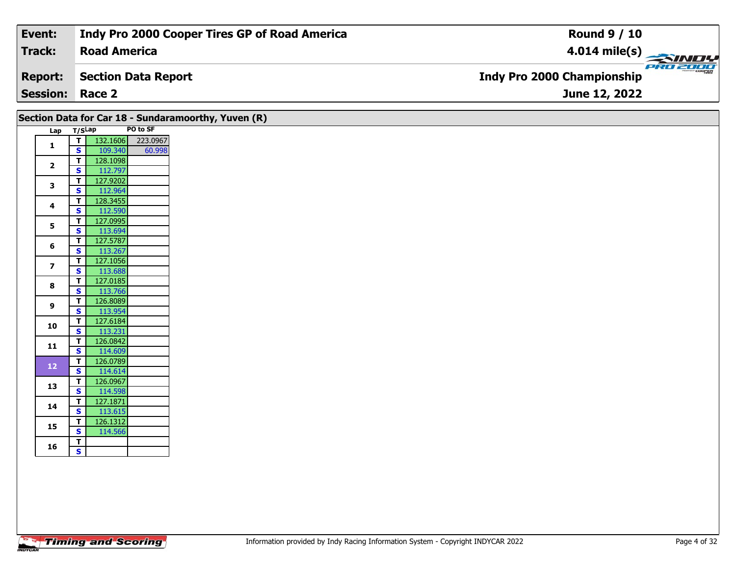| Event:                 | Indy Pro 2000 Cooper Tires GP of Road America | <b>Round 9 / 10</b>                           |
|------------------------|-----------------------------------------------|-----------------------------------------------|
| Track:                 | <b>Road America</b>                           | $4.014 \text{ mile(s)}$                       |
| <b>Report:</b>         | Section Data Report                           | PRO 200e<br><b>Indy Pro 2000 Championship</b> |
| <b>Session: Race 2</b> |                                               | June 12, 2022                                 |
|                        |                                               |                                               |

|                |        |          |          | Section Data for Car 18 - Sundaramoorthy, Yuven (R) |
|----------------|--------|----------|----------|-----------------------------------------------------|
| Lap            | T/SLap |          | PO to SF |                                                     |
| 1              | T      | 132.1606 | 223.0967 |                                                     |
|                | S      | 109.340  | 60.998   |                                                     |
| $\overline{2}$ | T      | 128.1098 |          |                                                     |
|                | S      | 112.797  |          |                                                     |
| 3              | T      | 127.9202 |          |                                                     |
|                | S      | 112.964  |          |                                                     |
| 4              | T      | 128.3455 |          |                                                     |
|                | S      | 112.590  |          |                                                     |
| 5              | T      | 127.0995 |          |                                                     |
|                | S      | 113.694  |          |                                                     |
| 6              | Т      | 127.5787 |          |                                                     |
|                | S      | 113.267  |          |                                                     |
| $\overline{ }$ | T      | 127.1056 |          |                                                     |
|                | S      | 113.688  |          |                                                     |
| 8              | T      | 127.0185 |          |                                                     |
|                | S      | 113.766  |          |                                                     |
| 9              | т      | 126.8089 |          |                                                     |
|                | S      | 113.954  |          |                                                     |
| 10             | T      | 127.6184 |          |                                                     |
|                | S      | 113.231  |          |                                                     |
| 11             | T      | 126.0842 |          |                                                     |
|                | S      | 114.609  |          |                                                     |
| 12             | T      | 126.0789 |          |                                                     |
|                | S      | 114.614  |          |                                                     |
| 13             | т      | 126.0967 |          |                                                     |
|                | S      | 114.598  |          |                                                     |
| 14             | T      | 127.1871 |          |                                                     |
|                | S      | 113.615  |          |                                                     |
| 15             | Т      | 126.1312 |          |                                                     |
|                | S      | 114.566  |          |                                                     |
| 16             | т      |          |          |                                                     |
|                | S      |          |          |                                                     |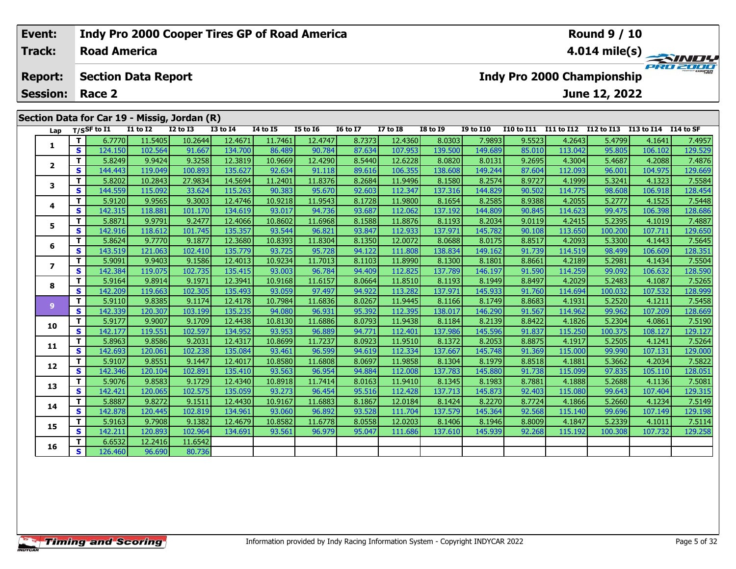#### Event: Indy Pro 2000 Cooper Tires GP of Road America **Round 9 / 10** Track: **Road America** 4.014 mile(s) PRO ZOO **Report: Section Data Report Indy Pro 2000 Championship Session: Race 2** June 12, 2022 Section Data for Car 19 - Missig, Jordan (R)  $\overline{T/SSF}$  to  $\overline{I1}$  $\overline{11}$  to  $\overline{12}$  $\overline{12}$  to  $\overline{13}$  $Lap$  $13$  to  $14$  $\overline{14}$  to  $\overline{15}$  $\overline{15}$  to  $\overline{16}$ **I6 to I7**  $\overline{17}$  to  $\overline{18}$  $18$  to  $19$ **I9 to I10** I10 to I11 I11 to I12 I12 to I13 I13 to I14 I14 to SF  $\mathbf{T}$ 6.7770 11.5405  $10.2644$ 12.4671 11.7461 12.4747 8.7373 12.4360 8.0303 7.9893 9.5523 4.2643 5.4799 4.1641 7.4957  $\blacksquare$

|                         | s | 124.150 | 102.564 | 91.667  | 134.700 | 86.489  | 90.784  | 87.634 | 107.953 | 139.500 | 149.689 | 85.010 | 113.042 | 95.805  | 106.102 | 129.529 |
|-------------------------|---|---------|---------|---------|---------|---------|---------|--------|---------|---------|---------|--------|---------|---------|---------|---------|
| $\mathbf{2}$            | т | 5.8249  | 9.9424  | 9.3258  | 12.3819 | 10.9669 | 12.4290 | 8.5440 | 12.6228 | 8.0820  | 8.0131  | 9.2695 | 4.3004  | 5.4687  | 4.2088  | 7.4876  |
|                         | S | 144.443 | 119.049 | 100.893 | 135.627 | 92.634  | 91.118  | 89.616 | 106.355 | 138.608 | 149.244 | 87.604 | 112.093 | 96.001  | 104.975 | 129.669 |
| 3                       | т | 5.8202  | 10.2843 | 27.9834 | 14.5694 | 11.2401 | 11.8376 | 8.2684 | 11.9496 | 8.1580  | 8.2574  | 8.9727 | 4.1999  | 5.3241  | 4.1323  | 7.5584  |
|                         | S | 144.559 | 115.092 | 33.624  | 115.263 | 90.383  | 95.670  | 92.603 | 112.347 | 137.316 | 144.829 | 90.502 | 114.775 | 98.608  | 106.918 | 128.454 |
| 4                       | т | 5.9120  | 9.9565  | 9.3003  | 12.4746 | 10.9218 | 11.9543 | 8.1728 | 11.9800 | 8.1654  | 8.2585  | 8.9388 | 4.2055  | 5.2777  | 4.1525  | 7.5448  |
|                         | S | 142.315 | 118.881 | 101.170 | 134.619 | 93.017  | 94.736  | 93.687 | 112.062 | 137.192 | 144.809 | 90.845 | 114.623 | 99.475  | 106.398 | 128.686 |
| 5                       | т | 5.8871  | 9.9791  | 9.2477  | 12.4066 | 10.8602 | 11.6968 | 8.1588 | 11.8876 | 8.1193  | 8.2034  | 9.0119 | 4.2415  | 5.2395  | 4.1019  | 7.4887  |
|                         | S | 142.916 | 118.612 | 101.745 | 135.357 | 93.544  | 96.821  | 93.847 | 112.933 | 137.971 | 145.782 | 90.108 | 113.650 | 100.200 | 107.711 | 129.650 |
| 6                       | т | 5.8624  | 9.7770  | 9.1877  | 12.3680 | 10.8393 | 11.8304 | 8.1350 | 12.0072 | 8.0688  | 8.0175  | 8.8517 | 4.2093  | 5.3300  | 4.1443  | 7.5645  |
|                         | S | 143.519 | 121.063 | 102.410 | 135.779 | 93.725  | 95.728  | 94.122 | 111.808 | 138.834 | 149.162 | 91.739 | 114.519 | 98.499  | 106.609 | 128.351 |
| $\overline{\mathbf{z}}$ | т | 5.9091  | 9.9403  | 9.1586  | 12.4013 | 10.9234 | 11.7013 | 8.1103 | 11.8990 | 8.1300  | 8.1801  | 8.8661 | 4.2189  | 5.2981  | 4.1434  | 7.5504  |
|                         | S | 142.384 | 119.075 | 102.735 | 135.415 | 93.003  | 96.784  | 94.409 | 112.825 | 137.789 | 146.197 | 91.590 | 114.259 | 99.092  | 106.632 | 128.590 |
| 8                       | т | 5.9164  | 9.8914  | 9.1971  | 12.3941 | 10.9168 | 11.6157 | 8.0664 | 11.8510 | 8.1193  | 8.1949  | 8.8497 | 4.2029  | 5.2483  | 4.1087  | 7.5265  |
|                         | S | 142.209 | 119.663 | 102.305 | 135.493 | 93.059  | 97.497  | 94.922 | 113.282 | 137.971 | 145.933 | 91.760 | 114.694 | 100.032 | 107.532 | 128.999 |
| 9                       | т | 5.9110  | 9.8385  | 9.1174  | 12.4178 | 10.7984 | 11.6836 | 8.0267 | 11.9445 | 8.1166  | 8.1749  | 8.8683 | 4.1931  | 5.2520  | 4.1211  | 7.5458  |
|                         | S | 142.339 | 120.307 | 103.199 | 135.235 | 94.080  | 96.931  | 95.392 | 112.395 | 138.017 | 146.290 | 91.567 | 114.962 | 99.962  | 107.209 | 128.669 |
| 10                      | т | 5.9177  | 9.9007  | 9.1709  | 12.4438 | 10.8130 | 11.6886 | 8.0793 | 11.9438 | 8.1184  | 8.2139  | 8.8422 | 4.1826  | 5.2304  | 4.0861  | 7.5190  |
|                         | S | 142.177 | 119.551 | 102.597 | 134.952 | 93.953  | 96.889  | 94.771 | 112.401 | 137.986 | 145.596 | 91.837 | 115.250 | 100.375 | 108.127 | 129.127 |
| 11                      | т | 5.8963  | 9.8586  | 9.2031  | 12.4317 | 10.8699 | 11.7237 | 8.0923 | 11.9510 | 8.1372  | 8.2053  | 8.8875 | 4.1917  | 5.2505  | 4.1241  | 7.5264  |
|                         | S | 142.693 | 120.061 | 102.238 | 135.084 | 93.461  | 96.599  | 94.619 | 112.334 | 137.667 | 145.748 | 91.369 | 115.000 | 99.990  | 107.131 | 129.000 |
| 12                      | Т | 5.9107  | 9.8551  | 9.1447  | 12.4017 | 10.8580 | 11.6808 | 8.0697 | 11.9858 | 8.1304  | 8.1979  | 8.8518 | 4.1881  | 5.3662  | 4.2034  | 7.5822  |
|                         | S | 142.346 | 120.104 | 102.891 | 135.410 | 93.563  | 96.954  | 94.884 | 112.008 | 137.783 | 145.880 | 91.738 | 115.099 | 97.835  | 105.110 | 128.051 |
| 13                      | т | 5.9076  | 9.8583  | 9.1729  | 12.4340 | 10.8918 | 11.7414 | 8.0163 | 11.9410 | 8.1345  | 8.1983  | 8.7881 | 4.1888  | 5.2688  | 4.1136  | 7.5081  |
|                         | S | 142.421 | 120.065 | 102.575 | 135.059 | 93.273  | 96.454  | 95.516 | 112.428 | 137.713 | 145.873 | 92.403 | 115.080 | 99.643  | 107.404 | 129.315 |
| 14                      | т | 5.8887  | 9.8272  | 9.1511  | 12.4430 | 10.9167 | 11.6883 | 8.1867 | 12.0184 | 8.1424  | 8.2270  | 8.7724 | 4.1866  | 5.2660  | 4.1234  | 7.5149  |
|                         | S | 142.878 | 120.445 | 102.819 | 134.961 | 93.060  | 96.892  | 93.528 | 111.704 | 137.579 | 145.364 | 92.568 | 115.140 | 99.696  | 107.149 | 129.198 |
| 15                      | т | 5.9163  | 9.7908  | 9.1382  | 12.4679 | 10.8582 | 11.6778 | 8.0558 | 12.0203 | 8.1406  | 8.1946  | 8.8009 | 4.1847  | 5.2339  | 4.1011  | 7.5114  |
|                         | S | 142.211 | 120.893 | 102.964 | 134.691 | 93.561  | 96.979  | 95.047 | 111.686 | 137.610 | 145.939 | 92.268 | 115.192 | 100.308 | 107.732 | 129.258 |
| 16                      | т | 6.6532  | 12.2416 | 11.6542 |         |         |         |        |         |         |         |        |         |         |         |         |
|                         | S | 126.460 | 96.690  | 80.736  |         |         |         |        |         |         |         |        |         |         |         |         |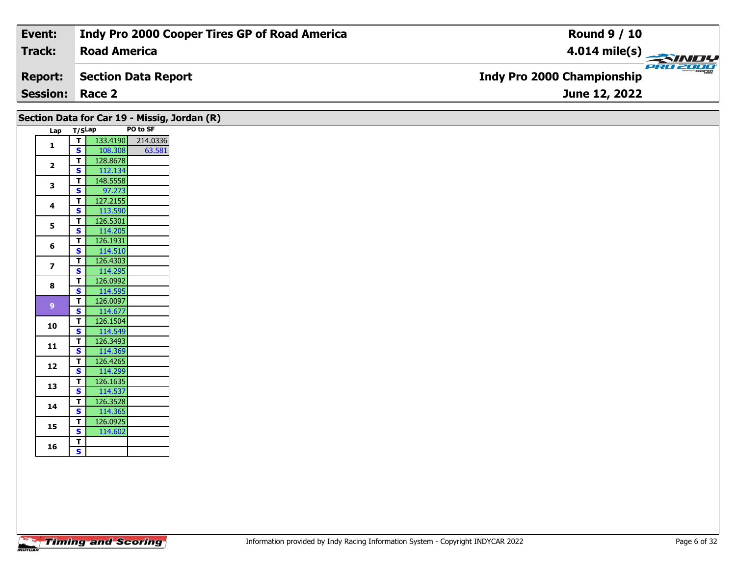| Event:                 | Indy Pro 2000 Cooper Tires GP of Road America | <b>Round 9 / 10</b>                           |
|------------------------|-----------------------------------------------|-----------------------------------------------|
| Track:                 | <b>Road America</b>                           | $4.014$ mile(s)                               |
| <b>Report:</b>         | Section Data Report                           | PRO 2000<br><b>Indy Pro 2000 Championship</b> |
| <b>Session: Race 2</b> |                                               | June 12, 2022                                 |

| Lap T/SLap              |                               |                     | PO to SF          |
|-------------------------|-------------------------------|---------------------|-------------------|
|                         | T                             |                     | 133.4190 214.0336 |
| $\mathbf{1}$            | $\mathsf{s}$                  | 108.308             | 63.581            |
| $\overline{2}$          | $\mathbf{T}$                  | 128.8678            |                   |
|                         | $\overline{\mathbf{s}}$       | 112.134             |                   |
| $\mathbf{3}$            | T.                            | 148.5558            |                   |
|                         | S                             | 97.273              |                   |
| $\overline{\mathbf{4}}$ | T.                            | 127.2155            |                   |
|                         | $\mathbf{s}$                  | 113.590             |                   |
| 5                       | $\mathbf T$                   | 126.5301            |                   |
|                         | S                             | 114.205             |                   |
| 6                       | T.                            | 126.1931            |                   |
|                         | $\overline{\mathbf{s}}$       | 114.510             |                   |
| $\overline{\mathbf{z}}$ | T.                            | 126.4303            |                   |
|                         | $\mathbf{s}$                  | 114.295             |                   |
| 8                       | $\overline{\mathsf{T}}$       | 126.0992            |                   |
|                         | $\overline{\mathbf{s}}$       | 114.595             |                   |
| 9 <sup>°</sup>          | $\mathbf{T}$                  | 126.0097            |                   |
|                         | $\mathbf{s}$                  | 114.677             |                   |
| 10                      | T.<br>$\overline{\mathbf{s}}$ | 126.1504            |                   |
|                         |                               | 114.549             |                   |
| $11$                    | T.<br>$\overline{\mathbf{s}}$ | 126.3493<br>114.369 |                   |
|                         | $\mathbf{T}$                  | 126.4265            |                   |
| 12                      | $\mathbf{s}$                  | 114.299             |                   |
|                         | T.                            | 126.1635            |                   |
| 13                      | $\overline{\mathbf{s}}$       | 114.537             |                   |
|                         | T.                            | 126.3528            |                   |
| 14                      | $\mathbf{s}$                  | 114.365             |                   |
|                         | T.                            | 126.0925            |                   |
| 15                      | $\overline{\mathbf{s}}$       | 114.602             |                   |
|                         | T.                            |                     |                   |
| 16                      |                               |                     |                   |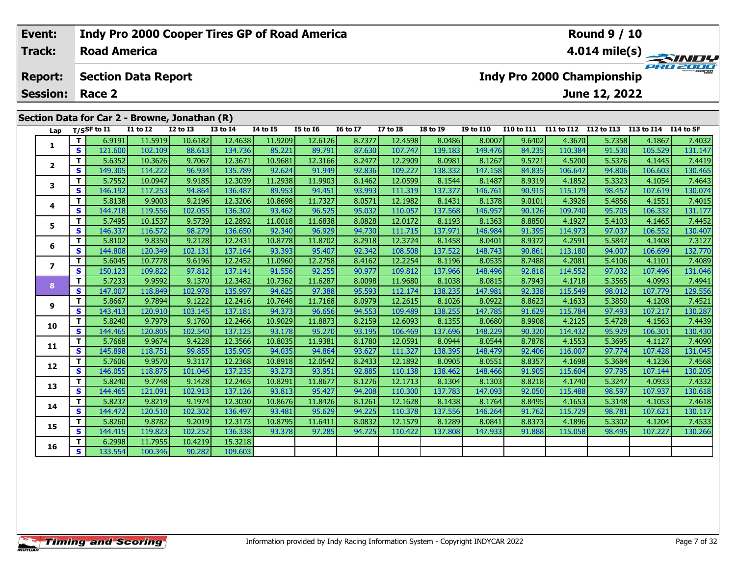### **Event: Indy Pro 2000 Cooper Tires GP of Road America Round 9 / 10Road America4.014 mile(s) Track:** PRO 2001 **Report: Section Data Report Indy Pro 2000 Championship June 12, 2022 Session: Race 2 Section Data for Car 2 - Browne, Jonathan (R)** Lap T/SSF to I1 I1 to I2 I2 to I3 I3 to I4 I4 to I5 I5 to I6 I6 to I7 I7 to I8 I8 to I9 I9 to I10 I10 to I11 I11 to I12 I12 to I13 I13 to I14 I14 to SF 1 | T | 6.9191 | 11.5919 | 10.6182 | 12.4638 | 11.9209 | 12.6126 | 8.7377 | 12.4598 | 8.0486 | 8.0007 | 9.6402 | 4.3670 | 5.7358 | 4.1867 | 7.4032<br>1 | S | 121.600 | 102.109 | 88.613 | 134.736 | 85.221 | 89.791 | 87.630 | 1 **1**2 | T | 5.6352| 10.3626| 9.7067| 12.3671| 10.9681| 12.3166| 8.2477| 12.2909| 8.0981| 8.1267| 9.5721| 4.5200| 5.5376| 4.1445| 7.4419<br>2 | S | 149.305| 114.222| 96.934| 135.789| 92.624| 91.949| 92.836| 109.227| 138.332| 147.1 **2**

|                | T.       | 6.9191  | 11.5919 | 10.6182 | 12.4638 | 11.9209 | 12.6126 | 8.7377 | 12.4598 | 8.0486  | 8.0007  | 9.6402 | 4.3670  | 5.7358 | 4.1867  | 7.4032  |
|----------------|----------|---------|---------|---------|---------|---------|---------|--------|---------|---------|---------|--------|---------|--------|---------|---------|
| 1              | S        | 121.600 | 102.109 | 88.613  | 134.736 | 85.221  | 89.791  | 87.630 | 107.747 | 139.183 | 149.476 | 84.235 | 110.384 | 91.530 | 105.529 | 131.147 |
| $\mathbf{2}$   | т        | 5.6352  | 10.3626 | 9.7067  | 12.3671 | 10.9681 | 12.3166 | 8.2477 | 12.2909 | 8.0981  | 8.1267  | 9.5721 | 4.5200  | 5.5376 | 4.1445  | 7.4419  |
|                | S        | 149.305 | 114.222 | 96.934  | 135.789 | 92.624  | 91.949  | 92.836 | 109.227 | 138.332 | 147.158 | 84.835 | 106.647 | 94.806 | 106.603 | 130.465 |
| 3              | т        | 5.7552  | 10.0947 | 9.9185  | 12.3039 | 11.2938 | 11.9903 | 8.1462 | 12.0599 | 8.1544  | 8.1487  | 8.9319 | 4.1852  | 5.3323 | 4.1054  | 7.4643  |
|                | S        | 146.192 | 117.253 | 94.864  | 136.487 | 89.953  | 94.451  | 93.993 | 111.319 | 137.377 | 146.761 | 90.915 | 115.179 | 98.457 | 107.619 | 130.074 |
| 4              | т        | 5.8138  | 9.9003  | 9.2196  | 12.3206 | 10.8698 | 11.7327 | 8.0571 | 12.1982 | 8.1431  | 8.1378  | 9.0101 | 4.3926  | 5.4856 | 4.1551  | 7.4015  |
|                | S        | 144.718 | 119.556 | 102.055 | 136.302 | 93.462  | 96.525  | 95.032 | 110.057 | 137.568 | 146.957 | 90.126 | 109.740 | 95.705 | 106.332 | 131.177 |
| 5              | т        | 5.7495  | 10.1537 | 9.5739  | 12.2892 | 11.0018 | 11.6838 | 8.0828 | 12.0172 | 8.1193  | 8.1363  | 8.8850 | 4.1927  | 5.4103 | 4.1465  | 7.4452  |
|                | <b>S</b> | 146.337 | 116.572 | 98.279  | 136.650 | 92.340  | 96.929  | 94.730 | 111.715 | 137.971 | 146.984 | 91.395 | 114.973 | 97.037 | 106.552 | 130.407 |
| 6              | т        | 5.8102  | 9.8350  | 9.2128  | 12.2431 | 10.8778 | 11.8702 | 8.2918 | 12.3724 | 8.1458  | 8.0401  | 8.9372 | 4.2591  | 5.5847 | 4.1408  | 7.3127  |
|                | S        | 144.808 | 120.349 | 102.131 | 137.164 | 93.393  | 95.407  | 92.342 | 108.508 | 137.522 | 148.743 | 90.861 | 113.180 | 94.007 | 106.699 | 132.770 |
| $\overline{ }$ | т        | 5.6045  | 10.7778 | 9.6196  | 12.2452 | 11.0960 | 12.2758 | 8.4162 | 12.2254 | 8.1196  | 8.0535  | 8.7488 | 4.2081  | 5.4106 | 4.1101  | 7.4089  |
|                | S        | 150.123 | 109.822 | 97.812  | 137.141 | 91.556  | 92.255  | 90.977 | 109.812 | 137.966 | 148.496 | 92.818 | 114.552 | 97.032 | 107.496 | 131.046 |
| 8              | T.       | 5.7233  | 9.9592  | 9.1370  | 12.3482 | 10.7362 | 11.6287 | 8.0098 | 11.9680 | 8.1038  | 8.0815  | 8.7943 | 4.1718  | 5.3565 | 4.0993  | 7.4941  |
|                | <b>S</b> | 147.007 | 118.849 | 102.978 | 135.997 | 94.625  | 97.388  | 95.593 | 112.174 | 138.235 | 147.981 | 92.338 | 115.549 | 98.012 | 107.779 | 129.556 |
| 9              | т        | 5.8667  | 9.7894  | 9.1222  | 12.2416 | 10.7648 | 11.7168 | 8.0979 | 12.2615 | 8.1026  | 8.0922  | 8.8623 | 4.1633  | 5.3850 | 4.1208  | 7.4521  |
|                | S        | 143.413 | 120.910 | 103.145 | 137.181 | 94.373  | 96.656  | 94.553 | 109.489 | 138.255 | 147.785 | 91.629 | 115.784 | 97.493 | 107.217 | 130.287 |
| 10             | т        | 5.8240  | 9.7979  | 9.1760  | 12.2466 | 10.9029 | 11.8873 | 8.2159 | 12.6093 | 8.1355  | 8.0680  | 8.9908 | 4.2125  | 5.4728 | 4.1563  | 7.4439  |
|                | <b>S</b> | 144.465 | 120.805 | 102.540 | 137.125 | 93.178  | 95.270  | 93.195 | 106.469 | 137.696 | 148.229 | 90.320 | 114.432 | 95.929 | 106.301 | 130.430 |
| 11             | T.       | 5.7668  | 9.9674  | 9.4228  | 12.3566 | 10.8035 | 11.9381 | 8.1780 | 12.0591 | 8.0944  | 8.0544  | 8.7878 | 4.1553  | 5.3695 | 4.1127  | 7.4090  |
|                | S        | 145.898 | 118.751 | 99.855  | 135.905 | 94.035  | 94.864  | 93.627 | 111.327 | 138.395 | 148.479 | 92.406 | 116.007 | 97.774 | 107.428 | 131.045 |
| 12             | т        | 5.7606  | 9.9570  | 9.3117  | 12.2368 | 10.8918 | 12.0542 | 8.2433 | 12.1892 | 8.0905  | 8.0551  | 8.8357 | 4.1698  | 5.3684 | 4.1236  | 7.4568  |
|                | <b>S</b> | 146.055 | 118.875 | 101.046 | 137.235 | 93.273  | 93.951  | 92.885 | 110.138 | 138.462 | 148.466 | 91.905 | 115.604 | 97.795 | 107.144 | 130.205 |
| 13             | т        | 5.8240  | 9.7748  | 9.1428  | 12.2465 | 10.8291 | 11.8677 | 8.1276 | 12.1713 | 8.1304  | 8.1303  | 8.8218 | 4.1740  | 5.3247 | 4.0933  | 7.4332  |
|                | <b>S</b> | 144.465 | 121.091 | 102.913 | 137.126 | 93.813  | 95.427  | 94.208 | 110.300 | 137.783 | 147.093 | 92.050 | 115.488 | 98.597 | 107.937 | 130.618 |
| 14             | т        | 5.8237  | 9.8219  | 9.1974  | 12.3030 | 10.8676 | 11.8426 | 8.1261 | 12.1628 | 8.1438  | 8.1764  | 8.8495 | 4.1653  | 5.3148 | 4.1053  | 7.4618  |
|                | S        | 144.472 | 120.510 | 102.302 | 136.497 | 93.481  | 95.629  | 94.225 | 110.378 | 137.556 | 146.264 | 91.762 | 115.729 | 98.781 | 107.621 | 130.117 |
| 15             | т        | 5.8260  | 9.8782  | 9.2019  | 12.3173 | 10.8795 | 11.6411 | 8.0832 | 12.1579 | 8.1289  | 8.0841  | 8.8373 | 4.1896  | 5.3302 | 4.1204  | 7.4533  |
|                | <b>S</b> | 144.415 | 119.823 | 102.252 | 136.338 | 93.378  | 97.285  | 94.725 | 110.422 | 137.808 | 147.933 | 91.888 | 115.058 | 98.495 | 107.227 | 130.266 |
| 16             | т        | 6.2998  | 11.7955 | 10.4219 | 15.3218 |         |         |        |         |         |         |        |         |        |         |         |
|                | S        | 133.554 | 100.346 | 90.282  | 109.603 |         |         |        |         |         |         |        |         |        |         |         |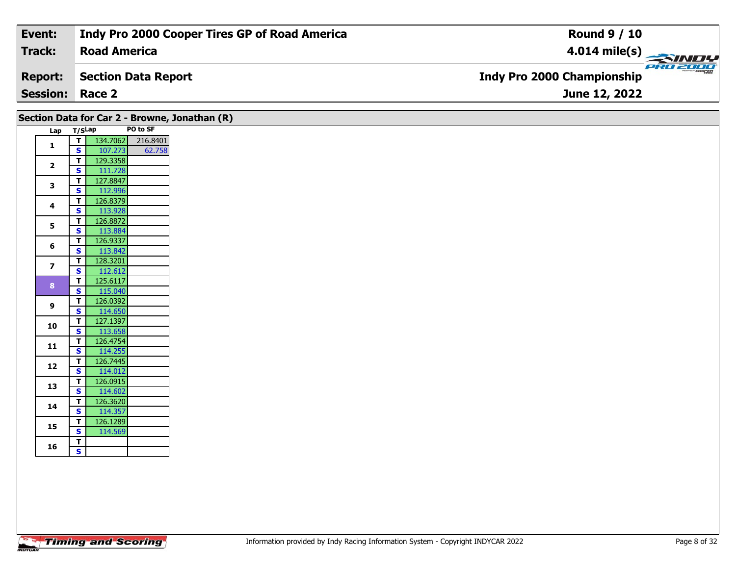| Event:                 | Indy Pro 2000 Cooper Tires GP of Road America | <b>Round 9 / 10</b>                             |
|------------------------|-----------------------------------------------|-------------------------------------------------|
| Track:                 | <b>Road America</b>                           | $\frac{4.014 \text{ mile(s)}}{2.34 \text{ Hz}}$ |
| <b>Report:</b>         | Section Data Report                           | <b>Indy Pro 2000 Championship</b>               |
| <b>Session: Race 2</b> |                                               | <b>June 12, 2022</b>                            |

| Lap T/SLap     |                              |                                                                                                                   | PO to SF |
|----------------|------------------------------|-------------------------------------------------------------------------------------------------------------------|----------|
| $\mathbf{1}$   |                              | $\begin{array}{ c c c c c }\n \hline\n \textbf{I} & \textbf{134.7062} & \textbf{216.8401}\n \hline\n \end{array}$ |          |
|                | S                            | 107.273                                                                                                           | 62.758   |
| $\overline{2}$ | $\overline{\mathsf{T}}$      | 129.3358                                                                                                          |          |
|                | $\mathbf{s}$                 | 111.728                                                                                                           |          |
| 3              | T                            | 127.8847                                                                                                          |          |
|                | $\overline{\mathbf{s}}$      | 112.996                                                                                                           |          |
| 4              | T.                           | 126.8379                                                                                                          |          |
|                | $\mathbf{s}$                 | 113.928                                                                                                           |          |
| 5              | T                            | 126.8872                                                                                                          |          |
|                | $\mathbf{s}$<br>$\mathbf{T}$ | 113.884<br>126.9337                                                                                               |          |
| 6              | $\mathbf{s}$                 | 113.842                                                                                                           |          |
|                | $\overline{t}$               | 128.3201                                                                                                          |          |
| $\overline{z}$ | $\mathbf{s}$                 | 112.612                                                                                                           |          |
|                | $\overline{t}$               | 125.6117                                                                                                          |          |
| 8 <sup>°</sup> | $\mathbf{s}$                 | 115.040                                                                                                           |          |
|                | $\mathbf{T}$                 | 126.0392                                                                                                          |          |
| 9              | $\mathbf{s}$                 | 114.650                                                                                                           |          |
|                | $\mathbf{T}$                 | 127.1397                                                                                                          |          |
| 10             | $\overline{\mathbf{s}}$      | 113.658                                                                                                           |          |
| 11             | T.                           | 126.4754                                                                                                          |          |
|                | $\overline{\mathbf{s}}$      | 114.255                                                                                                           |          |
| 12             | $\overline{\mathsf{T}}$      | 126.7445                                                                                                          |          |
|                | $\mathbf{s}$                 | 114.012                                                                                                           |          |
| 13             | $\overline{\mathsf{T}}$      | 126.0915                                                                                                          |          |
|                | S                            | 114.602                                                                                                           |          |
| 14             | T                            | 126.3620                                                                                                          |          |
|                | <b>S</b><br>$\mathbf{T}$     | 114.357<br>126.1289                                                                                               |          |
| 15             | $\overline{\mathbf{s}}$      | 114.569                                                                                                           |          |
|                | $\mathbf{T}$                 |                                                                                                                   |          |
| 16             | $\mathsf{s}$                 |                                                                                                                   |          |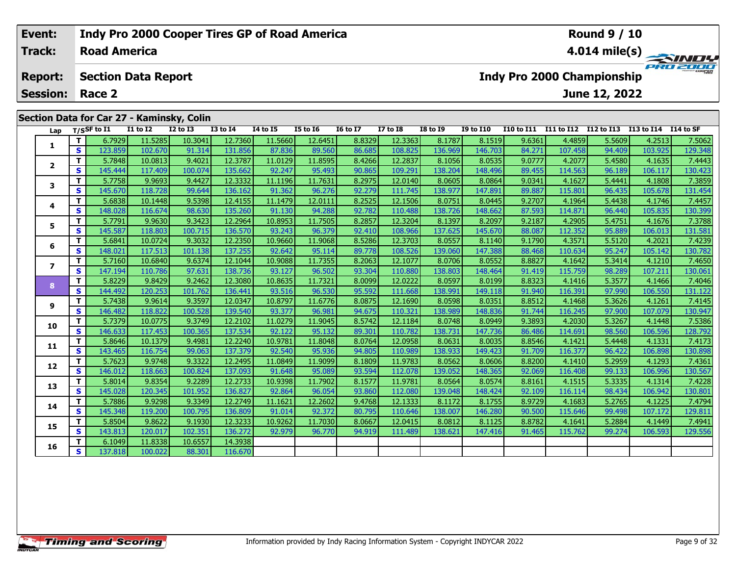#### **Event: Indy Pro 2000 Cooper Tires GP of Road America Round 9 / 10Track:Road America4.014 mile(s)** PRO 2001 **Section Data Report Indy Pro 2000 Championship Report: June 12, 2022 Session: Race 2Section Data for Car 27 - Kaminsky, Colin Lap T/SSF to I1 I1 to I2 I2 to I3 I3 to I4 I4 to I5 I5 to I6 I6 to I7 I7 to I8 I8 to I9 I9 to I10 I10 to I11 I11 to I12 I12 to I13 I13 to I14 I14 to SF**  1 | T | 6.7929 11.5285 10.3041 12.7360 11.5660 12.6451 8.8329 12.3363 8.1787 8.1519 9.6361 4.4859 5.5609 4.2513 7.5062<br>1 | S | 123.859 102.670 91.314 131.856 87.836 89.560 86.685 108.825 136.969 146.703 84.271 107.458 94.4 **1**2 | T | 5.7848| 10.0813| 9.4021| 12.3787| 11.0129| 11.8595| 8.4266| 12.2837| 8.1056| 8.0535| 9.0777| 4.2077| 5.4580| 4.1635| 7.4443<br>2 | S | 145.444| 117.409| 100.074| 135.662| 92.247| 95.493| 90.865| 109.291| 138.204| 148. **2**

3 | T | 5.7758| 9.9693| 9.4427| 12.3332| 11.1196| 11.7631| 8.2975| 12.0140| 8.0605| 8.0864| 9.0341| 4.1627| 5.4441| 4.1808| 7.3859<br>| S | 145.670| 118.728| 99.644| 136.162| 91.362| 96.276| 92.279| 111.745| 138.977| 147.891|

4 | **T** | 5.6838 10.1448 | 9.5398 12.4155 11.1479 12.0111 | 8.2525 12.1506 | 8.0751 | 8.0445 | 9.2707 | 4.1964 | 5.4438 | 4.1746 | 7.4457<br>- S | 148.028 116.674 | 98.630 135.260 | 91.130 | 94.288 | 92.782 | 110.488 | 138.72

**<sup>T</sup>** 5.7791 9.9630 9.3423 12.2964 10.8953 11.7505 8.2857 12.3204 8.1397 8.2097 9.2187 4.2905 5.4751 4.1676 7.3788 **<sup>S</sup>** 145.587 118.803 100.715 136.570 93.243 96.379 92.410 108.966 137.625 145.670 88.087 112.352 95.889 106.013 131.581

6 | T | 5.6841 10.0724 9.3032 12.2350 10.9660 11.9068 8.5286 12.3703 8.0557 8.1140 9.1790 4.3571 5.5120 4.2021 7.4239<br>58 | S | 148.021 117.513 101.138 137.255 92.642 95.114 89.778 108.526 139.060 147.388 88.468 110.634 95.

7 | T | 5.7160| 10.6840| 9.6374| 12.1044| 10.9088| 11.7355| 8.2063| 12.1077| 8.0706| 8.0552| 8.8827| 4.1642| 5.3414| 4.1210| 7.4650<br>7 | S | 147.194| 110.786| 97.631| 138.736| 93.127| 96.502| 93.304| 110.880| 138.803| 148.4

8 T | 5.8229 9.8429 9.2462 12.3080 10.8635 11.7321 8.0099 12.0222 8.0597 8.0199 8.8323 4.1416 5.3577 4.1466 7.4046<br>8 S 144.492 120.253 101.762 136.441 93.516 96.530 95.592 111.668 138.991 149.118 91.940 116.391 97.990 106.

1.0347 | 12.0347 | 11.6797 | 11.6776 | 11.6775 | 11.1690 | 11.8998 | 12.1690 | 11.6776 | 12.1690 | 13.3512 | 1<br>S | 146.482 | 118.822 | 100.528 | 139.540 | 93.377 | 96.981 | 94.675 | 110.321 | 138.989 | 148.836 | 91.744 |

0 | T | 5.7379| 10.0775| 9.3749| 12.2102| 11.0279| 11.9045| 8.5742| 12.1184| 8.0748| 8.0949| 9.3893| 4.2030| 5.3267| 4.1448| 7.5386<br>| S | 146.633| 117.453| 100.365| 137.534| 92.122| 95.132| 89.301| 110.782| 138.731| 147.73

**<sup>T</sup>** 5.8646 10.1379 9.4981 12.2240 10.9781 11.8048 8.0764 12.0958 8.0631 8.0035 8.8546 4.1421 5.4448 4.1331 7.4173 **<sup>S</sup>** 143.465 116.754 99.063 137.379 92.540 95.936 94.805 110.989 138.933 149.423 91.709 116.377 96.422 106.898 130.898

2 T 5.7623 9.9748 9.3322 12.2495 11.0849 11.9099 8.1809 11.9783 8.0562 8.0606 8.8200 4.1410 5.2959 4.1293 7.4361<br>S 146.012 118.663 100.824 137.093 91.648 95.089 93.594 112.078 139.052 148.365 92.069 116.408 99.133 106.996

3 T 5.8014 9.8354 9.2289 12.2733 10.9398 11.7902 8.1577 11.9781 8.0564 8.0574 8.8161 4.1515 5.3335 4.1314 7.4228<br>S 145.028 120.345 101.952 136.827 92.864 96.054 93.860 112.080 139.048 148.424 92.109 116.114 98.434 106.942

4 | **T** | 5.7886| 9.9298| 9.3349| 12.2749| 11.1621| 12.2602| 9.4768| 12.1333| 8.1172| 8.1755| 8.9729| 4.1683| 5.2765| 4.1225| 7.4794<br>- S | 145.348| 119.200| 100.795| 136.809| 91.014| 92.372| 80.795| 110.646| 138.007| 146.2

**<sup>T</sup>** 5.8504 9.8622 9.1930 12.3233 10.9262 11.7030 8.0667 12.0415 8.0812 8.1125 8.8782 4.1641 5.2884 4.1449 7.4941 **<sup>S</sup>** 143.813 120.017 102.351 136.272 92.979 96.770 94.919 111.489 138.621 147.416 91.465 115.762 99.274 106.593 129.556

**<sup>T</sup>** 6.1049 11.8338 10.6557 14.3938 **<sup>S</sup>** 137.818 100.022 88.301 116.670

**3**

**4**

**5**

**6**

**7**

**8**

**9**

**10**

**11**

**12**

**13**

**14**

**15**

**16**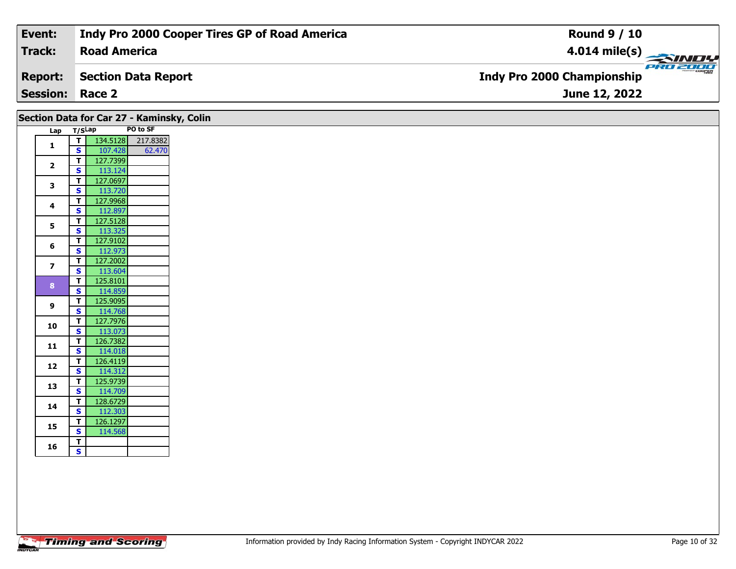| Event:                 | Indy Pro 2000 Cooper Tires GP of Road America | <b>Round 9 / 10</b>                           |
|------------------------|-----------------------------------------------|-----------------------------------------------|
| Track:                 | <b>Road America</b>                           | $4.014 \text{ mile(s)}$                       |
| <b>Report:</b>         | Section Data Report                           | PRO 2000<br><b>Indy Pro 2000 Championship</b> |
| <b>Session: Race 2</b> |                                               | June 12, 2022                                 |

|                         | Section Data for Car 27 - Kaminsky, Colin           | PO to SF          |
|-------------------------|-----------------------------------------------------|-------------------|
|                         | Lap T/SLap<br>T                                     | 134.5128 217.8382 |
| $\mathbf{1}$            | 107.428<br><b>S</b>                                 | 62.470            |
|                         | 127.7399<br>$\mathbf{T}$                            |                   |
| $\mathbf{2}$            | 113.124<br>$\mathbf{s}$                             |                   |
|                         | 127.0697<br>$\mathbf{T}$                            |                   |
| 3                       | $\overline{\mathbf{s}}$<br>113.720                  |                   |
|                         | T<br>127.9968                                       |                   |
| 4                       | 112.897<br>S.                                       |                   |
|                         | 127.5128<br>T                                       |                   |
| 5                       | 113.325<br>$\overline{\mathbf{s}}$                  |                   |
|                         | 127.9102<br>$\mathbf{T}$                            |                   |
| 6                       | $\overline{\mathbf{s}}$<br>112.973                  |                   |
| $\overline{\mathbf{z}}$ | 127.2002<br>T.                                      |                   |
|                         | $\overline{\mathbf{s}}$<br>113.604                  |                   |
| 8                       | 125.8101<br>$\mathbf{T}$                            |                   |
|                         | 114.859<br>S                                        |                   |
| 9                       | 125.9095<br>T.                                      |                   |
|                         | $\overline{\mathbf{s}}$<br>114.768                  |                   |
| 10                      | 127.7976<br>$\mathbf{T}$                            |                   |
|                         | $\overline{\mathbf{s}}$<br>113.073                  |                   |
| 11                      | 126.7382<br>$\mathbf{T}$                            |                   |
|                         | $\overline{\mathbf{s}}$<br>114.018                  |                   |
| 12                      | 126.4119<br>$\mathbf{T}$<br>114.312<br>$\mathbf{s}$ |                   |
|                         | 125.9739<br>$\mathbf{T}$                            |                   |
| 13                      | 114.709<br>$\mathbf{s}$                             |                   |
|                         | 128.6729<br>T.                                      |                   |
| 14                      | $\overline{\mathbf{s}}$<br>112.303                  |                   |
|                         | 126.1297<br>$\mathbf{T}$                            |                   |
| 15                      | 114.568<br>S                                        |                   |
|                         |                                                     |                   |
| 16                      | T.                                                  |                   |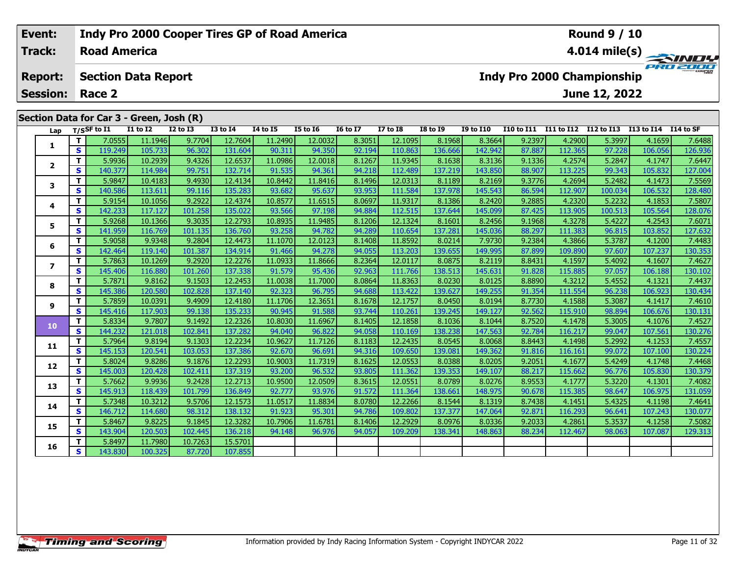# **Round 9 / 10Event: Indy Pro 2000 Cooper Tires GP of Road America Track:Road America4.014 mile(s)** PROZE **Report: Section Data Report Indy Pro 2000 Championship June 12, 2022 Session: Race 2 Section Data for Car 3 - Green, Josh (R)** Lap T/SSF to I1 I1 to I2 I2 to I3 I3 to I4 I4 to I5 I5 to I6 I6 to I7 I7 to I8 I8 to I9 I9 to I10 I10 to I11 I11 to I12 I12 to I13 I13 to I14 I14 to SF 1 | T | 7.0555 11.1946 9.7704 12.7604 11.2490 12.0032 8.3051 12.1095 8.1968 8.3664 9.2397 4.2900 5.3997 4.1659 7.6488<br>1 | S | 119.249 105.733 96.302 131.604 90.311 94.350 92.194 110.863 136.666 142.942 87.887 112.365 97.22 **1**2 | T | 5.9936| 10.2939| 9.4326| 12.6537| 11.0986| 12.0018| 8.1267| 11.9345| 8.1638| 8.3136| 9.1336| 4.2574| 5.2847| 4.1747| 7.6447<br>| S | 140.377| 114.984| 99.751| 132.714| 91.535| 94.361| 94.218| 112.489| 137.219| 143.850 **23**

| $\mathbf{z}$            | т            | 5.9936  | 10.2939 | 9.4326  | 12.6537 | 11.09861 | 12.0018 | 8.1267 | 11.9345 | 8.1638  | 8.3136  | 9.1336 | 4.2574  | 5.2847  | 4.1747  | 7.6447  |
|-------------------------|--------------|---------|---------|---------|---------|----------|---------|--------|---------|---------|---------|--------|---------|---------|---------|---------|
|                         | <b>S</b>     | 140.377 | 114.984 | 99.751  | 132.714 | 91.535   | 94.361  | 94.218 | 112.489 | 137.219 | 143.850 | 88.907 | 113.225 | 99.343  | 105.832 | 127.004 |
| 3                       | T.           | 5.9847  | 10.4183 | 9.4930  | 12.4134 | 10.8442  | 11.8416 | 8.1496 | 12.0313 | 8.1189  | 8.2169  | 9.3776 | 4.2694  | 5.2482  | 4.1473  | 7.5569  |
|                         | S            | 140.586 | 113.611 | 99.116  | 135.283 | 93.682   | 95.637  | 93.953 | 111.584 | 137.978 | 145.543 | 86.594 | 112.907 | 100.034 | 106.532 | 128.480 |
| 4                       | т            | 5.9154  | 10.1056 | 9.2922  | 12.4374 | 10.8577  | 11.6515 | 8.0697 | 11.9317 | 8.1386  | 8.2420  | 9.2885 | 4.2320  | 5.2232  | 4.1853  | 7.5807  |
|                         | S            | 142.233 | 117.127 | 101.258 | 135.022 | 93.566   | 97.198  | 94.884 | 112.515 | 137.644 | 145.099 | 87.425 | 113.905 | 100.513 | 105.564 | 128.076 |
| 5                       | т            | 5.9268  | 10.1366 | 9.3035  | 12.2793 | 10.8935  | 11.9485 | 8.1206 | 12.1324 | 8.1601  | 8.2456  | 9.1968 | 4.3278  | 5.4227  | 4.2543  | 7.6071  |
|                         | S.           | 141.959 | 116.769 | 101.135 | 136.760 | 93.258   | 94.782  | 94.289 | 110.654 | 137.281 | 145.036 | 88.297 | 111.383 | 96.815  | 103.852 | 127.632 |
| 6                       | т            | 5.9058  | 9.9348  | 9.2804  | 12.4473 | 11.1070  | 12.0123 | 8.1408 | 11.8592 | 8.0214  | 7.9730  | 9.2384 | 4.3866  | 5.3787  | 4.1200  | 7.4483  |
|                         | S            | 142.464 | 119.140 | 101.387 | 134.914 | 91.466   | 94.278  | 94.055 | 113.203 | 139.655 | 149.995 | 87.899 | 109.890 | 97.607  | 107.237 | 130.353 |
| $\overline{\mathbf{z}}$ | т            | 5.7863  | 10.1269 | 9.2920  | 12.2276 | 11.0933  | 11.8666 | 8.2364 | 12.0117 | 8.0875  | 8.2119  | 8.8431 | 4.1597  | 5.4092  | 4.1607  | 7.4627  |
|                         | S.           | 145.406 | 116.880 | 101.260 | 137.338 | 91.579   | 95.436  | 92.963 | 111.766 | 138.513 | 145.631 | 91.828 | 115.885 | 97.057  | 106.188 | 130.102 |
| 8                       | т            | 5.7871  | 9.8162  | 9.1503  | 12.2453 | 11.0038  | 11.7000 | 8.0864 | 11.8363 | 8.0230  | 8.0125  | 8.8890 | 4.3212  | 5.4552  | 4.1321  | 7.4437  |
|                         | S            | 145.386 | 120.580 | 102.828 | 137.140 | 92.323   | 96.795  | 94.688 | 113.422 | 139.627 | 149.255 | 91.354 | 111.554 | 96.238  | 106.923 | 130.434 |
| 9                       | T.           | 5.7859  | 10.0391 | 9.4909  | 12.4180 | 11.1706  | 12.3651 | 8.1678 | 12.1757 | 8.0450  | 8.0194  | 8.7730 | 4.1588  | 5.3087  | 4.1417  | 7.4610  |
|                         | S            | 145.416 | 117.903 | 99.138  | 135.233 | 90.945   | 91.588  | 93.744 | 110.261 | 139.245 | 149.127 | 92.562 | 115.910 | 98.894  | 106.676 | 130.131 |
| 10                      | T.           | 5.8334  | 9.7807  | 9.1492  | 12.2326 | 10.8030  | 11.6967 | 8.1405 | 12.1858 | 8.1036  | 8.1044  | 8.7520 | 4.1478  | 5.3005  | 4.1076  | 7.4527  |
|                         | S            | 144.232 | 121.018 | 102.841 | 137.282 | 94.040   | 96.822  | 94.058 | 110.169 | 138.238 | 147.563 | 92.784 | 116.217 | 99.047  | 107.561 | 130.276 |
| 11                      | T.           | 5.7964  | 9.8194  | 9.1303  | 12.2234 | 10.9627  | 11.7126 | 8.1183 | 12.2435 | 8.0545  | 8.0068  | 8.8443 | 4.1498  | 5.2992  | 4.1253  | 7.4557  |
|                         | $\mathbf{s}$ | 145.153 | 120.541 | 103.053 | 137.386 | 92.670   | 96.691  | 94.316 | 109.650 | 139.081 | 149.362 | 91.816 | 116.161 | 99.072  | 107.100 | 130.224 |
| 12                      | T.           | 5.8024  | 9.8286  | 9.1876  | 12.2293 | 10.9003  | 11.7319 | 8.1625 | 12.0553 | 8.0388  | 8.0205  | 9.2051 | 4.1677  | 5.4249  | 4.1748  | 7.4468  |
|                         | S            | 145.003 | 120.428 | 102.411 | 137.319 | 93.200   | 96.532  | 93.805 | 111.362 | 139.353 | 149.107 | 88.217 | 115.662 | 96.776  | 105.830 | 130.379 |
| 13                      | T.           | 5.7662  | 9.9936  | 9.2428  | 12.2713 | 10.9500  | 12.0509 | 8.3615 | 12.0551 | 8.0789  | 8.0276  | 8.9553 | 4.1777  | 5.3220  | 4.1301  | 7.4082  |
|                         | S            | 145.913 | 118.439 | 101.799 | 136.849 | 92.777   | 93.976  | 91.572 | 111.364 | 138.661 | 148.975 | 90.678 | 115.385 | 98.647  | 106.975 | 131.059 |
| 14                      | T.           | 5.7348  | 10.3212 | 9.5706  | 12.1573 | 11.0517  | 11.8834 | 8.0780 | 12.2266 | 8.1544  | 8.1319  | 8.7438 | 4.1451  | 5.4325  | 4.1198  | 7.4641  |
|                         | S            | 146.712 | 114.680 | 98.312  | 138.132 | 91.923   | 95.301  | 94.786 | 109.802 | 137.377 | 147.064 | 92.871 | 116.293 | 96.641  | 107.243 | 130.077 |
| 15                      | T.           | 5.8467  | 9.8225  | 9.1845  | 12.3282 | 10.7906  | 11.6781 | 8.1406 | 12.2929 | 8.0976  | 8.0336  | 9.2033 | 4.2861  | 5.3537  | 4.1258  | 7.5082  |
|                         | S            | 143.904 | 120.503 | 102.445 | 136.218 | 94.148   | 96.976  | 94.057 | 109.209 | 138.341 | 148.863 | 88.234 | 112.467 | 98.063  | 107.087 | 129.313 |
| 16                      | T.           | 5.8497  | 11.7980 | 10.7263 | 15.5701 |          |         |        |         |         |         |        |         |         |         |         |
|                         | S            | 143.830 | 100.325 | 87.720  | 107.855 |          |         |        |         |         |         |        |         |         |         |         |
|                         |              |         |         |         |         |          |         |        |         |         |         |        |         |         |         |         |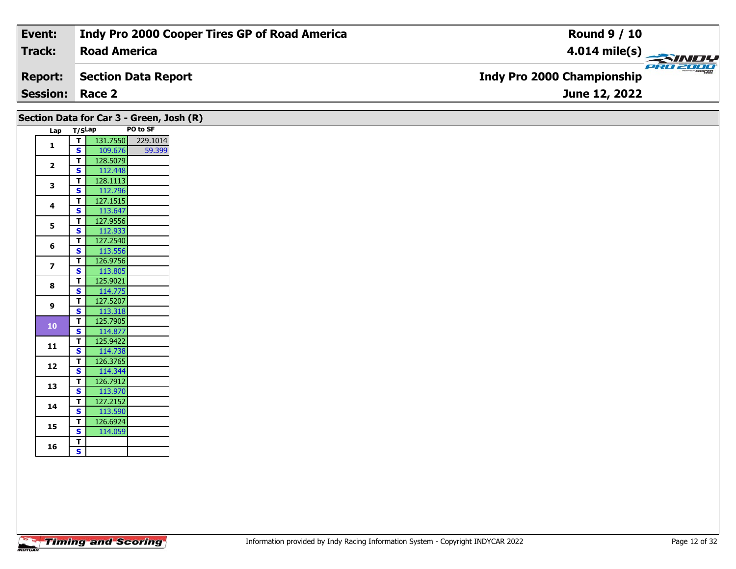| Event:                 | Indy Pro 2000 Cooper Tires GP of Road America | <b>Round 9 / 10</b>                             |
|------------------------|-----------------------------------------------|-------------------------------------------------|
| Track:                 | <b>Road America</b>                           | $\frac{4.014 \text{ mile(s)}}{2.34 \text{ Hz}}$ |
| <b>Report:</b>         | Section Data Report                           | <b>Indy Pro 2000 Championship</b>               |
| <b>Session: Race 2</b> |                                               | <b>June 12, 2022</b>                            |

|                         |                                                    | Section Data for Car 3 - Green, Josh (R) |                   |
|-------------------------|----------------------------------------------------|------------------------------------------|-------------------|
|                         | Lap T/SLap                                         |                                          | PO to SF          |
| 1                       | ⊤।                                                 |                                          | 131.7550 229.1014 |
|                         | $\mathbf{s}$                                       | 109.676                                  | 59.399            |
| $\mathbf{2}$            | $\mathbf{T}$<br>S                                  | 128.5079<br>112.448                      |                   |
|                         | T                                                  | 128.1113                                 |                   |
| 3                       | $\overline{\mathbf{s}}$                            | 112.796                                  |                   |
|                         | $\overline{\mathsf{T}}$                            | 127.1515                                 |                   |
| 4                       | $\mathbf{s}$                                       | 113.647                                  |                   |
| 5                       | $\mathbf{T}$                                       | 127.9556                                 |                   |
|                         | $\mathbf{s}$                                       | 112.933                                  |                   |
| 6                       | T                                                  | 127.2540                                 |                   |
|                         | $\mathbf{s}$                                       | 113.556                                  |                   |
| $\overline{\mathbf{z}}$ | $\mathbf{T}$<br><b>S</b>                           | 126.9756<br>113.805                      |                   |
|                         | $\mathbf{T}$                                       | 125.9021                                 |                   |
| 8                       | $\mathbf{s}$                                       | 114.775                                  |                   |
|                         | $\overline{\mathsf{T}}$                            | 127.5207                                 |                   |
| 9                       | S                                                  | 113.318                                  |                   |
| ${\bf 10}$              | $\overline{\mathbf{I}}$                            | 125.7905                                 |                   |
|                         | $\mathbf{s}$                                       | 114.877                                  |                   |
| 11                      | $\mathbf{T}$                                       | 125.9422                                 |                   |
|                         | $\overline{\mathbf{s}}$<br>$\overline{\mathsf{T}}$ | 114.738<br>126.3765                      |                   |
| 12                      | $\mathbf{s}$                                       | 114.344                                  |                   |
|                         | $\mathbf T$                                        | 126.7912                                 |                   |
| 13                      | $\mathbf{s}$                                       | 113.970                                  |                   |
| 14                      | $\mathbf{T}$                                       | 127.2152                                 |                   |
|                         | $\overline{\mathbf{s}}$                            | 113.590                                  |                   |
| 15                      | $\overline{\mathbf{r}}$                            | 126.6924                                 |                   |
|                         | $\overline{\mathbf{s}}$                            | 114.059                                  |                   |
| 16                      | $\mathbf T$<br>$\mathbf{s}$                        |                                          |                   |
|                         |                                                    |                                          |                   |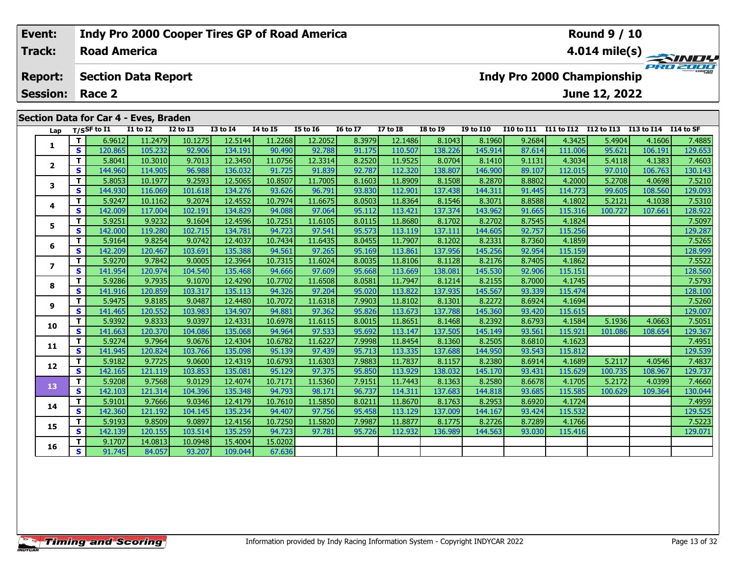#### Event: **Indy Pro 2000 Cooper Tires GP of Road America Round 9 / 10 Road America Track:** 4.014 mile(s) PRO 2000 **Report: Section Data Report Indy Pro 2000 Championship Session:** Race 2 June 12, 2022 Section Data for Car 4 - Eves, Braden  $T/S$ SF to  $I1$  $\overline{11}$  to  $\overline{12}$  $\overline{12}$  to  $\overline{13}$  $13$  to  $14$  $\overline{14}$  to  $\overline{15}$ **I5 to 16 I6 to I7 I7 to I8 I8 to 19 I9 to I10** I10 to I11 I11 to I12 I12 to I13 I13 to I14 I14 to SF Lap T. 6.9612 11.2479 10.1275 12.5144 11.2268 12.2052 8.3979 12.1486 8.1043 8.1960 9.2684 4.3425 5.4904 4.1606 7.4885  $\mathbf{1}$  $\overline{\mathbf{s}}$ 120.865 105.232 92.90 134.191 90.49 92.78 91.175 110.50 138,226 145.914 87.614 111.00 95.621 106.191 129.653 T. 5.8041 10.3010 9.7013 12.3450 11.0756 12.3314 8.2520 11.9525 8.0704 8.1410 9.1131 4.3034 5.4118 4.1383 7.4603  $\overline{2}$  $\overline{\mathbf{s}}$ 144.960 114.905 96.98 136.032 91.725 91.839 92.787  $112.320$ 138,807 146,900 89.107 112.015 97.010 106.763 130.143

8.1603

93.83

8.0503

95.112

8.0115

95.573

8.0455

95.169

8.0035

95.668

8.0581

95.020

7.9903

95.826

8.0015

95.692

7.9998

95.713

7.9883

95.850

7.9151

96.737

8.0211

95.458

7.9987

95.726

11.8909

112.90

11.8364

113.421

11.8680

113.119

11.7907

113.861

11.8106

113.669

11.7947

113.822

11.8102

113.673

11.8651

113.147

11.8454

113.335

11.7837

113.929

11.7443

114.311

11.8670

113.129

11.8877

112.932

8.2870

144.311

8.3071

143.962

8.2702

144.605

8.2331

145.256

145.530

8.2155

145.567

8.2272

145.360

8.2392

145.149

8.2505

144.950

8.2380

145.170

8.2580

144.818

8.2953

144.167

144.563

8.2726

8.2176

8.8802

91.445

8.8588

91.665

8.7545

92.757

8.7360

92.954

8.7405

92,906

8.7000

93.339

8.6924

93.420

8.6793

93.561

8.6810

93.543

8.6914

93.431

8.6678

93.685

8.6920

93.424

8.7289

93.030

4.2000

114.773

4.1802

4.1824

4.1859

4.1862

115.159

115.151

4.1745

115.474

4.1694

115.615

4.1584

4.1623

4.1689

115.812

115.629

4.1705

4.1724

4.1766

115.416

115.58

115.532

115.92

115.316

115.25

5.2708

99.605

5.2121

5.1936

5.2117

100.735

 $5.2172$ 

100.629

101.08

100.727

4.0698

108.560

107.661

4.0663

108.654

4.0546

108.967

4.0399

109.364

4.1038

7.5210

129.093

7.5310

128.922

7.5097

129.287

7.5265

128.999

7.5522

128.560

7.5793

128,100

7.5260

129.007

7.5051

129.367

7.4951

7.4837

129.737

7.4660

130.044

7.4959

129.525

7.5223

129.071

129.539

8.1508

137.438

8.1546

137.374

8.1702

137.111

8.1202

137.956

8.1128

138.081

8.1214

137.935

8.1301

137.788

8.1468

137.505

8.1360

8.1157

138.032

8.1363

137.683

8.1763

137.009

8.1775

136.989

137.688

 $\overline{\mathbf{r}}$ 

 $\overline{\mathbf{s}}$ 

 $\overline{\mathsf{T}}$ 

 $\mathbf{s}$ 

T

 $\overline{\mathbf{s}}$ 

 $\mathbf{T}$ 

S

 $\mathbf{T}$ 

 $\overline{\mathbf{s}}$ 

T.

 $\overline{\mathbf{s}}$ 

T

S

T

 $\overline{\mathbf{s}}$ 

T.

 $\overline{\mathbf{s}}$ 

 $\mathbf{T}$ 

 $\overline{\mathbf{s}}$ 

 $\overline{\mathbf{r}}$ 

 $\overline{\mathbf{s}}$ 

T

 $\overline{\mathbf{s}}$ 

T

S.

T.

 $\overline{\mathbf{s}}$ 

3

 $\overline{\mathbf{4}}$ 

5

6

 $\overline{z}$ 

8

 $\mathbf{9}$ 

10

11

 $12$ 

13

14

15

16

5.8053

5.9247

5.9251

5.9164

5.9270

141.954

5.9286

141.916

141.465

5.9392

141.663

141.945

142.165

5.9208

142.103

5.9101

142.360

142.139

5.9193

9.1707

91.745

5.9274

5.9182

5.9475

142,209

144.93

142.009

142.00

10.1977

116.069

10.1162

117.004

9.9232

9.8254

120.467

9.7842

120.974

9.7935

120.859

9.8185

120.552

9.8333

120.370

9.7964

120.824

9.7725

121.119

9.7568

121.314

9.7666

121.192

9.8509

120.155

14.0813

84.057

119.280

9.2593

101.618

9.2074

102.191

9.1604

102.715

9.0742

103.691

9.0005

104.540

9.1070

103.317

9.0487

103.983

9.0397

9.0676

9.0600

103.853

 $9.0129$ 

104.396

9.0346

104.145

9.0897

103.514

10.0948

93.207

103.766

104.08

12.5065

134.27

12.4552

134.829

12.4596

134.781

12.4037

135.38

12.3964

135.468

12.4290

135.113

12.4480

134.907

12.4331

135.06

12.4304

135.09

12.4319

135.081

12.4074

135.348

12.4179

135.234

12.4156

135.259

15.4004

109.044

10.8507

93.626

10.7974

94.08

10.7251

94.723

10.7434

94.561

10.7315

94.666

10.7702

94.326

10.7072

94.881

10.6978

94.964

10.6782

95.139

10.6793

95.129

10.7171

94.793

10.7610

94.407

10.7250

94.723

15.0202

67.636

11.7005

96.791

11.6675

97.064

11.6105

97.541

11.6435

97.265

11.6024

97.609

11.6508

97.204

11.6318

97.362

11.6115

97.533

11.6227

97.439

11.6303

97.375

11.5360

98.171

11.5850

97.756

11.5820

97.781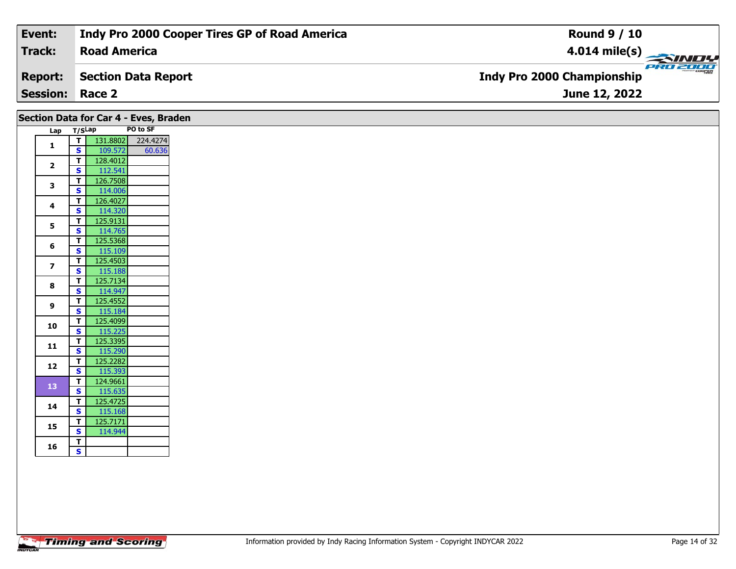| Event:                 | Indy Pro 2000 Cooper Tires GP of Road America | <b>Round 9 / 10</b>                             |
|------------------------|-----------------------------------------------|-------------------------------------------------|
| Track:                 | <b>Road America</b>                           | $\frac{4.014 \text{ mile(s)}}{2.34 \text{ Hz}}$ |
| <b>Report:</b>         | Section Data Report                           | <b>Indy Pro 2000 Championship</b>               |
| <b>Session: Race 2</b> |                                               | June 12, 2022                                   |
|                        |                                               |                                                 |

| $Lap$ T/SLap                                                                          | T<br>$\mathbf{s}$<br>$\overline{1}$<br>$\mathbf{s}$<br>$\mathbf{T}$<br>$\overline{\mathbf{s}}$<br>$\mathbf{T}$<br>$\mathbf{s}$<br>$\mathbf{T}$<br>$\overline{\mathbf{s}}$<br>T<br>$\mathbf{s}$<br>T<br>$\mathbf{s}$<br>$\mathbf{T}$ | PO to SF<br>131.8802 224.4274<br>109.572<br>60.636<br>128.4012<br>112.541<br>126.7508<br>114.006<br>126.4027<br>114.320<br>125.9131<br>114.765<br>125.5368<br>115.109<br>125.4503<br>115.188<br>125.7134 |
|---------------------------------------------------------------------------------------|-------------------------------------------------------------------------------------------------------------------------------------------------------------------------------------------------------------------------------------|----------------------------------------------------------------------------------------------------------------------------------------------------------------------------------------------------------|
| $\mathbf{1}$<br>$\mathbf{2}$<br>3<br>4<br>5<br>6<br>$\overline{\mathbf{z}}$<br>8<br>9 |                                                                                                                                                                                                                                     |                                                                                                                                                                                                          |
|                                                                                       |                                                                                                                                                                                                                                     |                                                                                                                                                                                                          |
|                                                                                       |                                                                                                                                                                                                                                     |                                                                                                                                                                                                          |
|                                                                                       |                                                                                                                                                                                                                                     |                                                                                                                                                                                                          |
|                                                                                       |                                                                                                                                                                                                                                     |                                                                                                                                                                                                          |
|                                                                                       |                                                                                                                                                                                                                                     |                                                                                                                                                                                                          |
|                                                                                       |                                                                                                                                                                                                                                     |                                                                                                                                                                                                          |
|                                                                                       |                                                                                                                                                                                                                                     |                                                                                                                                                                                                          |
|                                                                                       |                                                                                                                                                                                                                                     |                                                                                                                                                                                                          |
|                                                                                       |                                                                                                                                                                                                                                     |                                                                                                                                                                                                          |
|                                                                                       |                                                                                                                                                                                                                                     |                                                                                                                                                                                                          |
|                                                                                       |                                                                                                                                                                                                                                     |                                                                                                                                                                                                          |
|                                                                                       |                                                                                                                                                                                                                                     |                                                                                                                                                                                                          |
|                                                                                       |                                                                                                                                                                                                                                     |                                                                                                                                                                                                          |
|                                                                                       |                                                                                                                                                                                                                                     |                                                                                                                                                                                                          |
|                                                                                       | $\overline{\mathbf{s}}$                                                                                                                                                                                                             | 114.947                                                                                                                                                                                                  |
|                                                                                       | T                                                                                                                                                                                                                                   | 125.4552                                                                                                                                                                                                 |
|                                                                                       | $\mathbf{s}$                                                                                                                                                                                                                        | 115.184                                                                                                                                                                                                  |
| 10                                                                                    | $\mathbf{T}$                                                                                                                                                                                                                        | 125.4099                                                                                                                                                                                                 |
|                                                                                       | $\mathbf{s}$                                                                                                                                                                                                                        | 115.225                                                                                                                                                                                                  |
| 11                                                                                    | T                                                                                                                                                                                                                                   | 125.3395                                                                                                                                                                                                 |
|                                                                                       | $\mathbf{s}$                                                                                                                                                                                                                        | 115.290                                                                                                                                                                                                  |
| 12                                                                                    | T                                                                                                                                                                                                                                   | 125.2282                                                                                                                                                                                                 |
|                                                                                       | $\overline{\mathbf{s}}$                                                                                                                                                                                                             | 115.393                                                                                                                                                                                                  |
| <b>13</b>                                                                             | T                                                                                                                                                                                                                                   | 124.9661                                                                                                                                                                                                 |
|                                                                                       | $\overline{\mathbf{s}}$                                                                                                                                                                                                             | 115.635                                                                                                                                                                                                  |
| 14                                                                                    | $\mathbf{T}$<br>$\mathbf{s}$                                                                                                                                                                                                        | 125.4725                                                                                                                                                                                                 |
|                                                                                       | T                                                                                                                                                                                                                                   | 115.168<br>125.7171                                                                                                                                                                                      |
| 15                                                                                    | $\overline{\mathbf{s}}$                                                                                                                                                                                                             | 114.944                                                                                                                                                                                                  |
|                                                                                       | T                                                                                                                                                                                                                                   |                                                                                                                                                                                                          |
| 16                                                                                    | $\mathbf{s}$                                                                                                                                                                                                                        |                                                                                                                                                                                                          |
|                                                                                       |                                                                                                                                                                                                                                     |                                                                                                                                                                                                          |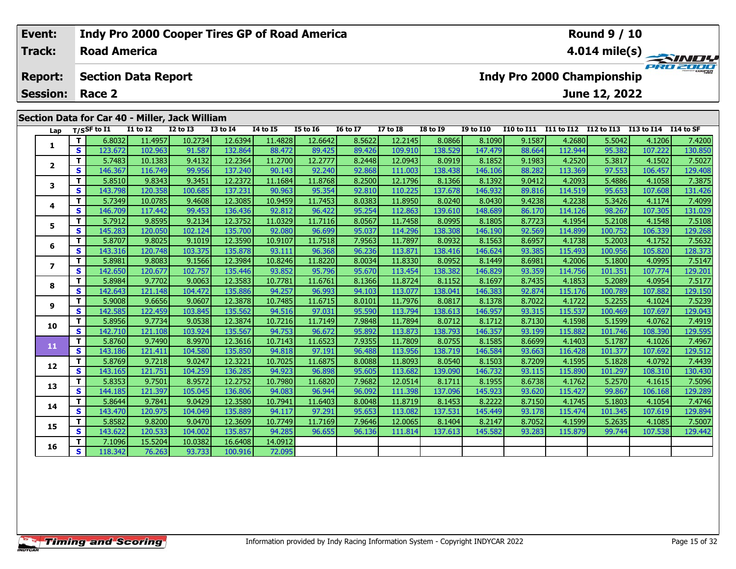| Event:<br><b>Indy Pro 2000 Cooper Tires GP of Road America</b> |                                                |                                                               |                     |                            |                 |                 |          |          |                         | <b>Round 9 / 10</b>                           |          |                  |            |            |               |                      |         |  |
|----------------------------------------------------------------|------------------------------------------------|---------------------------------------------------------------|---------------------|----------------------------|-----------------|-----------------|----------|----------|-------------------------|-----------------------------------------------|----------|------------------|------------|------------|---------------|----------------------|---------|--|
|                                                                | Track:                                         |                                                               | <b>Road America</b> |                            |                 |                 |          |          | $4.014 \text{ mile(s)}$ |                                               |          |                  |            |            |               |                      |         |  |
|                                                                | <b>Report:</b>                                 |                                                               |                     | <b>Section Data Report</b> |                 |                 |          |          |                         | PRO 2000<br><b>Indy Pro 2000 Championship</b> |          |                  |            |            |               |                      |         |  |
| <b>Session: Race 2</b>                                         |                                                |                                                               |                     |                            |                 |                 |          |          |                         |                                               |          |                  |            |            | June 12, 2022 |                      |         |  |
|                                                                | Section Data for Car 40 - Miller, Jack William |                                                               |                     |                            |                 |                 |          |          |                         |                                               |          |                  |            |            |               |                      |         |  |
|                                                                | Lap                                            |                                                               | T/SSF to I1         | <b>I1 to I2</b>            | <b>I2 to I3</b> | <b>I3 to I4</b> | 14 to 15 | I5 to I6 | <b>I6 to I7</b>         | <b>I7 to I8</b>                               | I8 to 19 | <b>I9 to I10</b> | I10 to I11 | I11 to I12 | I12 to I13    | I13 to I14 I14 to SF |         |  |
|                                                                |                                                | 12.6394<br>11.4828<br>12.6642<br>6.8032<br>11.4957<br>10.2734 |                     |                            |                 |                 |          | 8.5622   | 12.2145                 | 8.0866                                        | 8.1090   | 9.1587           | 4.2680     | 5.5042     | 4.1206        | 7.4200               |         |  |
|                                                                | ъ.                                             | S.                                                            | 123672              | 102963                     | 91 587          | 132864          | 88 472   | 89 425   | 89 426                  | 109 910                                       | 138 529L | 147 479          | 88.664     | 112944     | 95 3821       | 107222               | 130.850 |  |

|    | T/SSF to 11<br>Lap |         | 11 TO 12 | <b>17 10 13</b> | 13 TO 14 | 14 TO 15 | 12 IO 10 | 10 10 TV | <b>17 10 18</b> | 19 10 19 | 19 TO 11U | <b>110 TO 111</b> | 111 to 112 | 112 TO 113 | 113 TO 114 | 114 TO SF |
|----|--------------------|---------|----------|-----------------|----------|----------|----------|----------|-----------------|----------|-----------|-------------------|------------|------------|------------|-----------|
| 1  | т                  | 6.8032  | 11.4957  | 10.2734         | 12.6394  | 11.4828  | 12.6642  | 8.5622   | 12.2145         | 8.0866   | 8.1090    | 9.1587            | 4.2680     | 5.5042     | 4.1206     | 7.4200    |
|    | S                  | 123.672 | 102.963  | 91.587          | 132.864  | 88.472   | 89.425   | 89.426   | 109.910         | 138.529  | 147.479   | 88.664            | 112.944    | 95.382     | 107.222    | 130.850   |
| 2  | т                  | 5.7483  | 10.1383  | 9.4132          | 12.2364  | 11.2700  | 12.2777  | 8.2448   | 12.0943         | 8.0919   | 8.1852    | 9.1983            | 4.2520     | 5.3817     | 4.1502     | 7.5027    |
|    | <b>S</b>           | 146.367 | 116.749  | 99.956          | 137.240  | 90.143   | 92.240   | 92.868   | 111.003         | 138.438  | 146.106   | 88.282            | 113.369    | 97.553     | 106.457    | 129.408   |
| 3  | т                  | 5.8510  | 9.8343   | 9.3451          | 12.2372  | 11.1684  | 11.8768  | 8.2500   | 12.1796         | 8.1366   | 8.1392    | 9.0412            | 4.2093     | 5.4886     | 4.1058     | 7.3875    |
|    | s                  | 143.798 | 120.358  | 100.685         | 137.231  | 90.963   | 95.354   | 92.810   | 110.225         | 137.678  | 146.932   | 89.816            | 114.519    | 95.653     | 107.608    | 131.426   |
| 4  | т                  | 5.7349  | 10.0785  | 9.4608          | 12.3085  | 10.9459  | 11.7453  | 8.0383   | 11.8950         | 8.0240   | 8.0430    | 9.4238            | 4.2238     | 5.3426     | 4.1174     | 7.4099    |
|    | S                  | 146.709 | 117.442  | 99.453          | 136.436  | 92.812   | 96.422   | 95.254   | 112.863         | 139.610  | 148.689   | 86.170            | 114.126    | 98.267     | 107.305    | 131.029   |
| 5  | т                  | 5.7912  | 9.8595   | 9.2134          | 12.3752  | 11.0329  | 11.7116  | 8.0567   | 11.7458         | 8.0995   | 8.1805    | 8.7723            | 4.1954     | 5.2108     | 4.1548     | 7.5108    |
|    | s                  | 145.283 | 120.050  | 102.124         | 135.700  | 92.080   | 96.699   | 95.037   | 114.296         | 138.308  | 146.190   | 92.569            | 114.899    | 100.752    | 106.339    | 129.268   |
| 6  | т                  | 5.8707  | 9.8025   | 9.1019          | 12.3590  | 10.9107  | 11.7518  | 7.9563   | 11.7897         | 8.0932   | 8.1563    | 8.6957            | 4.1738     | 5.2003     | 4.1752     | 7.5632    |
|    | <b>S</b>           | 143.316 | 120.748  | 103.375         | 135.878  | 93.111   | 96.368   | 96.236   | 113.871         | 138.416  | 146.624   | 93.385            | 115.493    | 100.956    | 105.820    | 128.373   |
| 7  | т                  | 5.8981  | 9.8083   | 9.1566          | 12.3984  | 10.8246  | 11.8220  | 8.0034   | 11.8330         | 8.0952   | 8.1449    | 8.6981            | 4.2006     | 5.1800     | 4.0995     | 7.5147    |
|    | S                  | 142.650 | 120.677  | 102.757         | 135.446  | 93.852   | 95.796   | 95.670   | 113.454         | 138.382  | 146.829   | 93.359            | 114.756    | 101.351    | 107.774    | 129.201   |
| 8  | т                  | 5.8984  | 9.7702   | 9.0063          | 12.3583  | 10.7781  | 11.6761  | 8.1366   | 11.8724         | 8.1152   | 8.1697    | 8.7435            | 4.1853     | 5.2089     | 4.0954     | 7.5177    |
|    | S                  | 142.643 | 121.148  | 104.472         | 135.886  | 94.257   | 96.993   | 94.103   | 113.077         | 138.041  | 146.383   | 92.874            | 115.176    | 100.789    | 107.882    | 129.150   |
| 9  | т                  | 5.9008  | 9.6656   | 9.0607          | 12.3878  | 10.7485  | 11.6715  | 8.0101   | 11.7976         | 8.0817   | 8.1378    | 8.7022            | 4.1722     | 5.2255     | 4.1024     | 7.5239    |
|    | s                  | 142.585 | 122.459  | 103.845         | 135.562  | 94.516   | 97.031   | 95.590   | 113.794         | 138.613  | 146.957   | 93.315            | 115.537    | 100.469    | 107.697    | 129.043   |
| 10 | т                  | 5.8956  | 9.7734   | 9.0538          | 12.3874  | 10.7216  | 11.7149  | 7.9848   | 11.7894         | 8.0712   | 8.1712    | 8.7130            | 4.1598     | 5.1599     | 4.0762     | 7.4919    |
|    | <b>S</b>           | 142.710 | 121.108  | 103.924         | 135.567  | 94.753   | 96.672   | 95.892   | 113.873         | 138.793  | 146.357   | 93.199            | 115.882    | 101.746    | 108.390    | 129.595   |
| 11 | T.                 | 5.8760  | 9.7490   | 8.9970          | 12.3616  | 10.7143  | 11.6523  | 7.9355   | 11.7809         | 8.0755   | 8.1585    | 8.6699            | 4.1403     | 5.1787     | 4.1026     | 7.4967    |
|    | s                  | 143.186 | 121.411  | 104.580         | 135.850  | 94.818   | 97.191   | 96.488   | 113.956         | 138.719  | 146.584   | 93.663            | 116.428    | 101.377    | 107.692    | 129.512   |
| 12 | т                  | 5.8769  | 9.7218   | 9.0247          | 12.3221  | 10.7025  | 11.6875  | 8.0088   | 11.8093         | 8.0540   | 8.1503    | 8.7209            | 4.1595     | 5.1828     | 4.0792     | 7.4439    |
|    | <b>S</b>           | 143.165 | 121.751  | 104.259         | 136.285  | 94.923   | 96.898   | 95.605   | 113.682         | 139.090  | 146.732   | 93.115            | 115.890    | 101.297    | 108.310    | 130.430   |
| 13 | T.                 | 5.8353  | 9.7501   | 8.9572          | 12.2752  | 10.7980  | 11.6820  | 7.9682   | 12.0514         | 8.1711   | 8.1955    | 8.6738            | 4.1762     | 5.2570     | 4.1615     | 7.5096    |
|    | S                  | 144.185 | 121.397  | 105.045         | 136.806  | 94.083   | 96.944   | 96.092   | 111.398         | 137.096  | 145.923   | 93.620            | 115.427    | 99.867     | 106.168    | 129.289   |
| 14 | т                  | 5.8644  | 9.7841   | 9.0429          | 12.3580  | 10.7941  | 11.6403  | 8.0048   | 11.8719         | 8.1453   | 8.2222    | 8.7150            | 4.1745     | 5.1803     | 4.1054     | 7.4746    |
|    | <b>S</b>           | 143.470 | 120.975  | 104.049         | 135.889  | 94.117   | 97.291   | 95.653   | 113.082         | 137.531  | 145.449   | 93.178            | 115.474    | 101.345    | 107.619    | 129.894   |
| 15 | т                  | 5.8582  | 9.8200   | 9.0470          | 12.3609  | 10.7749  | 11.7169  | 7.9646   | 12.0065         | 8.1404   | 8.2147    | 8.7052            | 4.1599     | 5.2635     | 4.1085     | 7.5007    |
|    | S                  | 143.622 | 120.533  | 104.002         | 135.857  | 94.285   | 96.655   | 96.136   | 111.814         | 137.613  | 145.582   | 93.283            | 115.879    | 99.744     | 107.538    | 129.442   |
| 16 | т                  | 7.1096  | 15.5204  | 10.0382         | 16.6408  | 14.0912  |          |          |                 |          |           |                   |            |            |            |           |
|    | S                  | 118.342 | 76.263   | 93.733          | 100.916  | 72.095   |          |          |                 |          |           |                   |            |            |            |           |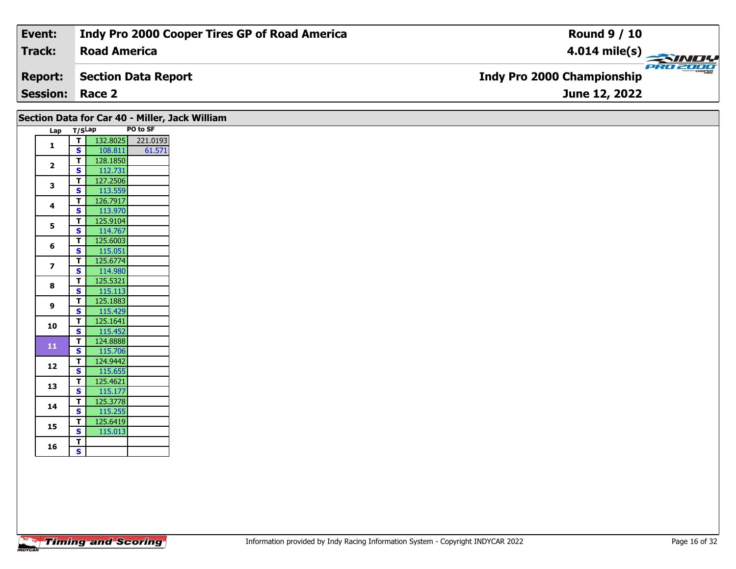| Event:                 | Indy Pro 2000 Cooper Tires GP of Road America | <b>Round 9 / 10</b>                           |
|------------------------|-----------------------------------------------|-----------------------------------------------|
| Track:                 | <b>Road America</b>                           | $4.014$ mile(s)                               |
| <b>Report:</b>         | Section Data Report                           | PRO 2000<br><b>Indy Pro 2000 Championship</b> |
| <b>Session: Race 2</b> |                                               | June 12, 2022                                 |

|                         |                                        |                     | Section Data for Car 40 - Miller, Jack William |
|-------------------------|----------------------------------------|---------------------|------------------------------------------------|
| Lap T/SLap              |                                        |                     | PO to SF                                       |
| 1                       | $\mathbf T$<br>$\overline{\mathbf{s}}$ | 108.811             | 132.8025 221.0193<br>61.571                    |
|                         | $\mathbf T$                            | 128.1850            |                                                |
| $\mathbf{2}$            | <b>S</b>                               | 112.731             |                                                |
|                         | $\mathbf T$                            | 127.2506            |                                                |
| 3                       | $\mathbf{s}$                           | 113.559             |                                                |
| 4                       | $\mathbf T$                            | 126.7917            |                                                |
|                         | $\mathbf{s}$                           | 113.970             |                                                |
| 5                       | $\mathbf{T}$<br>$\mathbf{s}$           | 125.9104<br>114.767 |                                                |
|                         | $\mathbf T$                            | 125.6003            |                                                |
| 6                       | $\mathbf{s}$                           | 115.051             |                                                |
|                         | $\mathbf T$                            | 125.6774            |                                                |
| $\overline{\mathbf{z}}$ | <b>S</b>                               | 114.980             |                                                |
| 8                       | $\mathbf{T}$                           | 125.5321            |                                                |
|                         | $\overline{\mathbf{s}}$                | 115.113             |                                                |
| 9                       | $\mathbf{T}$<br><b>S</b>               | 125.1883<br>115.429 |                                                |
|                         | $\mathbf T$                            | 125.1641            |                                                |
| 10                      | $\overline{\mathbf{s}}$                | 115.452             |                                                |
|                         | $\mathbf{T}$                           | 124.8888            |                                                |
| ${\bf 11}$              | $\overline{\mathbf{s}}$                | 115.706             |                                                |
| 12                      | T                                      | 124.9442            |                                                |
|                         | <b>S</b>                               | 115.655             |                                                |
| 13                      | $\mathbf T$<br>$\mathbf{s}$            | 125.4621<br>115.177 |                                                |
|                         | $\mathbf T$                            | 125.3778            |                                                |
| 14                      | <b>S</b>                               | 115.255             |                                                |
|                         | T                                      | 125.6419            |                                                |
| 15                      | $\overline{\mathbf{s}}$                | 115.013             |                                                |
|                         | $\mathbf T$                            |                     |                                                |
| 16                      | $\mathbf{s}$                           |                     |                                                |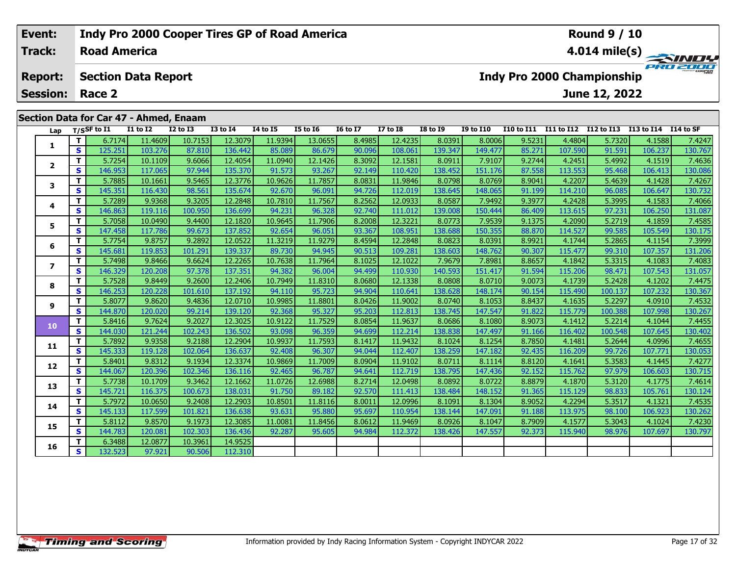| Event:<br><b>Indy Pro 2000 Cooper Tires GP of Road America</b> |                                        |          |                     |                            |                 |              |                 |          |                            |                 | <b>Round 9 / 10</b> |                  |            |            |                                   |            |           |  |  |
|----------------------------------------------------------------|----------------------------------------|----------|---------------------|----------------------------|-----------------|--------------|-----------------|----------|----------------------------|-----------------|---------------------|------------------|------------|------------|-----------------------------------|------------|-----------|--|--|
|                                                                | Track:                                 |          | <b>Road America</b> |                            |                 |              |                 |          | 4.014 mile(s) $-$<br>SINDY |                 |                     |                  |            |            |                                   |            |           |  |  |
|                                                                | <b>Report:</b>                         |          |                     | <b>Section Data Report</b> |                 |              |                 |          |                            |                 |                     |                  |            |            | <b>Indy Pro 2000 Championship</b> |            | PRO 2000  |  |  |
|                                                                | <b>Session:</b>                        |          | Race 2              |                            |                 |              |                 |          |                            |                 |                     |                  |            |            | June 12, 2022                     |            |           |  |  |
|                                                                | Section Data for Car 47 - Ahmed, Enaam |          |                     |                            |                 |              |                 |          |                            |                 |                     |                  |            |            |                                   |            |           |  |  |
|                                                                | Lap                                    |          | $T/S$ SF to $I1$    | $I1$ to $I2$               | <b>I2 to I3</b> | $I3$ to $I4$ | <b>I4 to I5</b> | I5 to 16 | <b>16 to 17</b>            | <b>I7 to I8</b> | <b>I8 to 19</b>     | <b>I9 to I10</b> | I10 to I11 | I11 to I12 | I12 to I13                        | I13 to I14 | I14 to SF |  |  |
|                                                                |                                        |          | 6.7174              | 11.4609                    | 10.7153         | 12.3079      | 11.9394         | 13.0655  | 8.4985                     | 12.4235         | 8.0391              | 8.0006           | 9.5231     | 4.4804     | 5.7320                            | 4.1588     | 7.4247    |  |  |
|                                                                |                                        | <b>S</b> | 125.251             | 103.276                    | 87.810          | 136.442      | 85.089          | 86.679   | 90.096                     | 108.061         | 139.347             | 149.477          | 85.271     | 107.590    | 91.591                            | 106.237    | 130.767   |  |  |

2 | T | 5.7254 10.1109 9.6066 12.4054 11.0940 12.1426 8.3092 12.1581 8.0911 7.9107 9.2744 4.2451 5.4992 4.1519 7.4636<br>2 | S | 146.953 117.065 97.944 135.370 91.573 93.267 92.149 110.420 138.452 151.176 87.558 113.553 95.46

3 T 5.7885 10.1661 9.5465 12.3776 10.9626 11.7857 8.0831 11.9846 8.0798 8.0769 8.9041 4.2207 5.4639 4.1428 7.4267<br>S S 145.351 116.430 98.561 135.674 92.670 96.091 94.726 112.019 138.645 148.065 91.199 114.210 96.085 106.64

**<sup>T</sup>** 5.7289 9.9368 9.3205 12.2848 10.7810 11.7567 8.2562 12.0933 8.0587 7.9492 9.3977 4.2428 5.3995 4.1583 7.4066 **<sup>S</sup>** 146.863 119.116 100.950 136.699 94.231 96.328 92.740 111.012 139.008 150.444 86.409 113.615 97.231 106.250 131.087

5 T | 5.7058| 10.0490| 9.4400| 12.1820| 10.9645| 11.7906| 8.2008| 12.3221| 8.0773| 7.9539| 9.1375| 4.2090| 5.2719| 4.1859| 7.4585<br>| S | 147.458| 117.786| 99.673| 137.852| 92.654| 96.051| 93.367| 108.951| 138.688| 150.355|

**<sup>T</sup>** 5.7754 9.8757 9.2892 12.0522 11.3219 11.9279 8.4594 12.2848 8.0823 8.0391 8.9921 4.1744 5.2865 4.1154 7.3999 **<sup>S</sup>** 145.681 119.853 101.291 139.337 89.730 94.945 90.513 109.281 138.603 148.762 90.307 115.477 99.310 107.357 131.206

7 | T | 5.7498| 9.8466| 9.6624| 12.2265| 10.7638| 11.7964| 8.1025| 12.1022| 7.9679| 7.8981| 8.8657| 4.1842| 5.3315| 4.1083| 7.4083<br>7 | S | 146.329 120.208| 97.378 137.351 94.382 96.004| 94.499| 110.930| 140.593| 151.417| 9

8 T | 5.7528 9.8449 9.2600 12.2406 10.7949 11.8310 8.0680 12.1338 8.0808 8.0710 9.0073 4.1739 5.2428 4.1202 7.4475<br>8 S 146.253 120.228 101.610 137.192 94.110 95.723 94.904 110.641 138.628 148.174 90.154 115.490 100.137 107

7.4532 | 10.907 | 9.8620 | 9.4836 | 12.0710 | 10.9985 | 11.8801 | 8.0426 | 11.9002 | 8.0740 | 8.1053 | 8.8437 |<br>S | 144.870 | 120.020 | 99.214 | 139.120 | 92.368 | 95.327 | 95.203 | 112.813 | 138.745 | 147.547 | 91.822 |

0 T | 5.8416| 9.7624| 9.2027| 12.3025| 10.9122| 11.7529| 8.0854| 11.9637| 8.0686| 8.1080| 8.9073| 4.1412| 5.2214| 4.1044| 7.4455<br>| S 144.030 121.244| 102.243| 136.502| 93.098| 96.359| 94.699| 112.214| 138.838| 147.497| 91.

**<sup>T</sup>** 5.7892 9.9358 9.2188 12.2904 10.9937 11.7593 8.1417 11.9432 8.1024 8.1254 8.7850 4.1481 5.2644 4.0996 7.4655 **<sup>S</sup>** 145.333 119.128 102.064 136.637 92.408 96.307 94.044 112.407 138.259 147.182 92.435 116.209 99.726 107.771 130.053

2 T 5.8401 9.8312 9.1934 12.3374 10.9869 11.7009 8.0904 11.9102 8.0711 8.1114 8.8120 4.1641 5.3583 4.1445 7.4277<br>2 S 144.067 120.396 102.346 136.116 92.465 96.787 94.641 112.719 138.795 147.436 92.152 115.762 97.979 106.60

3 | T | 5.7738| 10.1709| 9.3462| 12.1662| 11.0726| 12.6988| 8.2714| 12.0498| 8.0892| 8.0722| 8.8879| 4.1870| 5.3120| 4.1775| 7.4614<br>| S | 145.721| 116.375| 100.673| 138.031| 91.750| 89.182| 92.570| 111.413| 138.484| 148.15

4 | **T** | 5.7972 | 10.0650 | 9.2408 | 12.2903 | 10.8501 | 11.8116 | 8.0011 | 12.0996 | 8.1091 | 8.1304 | 8.9052 | 4.2294 | 5.3517 | 4.1321 | 7.4535<br>-3 | 5 | 145.133 | 117.599 | 101.821 | 136.638 | 93.631 | 95.880 | 95.697

**<sup>T</sup>** 5.8112 9.8570 9.1973 12.3085 11.0081 11.8456 8.0612 11.9469 8.0926 8.1047 8.7909 4.1577 5.3043 4.1024 7.4230 **<sup>S</sup>** 144.783 120.081 102.303 136.436 92.287 95.605 94.984 112.372 138.426 147.557 92.373 115.940 98.976 107.697 130.797

| <b>Timing and Scoring</b> |  |  |
|---------------------------|--|--|
|                           |  |  |

**<sup>T</sup>** 6.3488 12.0877 10.3961 14.9525 **<sup>S</sup>** 132.523 97.921 90.506 112.310

**2**

**3**

**4**

**5**

**6**

**7**

**8**

**9**

**10**

**11**

**12**

**13**

**14**

**15**

**16**

131.08

131.057

130.267

130.262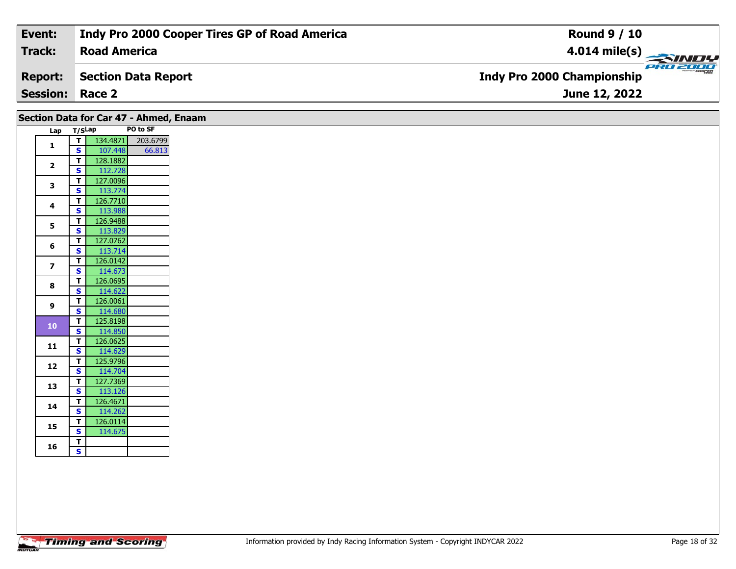| Event:                 | Indy Pro 2000 Cooper Tires GP of Road America | <b>Round 9 / 10</b>                                 |
|------------------------|-----------------------------------------------|-----------------------------------------------------|
| Track:                 | <b>Road America</b>                           | $\frac{4.014 \text{ mile(s)}}{4.014 \text{ miles}}$ |
| <b>Report:</b>         | Section Data Report                           | <b>Indy Pro 2000 Championship</b>                   |
| <b>Session: Race 2</b> |                                               | June 12, 2022                                       |
|                        |                                               |                                                     |

|                         |              |                              |                     | Section Data for Car 47 - Ahmed, Enaam |
|-------------------------|--------------|------------------------------|---------------------|----------------------------------------|
|                         | Lap T/SLap   |                              |                     | PO to SF                               |
|                         | $\mathbf{1}$ | ⊤।                           | 134.4871            | 203.6799                               |
|                         |              | S                            | 107.448             | 66.813                                 |
|                         | $\mathbf{2}$ | T                            | 128.1882            |                                        |
|                         |              | $\mathbf{s}$                 | 112.728             |                                        |
|                         | 3            | T                            | 127.0096            |                                        |
|                         |              | $\mathbf{s}$                 | 113.774             |                                        |
|                         | 4            | T<br>$\overline{\mathbf{s}}$ | 126.7710            |                                        |
|                         |              |                              | 113.988             |                                        |
|                         | 5            | T<br>$\overline{\mathbf{s}}$ | 126.9488            |                                        |
|                         |              | T                            | 113.829<br>127.0762 |                                        |
| 6                       |              | $\mathbf{s}$                 | 113.714             |                                        |
|                         |              | $\mathbf{T}$                 | 126.0142            |                                        |
| $\overline{\mathbf{z}}$ |              | $\mathbf{s}$                 | 114.673             |                                        |
|                         |              | T                            | 126.0695            |                                        |
| 8                       |              | $\mathbf{s}$                 | 114.622             |                                        |
|                         |              | T                            | 126.0061            |                                        |
| 9                       |              | $\overline{\mathbf{s}}$      | 114.680             |                                        |
|                         |              | $\mathbf{T}$                 | 125.8198            |                                        |
|                         | ${\bf 10}$   | $\overline{\mathbf{s}}$      | 114.850             |                                        |
|                         |              | T                            | 126.0625            |                                        |
| 11                      |              | $\mathbf{s}$                 | 114.629             |                                        |
|                         | 12           | T                            | 125.9796            |                                        |
|                         |              | $\mathbf{s}$                 | 114.704             |                                        |
| 13                      |              | T                            | 127.7369            |                                        |
|                         |              | s,                           | 113.126             |                                        |
| 14                      |              | T                            | 126.4671            |                                        |
|                         |              | $\mathbf{s}$                 | 114.262             |                                        |
| 15                      |              | T.                           | 126.0114            |                                        |
|                         |              | $\overline{\mathbf{s}}$      | 114.675             |                                        |
| 16                      |              | T<br>$\mathsf{s}$            |                     |                                        |
|                         |              |                              |                     |                                        |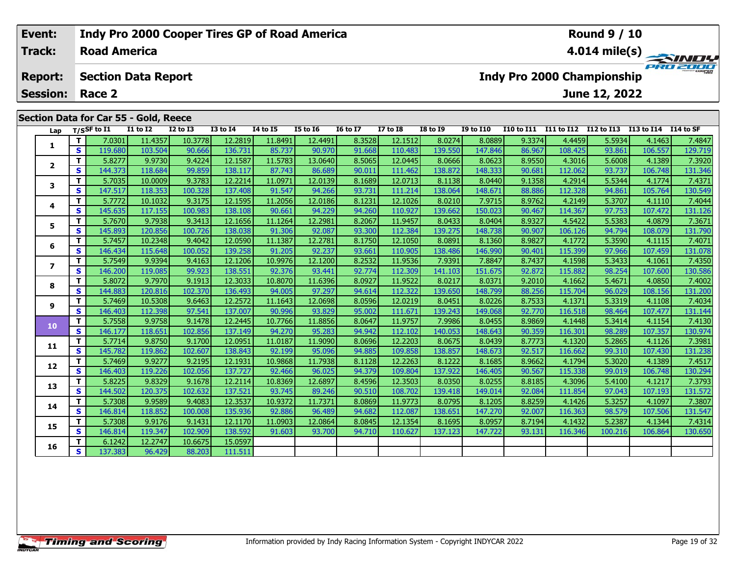#### **Event: Indy Pro 2000 Cooper Tires GP of Road America Round 9 / 10Track:Road America4.014 mile(s) PRO 2000 Report: Section Data Report Indy Pro 2000 Championship June 12, 2022 Session: Race 2 Section Data for Car 55 - Gold, Reece Lap T/SSF to I1 I1 to I2 I2 to I3 I3 to I4 I4 to I5 I5 to I6 I6 to I7 I7 to I8 I8 to I9 I9 to I10 I10 to I11 I11 to I12 I12 to I13 I13 to I14 I14 to SF**  1 | T | 7.0301 11.4357 10.3778 12.2819 11.8491 12.4491 8.3528 12.1512 8.0274 8.0889 9.3374 4.4459 5.5934 4.1463 7.4847<br>1 | S | 119.680 103.504 90.666 136.731 85.737 90.970 91.668 110.483 139.550 147.846 86.967 108.425 93.8 **1**2 | T | 5.8277| 9.9730| 9.4224| 12.1587| 11.5783| 13.0640| 8.5065| 12.0445| 8.0666| 8.0623| 8.9550| 4.3016| 5.6008| 4.1389| 7.3920<br>2 | S | 144.373 118.684 | 99.859 138.117| 87.743| 86.689| 90.011| 111.462| 138.872| 148.333 **2**

| T.<br>5.8277<br>9.9730<br>9.4224<br>12.1587<br>13.0640<br>8.5065<br>12.0445<br>8.0623<br>8.9550<br>4.3016<br>7.3920<br>11.5783<br>8.0666<br>5.6008<br>4.1389<br>$\overline{\mathbf{2}}$<br>S.<br>99.859<br>144.373<br>138.117<br>90.011<br>138.872<br>90.681<br>112.062<br>93.737<br>131.346<br>118.684<br>87.743<br>86.689<br>111.462<br>148.333<br>106.748<br>T.<br>5.7035<br>9.3783<br>12.2214<br>8.1689<br>10.0009<br>12.0139<br>12.0713<br>8.0440<br>9.1358<br>4.2914<br>5.5344<br>4.1774<br>7.4371<br>11.0971<br>8.1138<br>3<br>S<br>112.328<br>130.549<br>147.517<br>118.353<br>100.328<br>137.408<br>91.547<br>94.266<br>93.731<br>111.214<br>138.064<br>148.671<br>88.886<br>94.861<br>105.764<br>T.<br>8.1231<br>8.9762<br>4.2149<br>5.7772<br>10.1032<br>9.3175<br>12.1595<br>11.2056<br>12.0186<br>12.1026<br>8.0210<br>7.9715<br>5.3707<br>7.4044<br>4.1110<br>4<br>S<br>131.126<br>145.635<br>100.983<br>138.108<br>90.661<br>94.229<br>94.260<br>110.927<br>139.662<br>150.023<br>90.467<br>114.367<br>97.753<br>107.472<br>117.155<br>т<br>5.7670<br>4.5422<br>7.3671<br>9.7938<br>9.3413<br>12.1656<br>8.2067<br>11.9457<br>8.9327<br>5.5383<br>4.0879<br>11.1264<br>12.2981<br>8.0433<br>8.0404<br>5<br>S<br>131.790<br>145.893<br>120.856<br>100.726<br>138.038<br>92.087<br>93.300<br>112.384<br>139.275<br>148.738<br>90.907<br>106.126<br>108.079<br>91.306<br>94.794<br>T.<br>10.2348<br>5.7457<br>9.4042<br>12.0590<br>12.2781<br>8.1750<br>12.1050<br>8.0891<br>8.1360<br>8.9827<br>4.1772<br>5.3590<br>4.1115<br>7.4071<br>11.1387<br>6<br>S<br>146.434<br>115.648<br>100.052<br>139.258<br>91.205<br>92.237<br>93.661<br>110.905<br>146.990<br>90.401<br>115.399<br>97.966<br>107.459<br>131.078<br>138.486<br>T.<br>5.7549<br>9.4163<br>8.2532<br>7.8847<br>5.3433<br>7.4350<br>9.9394<br>12.1206<br>10.9976<br>12.1200<br>11.9536<br>7.9391<br>8.7437<br>4.1598<br>4.1061<br>$\overline{\phantom{a}}$<br>S<br>99.923<br>138.551<br>130.586<br>146.200<br>92.774<br>112.309<br>92.872<br>115.882<br>98.254<br>107.600<br>119.085<br>92.376<br>93.441<br>141.103<br>151.675<br>T.<br>5.8072<br>9.7970<br>9.1913<br>12.3033<br>11.6396<br>8.0927<br>11.9522<br>8.0371<br>9.2010<br>4.0850<br>7.4002<br>10.8070<br>8.0217<br>4.1662<br>5.4671<br>8<br>S<br>144.883<br>120.816<br>102.370<br>136.493<br>94.005<br>97.297<br>112.322<br>139.650<br>88.256<br>115.704<br>96.029<br>131.200<br>94.614<br>148.799<br>108.156<br>T.<br>9.6463<br>8.7533<br>5.7469<br>10.5308<br>12.2572<br>11.1643<br>12.0698<br>8.0596<br>12.0219<br>8.0451<br>8.0226<br>4.1371<br>5.3319<br>4.1108<br>7.4034<br>9<br>S<br>97.541<br>137.007<br>95.002<br>116.518<br>131.144<br>146.403<br>112.398<br>90.996<br>93.829<br>111.671<br>139.243<br>149.068<br>92.770<br>98.464<br>107.477<br>T.<br>7.4130<br>5.7558<br>9.9758<br>9.1478<br>12.2445<br>11.8856<br>8.0647<br>11.9757<br>7.9986<br>8.0455<br>8.9869<br>4.1448<br>10.7766<br>5.3414<br>4.1154<br>10<br><b>S</b><br>130.974<br>146.177<br>102.856<br>137.149<br>94.270<br>94.942<br>112.102<br>90.359<br>116.301<br>98.289<br>118.651<br>95.283<br>140.053<br>148.643<br>107.357<br>T.<br>5.7714<br>9.8750<br>9.1700<br>11.9090<br>8.0696<br>12.2203<br>8.7773<br>4.1320<br>7.3981<br>12.0951<br>11.0187<br>8.0675<br>8.0439<br>5.2865<br>4.1126<br>11<br>S<br>94.885<br>145.782<br>119.862<br>102.607<br>138.843<br>109.858<br>138.857<br>92.517<br>116.662<br>99.310<br>107.430<br>131.238<br>92.199<br>95.096<br>148.673<br>T.<br>5.7469<br>9.9277<br>9.2195<br>12.1931<br>10.9868<br>11.7938<br>8.1128<br>12.2263<br>8.9662<br>4.1794<br>5.3020<br>4.1389<br>7.4517<br>8.1222<br>8.1685<br>12<br>S<br>130.294<br>137.727<br>115.338<br>146.403<br>119.226<br>102.056<br>92.466<br>96.025<br>94.379<br>109.804<br>137.922<br>146.405<br>90.567<br>99.019<br>106.748<br>T.<br>9.1678<br>8.4596<br>8.8185<br>4.3096<br>5.8225<br>9.8329<br>12.2114<br>12.6897<br>12.3503<br>8.0255<br>5.4100<br>4.1217<br>7.3793<br>10.8369<br>8.0350<br>13<br>S<br>102.632<br>97.043<br>131.572<br>144.502<br>120.375<br>137.521<br>93.745<br>89.246<br>90.510<br>108.702<br>139.418<br>149.014<br>92.084<br>111.854<br>107.193<br>T.<br>5.7308<br>9.4083<br>12.3537<br>8.8259<br>5.3257<br>7.3807<br>9.9589<br>10.9372<br>11.7371<br>8.0869<br>11.9773<br>8.0795<br>8.1205<br>4.1426<br>4.1097<br>14<br>S<br>131.547<br>135.936<br>112.087<br>116.363<br>146.814<br>118.852<br>100.008<br>92.886<br>96.489<br>94.682<br>138.651<br>147.270<br>92.007<br>98.579<br>107.506<br>T.<br>5.7308<br>9.9176<br>9.1431<br>12.1170<br>12.1354<br>7.4314<br>12.0864<br>8.0845<br>8.1695<br>8.0957<br>8.7194<br>4.1432<br>5.2387<br>4.1344<br>11.0903<br>15<br>$\mathbf{s}$<br>146.814<br>119.347<br>102.909<br>138.592<br>94.710<br>110.627<br>93.131<br>106.864<br>130.650<br>91.603<br>93.700<br>137.123<br>147.722<br>116.346<br>100.216<br>T.<br>6.1242<br>12.2747<br>10.6675<br>15.0597<br>16<br>$\mathbf{s}$<br>137.383<br>111.511<br>96.429<br>88.203 |  | S.<br>119.680 | 103.504 | 90.666 | 136.731 | 85.737 | 90.970 | 91.668 | 110.483 | 139.550 | 147.846 | 86.967 | 108.425 | 93.861 | 106.557 | 129.719 |
|--------------------------------------------------------------------------------------------------------------------------------------------------------------------------------------------------------------------------------------------------------------------------------------------------------------------------------------------------------------------------------------------------------------------------------------------------------------------------------------------------------------------------------------------------------------------------------------------------------------------------------------------------------------------------------------------------------------------------------------------------------------------------------------------------------------------------------------------------------------------------------------------------------------------------------------------------------------------------------------------------------------------------------------------------------------------------------------------------------------------------------------------------------------------------------------------------------------------------------------------------------------------------------------------------------------------------------------------------------------------------------------------------------------------------------------------------------------------------------------------------------------------------------------------------------------------------------------------------------------------------------------------------------------------------------------------------------------------------------------------------------------------------------------------------------------------------------------------------------------------------------------------------------------------------------------------------------------------------------------------------------------------------------------------------------------------------------------------------------------------------------------------------------------------------------------------------------------------------------------------------------------------------------------------------------------------------------------------------------------------------------------------------------------------------------------------------------------------------------------------------------------------------------------------------------------------------------------------------------------------------------------------------------------------------------------------------------------------------------------------------------------------------------------------------------------------------------------------------------------------------------------------------------------------------------------------------------------------------------------------------------------------------------------------------------------------------------------------------------------------------------------------------------------------------------------------------------------------------------------------------------------------------------------------------------------------------------------------------------------------------------------------------------------------------------------------------------------------------------------------------------------------------------------------------------------------------------------------------------------------------------------------------------------------------------------------------------------------------------------------------------------------------------------------------------------------------------------------------------------------------------------------------------------------------------------------------------------------------------------------------------------------------------------------------------------------------------------------------------------------------------------------------------------------------------------------------------------------------------------------------------------------------------------------------------------------------------------------------------------------------------------------------------------------------------------------------------------------------------------------------------------------------------------------------------------------------------------------------------------------------------------------------------------------------------------------------------------------------------------------------------------------------------------------------------------------------------------------------------------------------------------------------------------------------------------------------------------------------------------------------|--|---------------|---------|--------|---------|--------|--------|--------|---------|---------|---------|--------|---------|--------|---------|---------|
|                                                                                                                                                                                                                                                                                                                                                                                                                                                                                                                                                                                                                                                                                                                                                                                                                                                                                                                                                                                                                                                                                                                                                                                                                                                                                                                                                                                                                                                                                                                                                                                                                                                                                                                                                                                                                                                                                                                                                                                                                                                                                                                                                                                                                                                                                                                                                                                                                                                                                                                                                                                                                                                                                                                                                                                                                                                                                                                                                                                                                                                                                                                                                                                                                                                                                                                                                                                                                                                                                                                                                                                                                                                                                                                                                                                                                                                                                                                                                                                                                                                                                                                                                                                                                                                                                                                                                                                                                                                                                                                                                                                                                                                                                                                                                                                                                                                                                                                                                                                                  |  |               |         |        |         |        |        |        |         |         |         |        |         |        |         |         |
|                                                                                                                                                                                                                                                                                                                                                                                                                                                                                                                                                                                                                                                                                                                                                                                                                                                                                                                                                                                                                                                                                                                                                                                                                                                                                                                                                                                                                                                                                                                                                                                                                                                                                                                                                                                                                                                                                                                                                                                                                                                                                                                                                                                                                                                                                                                                                                                                                                                                                                                                                                                                                                                                                                                                                                                                                                                                                                                                                                                                                                                                                                                                                                                                                                                                                                                                                                                                                                                                                                                                                                                                                                                                                                                                                                                                                                                                                                                                                                                                                                                                                                                                                                                                                                                                                                                                                                                                                                                                                                                                                                                                                                                                                                                                                                                                                                                                                                                                                                                                  |  |               |         |        |         |        |        |        |         |         |         |        |         |        |         |         |
|                                                                                                                                                                                                                                                                                                                                                                                                                                                                                                                                                                                                                                                                                                                                                                                                                                                                                                                                                                                                                                                                                                                                                                                                                                                                                                                                                                                                                                                                                                                                                                                                                                                                                                                                                                                                                                                                                                                                                                                                                                                                                                                                                                                                                                                                                                                                                                                                                                                                                                                                                                                                                                                                                                                                                                                                                                                                                                                                                                                                                                                                                                                                                                                                                                                                                                                                                                                                                                                                                                                                                                                                                                                                                                                                                                                                                                                                                                                                                                                                                                                                                                                                                                                                                                                                                                                                                                                                                                                                                                                                                                                                                                                                                                                                                                                                                                                                                                                                                                                                  |  |               |         |        |         |        |        |        |         |         |         |        |         |        |         |         |
|                                                                                                                                                                                                                                                                                                                                                                                                                                                                                                                                                                                                                                                                                                                                                                                                                                                                                                                                                                                                                                                                                                                                                                                                                                                                                                                                                                                                                                                                                                                                                                                                                                                                                                                                                                                                                                                                                                                                                                                                                                                                                                                                                                                                                                                                                                                                                                                                                                                                                                                                                                                                                                                                                                                                                                                                                                                                                                                                                                                                                                                                                                                                                                                                                                                                                                                                                                                                                                                                                                                                                                                                                                                                                                                                                                                                                                                                                                                                                                                                                                                                                                                                                                                                                                                                                                                                                                                                                                                                                                                                                                                                                                                                                                                                                                                                                                                                                                                                                                                                  |  |               |         |        |         |        |        |        |         |         |         |        |         |        |         |         |
|                                                                                                                                                                                                                                                                                                                                                                                                                                                                                                                                                                                                                                                                                                                                                                                                                                                                                                                                                                                                                                                                                                                                                                                                                                                                                                                                                                                                                                                                                                                                                                                                                                                                                                                                                                                                                                                                                                                                                                                                                                                                                                                                                                                                                                                                                                                                                                                                                                                                                                                                                                                                                                                                                                                                                                                                                                                                                                                                                                                                                                                                                                                                                                                                                                                                                                                                                                                                                                                                                                                                                                                                                                                                                                                                                                                                                                                                                                                                                                                                                                                                                                                                                                                                                                                                                                                                                                                                                                                                                                                                                                                                                                                                                                                                                                                                                                                                                                                                                                                                  |  |               |         |        |         |        |        |        |         |         |         |        |         |        |         |         |
|                                                                                                                                                                                                                                                                                                                                                                                                                                                                                                                                                                                                                                                                                                                                                                                                                                                                                                                                                                                                                                                                                                                                                                                                                                                                                                                                                                                                                                                                                                                                                                                                                                                                                                                                                                                                                                                                                                                                                                                                                                                                                                                                                                                                                                                                                                                                                                                                                                                                                                                                                                                                                                                                                                                                                                                                                                                                                                                                                                                                                                                                                                                                                                                                                                                                                                                                                                                                                                                                                                                                                                                                                                                                                                                                                                                                                                                                                                                                                                                                                                                                                                                                                                                                                                                                                                                                                                                                                                                                                                                                                                                                                                                                                                                                                                                                                                                                                                                                                                                                  |  |               |         |        |         |        |        |        |         |         |         |        |         |        |         |         |
|                                                                                                                                                                                                                                                                                                                                                                                                                                                                                                                                                                                                                                                                                                                                                                                                                                                                                                                                                                                                                                                                                                                                                                                                                                                                                                                                                                                                                                                                                                                                                                                                                                                                                                                                                                                                                                                                                                                                                                                                                                                                                                                                                                                                                                                                                                                                                                                                                                                                                                                                                                                                                                                                                                                                                                                                                                                                                                                                                                                                                                                                                                                                                                                                                                                                                                                                                                                                                                                                                                                                                                                                                                                                                                                                                                                                                                                                                                                                                                                                                                                                                                                                                                                                                                                                                                                                                                                                                                                                                                                                                                                                                                                                                                                                                                                                                                                                                                                                                                                                  |  |               |         |        |         |        |        |        |         |         |         |        |         |        |         |         |
|                                                                                                                                                                                                                                                                                                                                                                                                                                                                                                                                                                                                                                                                                                                                                                                                                                                                                                                                                                                                                                                                                                                                                                                                                                                                                                                                                                                                                                                                                                                                                                                                                                                                                                                                                                                                                                                                                                                                                                                                                                                                                                                                                                                                                                                                                                                                                                                                                                                                                                                                                                                                                                                                                                                                                                                                                                                                                                                                                                                                                                                                                                                                                                                                                                                                                                                                                                                                                                                                                                                                                                                                                                                                                                                                                                                                                                                                                                                                                                                                                                                                                                                                                                                                                                                                                                                                                                                                                                                                                                                                                                                                                                                                                                                                                                                                                                                                                                                                                                                                  |  |               |         |        |         |        |        |        |         |         |         |        |         |        |         |         |
|                                                                                                                                                                                                                                                                                                                                                                                                                                                                                                                                                                                                                                                                                                                                                                                                                                                                                                                                                                                                                                                                                                                                                                                                                                                                                                                                                                                                                                                                                                                                                                                                                                                                                                                                                                                                                                                                                                                                                                                                                                                                                                                                                                                                                                                                                                                                                                                                                                                                                                                                                                                                                                                                                                                                                                                                                                                                                                                                                                                                                                                                                                                                                                                                                                                                                                                                                                                                                                                                                                                                                                                                                                                                                                                                                                                                                                                                                                                                                                                                                                                                                                                                                                                                                                                                                                                                                                                                                                                                                                                                                                                                                                                                                                                                                                                                                                                                                                                                                                                                  |  |               |         |        |         |        |        |        |         |         |         |        |         |        |         |         |
|                                                                                                                                                                                                                                                                                                                                                                                                                                                                                                                                                                                                                                                                                                                                                                                                                                                                                                                                                                                                                                                                                                                                                                                                                                                                                                                                                                                                                                                                                                                                                                                                                                                                                                                                                                                                                                                                                                                                                                                                                                                                                                                                                                                                                                                                                                                                                                                                                                                                                                                                                                                                                                                                                                                                                                                                                                                                                                                                                                                                                                                                                                                                                                                                                                                                                                                                                                                                                                                                                                                                                                                                                                                                                                                                                                                                                                                                                                                                                                                                                                                                                                                                                                                                                                                                                                                                                                                                                                                                                                                                                                                                                                                                                                                                                                                                                                                                                                                                                                                                  |  |               |         |        |         |        |        |        |         |         |         |        |         |        |         |         |
|                                                                                                                                                                                                                                                                                                                                                                                                                                                                                                                                                                                                                                                                                                                                                                                                                                                                                                                                                                                                                                                                                                                                                                                                                                                                                                                                                                                                                                                                                                                                                                                                                                                                                                                                                                                                                                                                                                                                                                                                                                                                                                                                                                                                                                                                                                                                                                                                                                                                                                                                                                                                                                                                                                                                                                                                                                                                                                                                                                                                                                                                                                                                                                                                                                                                                                                                                                                                                                                                                                                                                                                                                                                                                                                                                                                                                                                                                                                                                                                                                                                                                                                                                                                                                                                                                                                                                                                                                                                                                                                                                                                                                                                                                                                                                                                                                                                                                                                                                                                                  |  |               |         |        |         |        |        |        |         |         |         |        |         |        |         |         |
|                                                                                                                                                                                                                                                                                                                                                                                                                                                                                                                                                                                                                                                                                                                                                                                                                                                                                                                                                                                                                                                                                                                                                                                                                                                                                                                                                                                                                                                                                                                                                                                                                                                                                                                                                                                                                                                                                                                                                                                                                                                                                                                                                                                                                                                                                                                                                                                                                                                                                                                                                                                                                                                                                                                                                                                                                                                                                                                                                                                                                                                                                                                                                                                                                                                                                                                                                                                                                                                                                                                                                                                                                                                                                                                                                                                                                                                                                                                                                                                                                                                                                                                                                                                                                                                                                                                                                                                                                                                                                                                                                                                                                                                                                                                                                                                                                                                                                                                                                                                                  |  |               |         |        |         |        |        |        |         |         |         |        |         |        |         |         |
|                                                                                                                                                                                                                                                                                                                                                                                                                                                                                                                                                                                                                                                                                                                                                                                                                                                                                                                                                                                                                                                                                                                                                                                                                                                                                                                                                                                                                                                                                                                                                                                                                                                                                                                                                                                                                                                                                                                                                                                                                                                                                                                                                                                                                                                                                                                                                                                                                                                                                                                                                                                                                                                                                                                                                                                                                                                                                                                                                                                                                                                                                                                                                                                                                                                                                                                                                                                                                                                                                                                                                                                                                                                                                                                                                                                                                                                                                                                                                                                                                                                                                                                                                                                                                                                                                                                                                                                                                                                                                                                                                                                                                                                                                                                                                                                                                                                                                                                                                                                                  |  |               |         |        |         |        |        |        |         |         |         |        |         |        |         |         |
|                                                                                                                                                                                                                                                                                                                                                                                                                                                                                                                                                                                                                                                                                                                                                                                                                                                                                                                                                                                                                                                                                                                                                                                                                                                                                                                                                                                                                                                                                                                                                                                                                                                                                                                                                                                                                                                                                                                                                                                                                                                                                                                                                                                                                                                                                                                                                                                                                                                                                                                                                                                                                                                                                                                                                                                                                                                                                                                                                                                                                                                                                                                                                                                                                                                                                                                                                                                                                                                                                                                                                                                                                                                                                                                                                                                                                                                                                                                                                                                                                                                                                                                                                                                                                                                                                                                                                                                                                                                                                                                                                                                                                                                                                                                                                                                                                                                                                                                                                                                                  |  |               |         |        |         |        |        |        |         |         |         |        |         |        |         |         |
|                                                                                                                                                                                                                                                                                                                                                                                                                                                                                                                                                                                                                                                                                                                                                                                                                                                                                                                                                                                                                                                                                                                                                                                                                                                                                                                                                                                                                                                                                                                                                                                                                                                                                                                                                                                                                                                                                                                                                                                                                                                                                                                                                                                                                                                                                                                                                                                                                                                                                                                                                                                                                                                                                                                                                                                                                                                                                                                                                                                                                                                                                                                                                                                                                                                                                                                                                                                                                                                                                                                                                                                                                                                                                                                                                                                                                                                                                                                                                                                                                                                                                                                                                                                                                                                                                                                                                                                                                                                                                                                                                                                                                                                                                                                                                                                                                                                                                                                                                                                                  |  |               |         |        |         |        |        |        |         |         |         |        |         |        |         |         |
|                                                                                                                                                                                                                                                                                                                                                                                                                                                                                                                                                                                                                                                                                                                                                                                                                                                                                                                                                                                                                                                                                                                                                                                                                                                                                                                                                                                                                                                                                                                                                                                                                                                                                                                                                                                                                                                                                                                                                                                                                                                                                                                                                                                                                                                                                                                                                                                                                                                                                                                                                                                                                                                                                                                                                                                                                                                                                                                                                                                                                                                                                                                                                                                                                                                                                                                                                                                                                                                                                                                                                                                                                                                                                                                                                                                                                                                                                                                                                                                                                                                                                                                                                                                                                                                                                                                                                                                                                                                                                                                                                                                                                                                                                                                                                                                                                                                                                                                                                                                                  |  |               |         |        |         |        |        |        |         |         |         |        |         |        |         |         |
|                                                                                                                                                                                                                                                                                                                                                                                                                                                                                                                                                                                                                                                                                                                                                                                                                                                                                                                                                                                                                                                                                                                                                                                                                                                                                                                                                                                                                                                                                                                                                                                                                                                                                                                                                                                                                                                                                                                                                                                                                                                                                                                                                                                                                                                                                                                                                                                                                                                                                                                                                                                                                                                                                                                                                                                                                                                                                                                                                                                                                                                                                                                                                                                                                                                                                                                                                                                                                                                                                                                                                                                                                                                                                                                                                                                                                                                                                                                                                                                                                                                                                                                                                                                                                                                                                                                                                                                                                                                                                                                                                                                                                                                                                                                                                                                                                                                                                                                                                                                                  |  |               |         |        |         |        |        |        |         |         |         |        |         |        |         |         |
|                                                                                                                                                                                                                                                                                                                                                                                                                                                                                                                                                                                                                                                                                                                                                                                                                                                                                                                                                                                                                                                                                                                                                                                                                                                                                                                                                                                                                                                                                                                                                                                                                                                                                                                                                                                                                                                                                                                                                                                                                                                                                                                                                                                                                                                                                                                                                                                                                                                                                                                                                                                                                                                                                                                                                                                                                                                                                                                                                                                                                                                                                                                                                                                                                                                                                                                                                                                                                                                                                                                                                                                                                                                                                                                                                                                                                                                                                                                                                                                                                                                                                                                                                                                                                                                                                                                                                                                                                                                                                                                                                                                                                                                                                                                                                                                                                                                                                                                                                                                                  |  |               |         |        |         |        |        |        |         |         |         |        |         |        |         |         |
|                                                                                                                                                                                                                                                                                                                                                                                                                                                                                                                                                                                                                                                                                                                                                                                                                                                                                                                                                                                                                                                                                                                                                                                                                                                                                                                                                                                                                                                                                                                                                                                                                                                                                                                                                                                                                                                                                                                                                                                                                                                                                                                                                                                                                                                                                                                                                                                                                                                                                                                                                                                                                                                                                                                                                                                                                                                                                                                                                                                                                                                                                                                                                                                                                                                                                                                                                                                                                                                                                                                                                                                                                                                                                                                                                                                                                                                                                                                                                                                                                                                                                                                                                                                                                                                                                                                                                                                                                                                                                                                                                                                                                                                                                                                                                                                                                                                                                                                                                                                                  |  |               |         |        |         |        |        |        |         |         |         |        |         |        |         |         |
|                                                                                                                                                                                                                                                                                                                                                                                                                                                                                                                                                                                                                                                                                                                                                                                                                                                                                                                                                                                                                                                                                                                                                                                                                                                                                                                                                                                                                                                                                                                                                                                                                                                                                                                                                                                                                                                                                                                                                                                                                                                                                                                                                                                                                                                                                                                                                                                                                                                                                                                                                                                                                                                                                                                                                                                                                                                                                                                                                                                                                                                                                                                                                                                                                                                                                                                                                                                                                                                                                                                                                                                                                                                                                                                                                                                                                                                                                                                                                                                                                                                                                                                                                                                                                                                                                                                                                                                                                                                                                                                                                                                                                                                                                                                                                                                                                                                                                                                                                                                                  |  |               |         |        |         |        |        |        |         |         |         |        |         |        |         |         |
|                                                                                                                                                                                                                                                                                                                                                                                                                                                                                                                                                                                                                                                                                                                                                                                                                                                                                                                                                                                                                                                                                                                                                                                                                                                                                                                                                                                                                                                                                                                                                                                                                                                                                                                                                                                                                                                                                                                                                                                                                                                                                                                                                                                                                                                                                                                                                                                                                                                                                                                                                                                                                                                                                                                                                                                                                                                                                                                                                                                                                                                                                                                                                                                                                                                                                                                                                                                                                                                                                                                                                                                                                                                                                                                                                                                                                                                                                                                                                                                                                                                                                                                                                                                                                                                                                                                                                                                                                                                                                                                                                                                                                                                                                                                                                                                                                                                                                                                                                                                                  |  |               |         |        |         |        |        |        |         |         |         |        |         |        |         |         |
|                                                                                                                                                                                                                                                                                                                                                                                                                                                                                                                                                                                                                                                                                                                                                                                                                                                                                                                                                                                                                                                                                                                                                                                                                                                                                                                                                                                                                                                                                                                                                                                                                                                                                                                                                                                                                                                                                                                                                                                                                                                                                                                                                                                                                                                                                                                                                                                                                                                                                                                                                                                                                                                                                                                                                                                                                                                                                                                                                                                                                                                                                                                                                                                                                                                                                                                                                                                                                                                                                                                                                                                                                                                                                                                                                                                                                                                                                                                                                                                                                                                                                                                                                                                                                                                                                                                                                                                                                                                                                                                                                                                                                                                                                                                                                                                                                                                                                                                                                                                                  |  |               |         |        |         |        |        |        |         |         |         |        |         |        |         |         |
|                                                                                                                                                                                                                                                                                                                                                                                                                                                                                                                                                                                                                                                                                                                                                                                                                                                                                                                                                                                                                                                                                                                                                                                                                                                                                                                                                                                                                                                                                                                                                                                                                                                                                                                                                                                                                                                                                                                                                                                                                                                                                                                                                                                                                                                                                                                                                                                                                                                                                                                                                                                                                                                                                                                                                                                                                                                                                                                                                                                                                                                                                                                                                                                                                                                                                                                                                                                                                                                                                                                                                                                                                                                                                                                                                                                                                                                                                                                                                                                                                                                                                                                                                                                                                                                                                                                                                                                                                                                                                                                                                                                                                                                                                                                                                                                                                                                                                                                                                                                                  |  |               |         |        |         |        |        |        |         |         |         |        |         |        |         |         |
|                                                                                                                                                                                                                                                                                                                                                                                                                                                                                                                                                                                                                                                                                                                                                                                                                                                                                                                                                                                                                                                                                                                                                                                                                                                                                                                                                                                                                                                                                                                                                                                                                                                                                                                                                                                                                                                                                                                                                                                                                                                                                                                                                                                                                                                                                                                                                                                                                                                                                                                                                                                                                                                                                                                                                                                                                                                                                                                                                                                                                                                                                                                                                                                                                                                                                                                                                                                                                                                                                                                                                                                                                                                                                                                                                                                                                                                                                                                                                                                                                                                                                                                                                                                                                                                                                                                                                                                                                                                                                                                                                                                                                                                                                                                                                                                                                                                                                                                                                                                                  |  |               |         |        |         |        |        |        |         |         |         |        |         |        |         |         |
|                                                                                                                                                                                                                                                                                                                                                                                                                                                                                                                                                                                                                                                                                                                                                                                                                                                                                                                                                                                                                                                                                                                                                                                                                                                                                                                                                                                                                                                                                                                                                                                                                                                                                                                                                                                                                                                                                                                                                                                                                                                                                                                                                                                                                                                                                                                                                                                                                                                                                                                                                                                                                                                                                                                                                                                                                                                                                                                                                                                                                                                                                                                                                                                                                                                                                                                                                                                                                                                                                                                                                                                                                                                                                                                                                                                                                                                                                                                                                                                                                                                                                                                                                                                                                                                                                                                                                                                                                                                                                                                                                                                                                                                                                                                                                                                                                                                                                                                                                                                                  |  |               |         |        |         |        |        |        |         |         |         |        |         |        |         |         |
|                                                                                                                                                                                                                                                                                                                                                                                                                                                                                                                                                                                                                                                                                                                                                                                                                                                                                                                                                                                                                                                                                                                                                                                                                                                                                                                                                                                                                                                                                                                                                                                                                                                                                                                                                                                                                                                                                                                                                                                                                                                                                                                                                                                                                                                                                                                                                                                                                                                                                                                                                                                                                                                                                                                                                                                                                                                                                                                                                                                                                                                                                                                                                                                                                                                                                                                                                                                                                                                                                                                                                                                                                                                                                                                                                                                                                                                                                                                                                                                                                                                                                                                                                                                                                                                                                                                                                                                                                                                                                                                                                                                                                                                                                                                                                                                                                                                                                                                                                                                                  |  |               |         |        |         |        |        |        |         |         |         |        |         |        |         |         |
|                                                                                                                                                                                                                                                                                                                                                                                                                                                                                                                                                                                                                                                                                                                                                                                                                                                                                                                                                                                                                                                                                                                                                                                                                                                                                                                                                                                                                                                                                                                                                                                                                                                                                                                                                                                                                                                                                                                                                                                                                                                                                                                                                                                                                                                                                                                                                                                                                                                                                                                                                                                                                                                                                                                                                                                                                                                                                                                                                                                                                                                                                                                                                                                                                                                                                                                                                                                                                                                                                                                                                                                                                                                                                                                                                                                                                                                                                                                                                                                                                                                                                                                                                                                                                                                                                                                                                                                                                                                                                                                                                                                                                                                                                                                                                                                                                                                                                                                                                                                                  |  |               |         |        |         |        |        |        |         |         |         |        |         |        |         |         |
|                                                                                                                                                                                                                                                                                                                                                                                                                                                                                                                                                                                                                                                                                                                                                                                                                                                                                                                                                                                                                                                                                                                                                                                                                                                                                                                                                                                                                                                                                                                                                                                                                                                                                                                                                                                                                                                                                                                                                                                                                                                                                                                                                                                                                                                                                                                                                                                                                                                                                                                                                                                                                                                                                                                                                                                                                                                                                                                                                                                                                                                                                                                                                                                                                                                                                                                                                                                                                                                                                                                                                                                                                                                                                                                                                                                                                                                                                                                                                                                                                                                                                                                                                                                                                                                                                                                                                                                                                                                                                                                                                                                                                                                                                                                                                                                                                                                                                                                                                                                                  |  |               |         |        |         |        |        |        |         |         |         |        |         |        |         |         |
|                                                                                                                                                                                                                                                                                                                                                                                                                                                                                                                                                                                                                                                                                                                                                                                                                                                                                                                                                                                                                                                                                                                                                                                                                                                                                                                                                                                                                                                                                                                                                                                                                                                                                                                                                                                                                                                                                                                                                                                                                                                                                                                                                                                                                                                                                                                                                                                                                                                                                                                                                                                                                                                                                                                                                                                                                                                                                                                                                                                                                                                                                                                                                                                                                                                                                                                                                                                                                                                                                                                                                                                                                                                                                                                                                                                                                                                                                                                                                                                                                                                                                                                                                                                                                                                                                                                                                                                                                                                                                                                                                                                                                                                                                                                                                                                                                                                                                                                                                                                                  |  |               |         |        |         |        |        |        |         |         |         |        |         |        |         |         |
|                                                                                                                                                                                                                                                                                                                                                                                                                                                                                                                                                                                                                                                                                                                                                                                                                                                                                                                                                                                                                                                                                                                                                                                                                                                                                                                                                                                                                                                                                                                                                                                                                                                                                                                                                                                                                                                                                                                                                                                                                                                                                                                                                                                                                                                                                                                                                                                                                                                                                                                                                                                                                                                                                                                                                                                                                                                                                                                                                                                                                                                                                                                                                                                                                                                                                                                                                                                                                                                                                                                                                                                                                                                                                                                                                                                                                                                                                                                                                                                                                                                                                                                                                                                                                                                                                                                                                                                                                                                                                                                                                                                                                                                                                                                                                                                                                                                                                                                                                                                                  |  |               |         |        |         |        |        |        |         |         |         |        |         |        |         |         |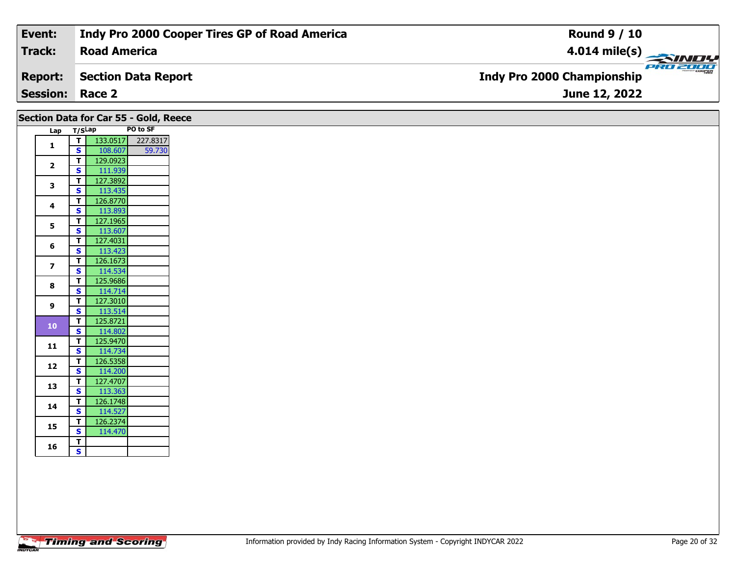| Event:                 | Indy Pro 2000 Cooper Tires GP of Road America | <b>Round 9 / 10</b>                                  |
|------------------------|-----------------------------------------------|------------------------------------------------------|
| Track:                 | <b>Road America</b>                           |                                                      |
| <b>Report:</b>         | Section Data Report                           | <b>PRO 2000</b><br><b>Indy Pro 2000 Championship</b> |
| <b>Session: Race 2</b> |                                               | June 12, 2022                                        |
|                        |                                               |                                                      |

|                         |                              |                     | Section Data for Car 55 - Gold, Reece |  |  |  |  |
|-------------------------|------------------------------|---------------------|---------------------------------------|--|--|--|--|
|                         | PO to SF<br>Lap T/SLap       |                     |                                       |  |  |  |  |
| $\mathbf{1}$            | T                            |                     | 133.0517 227.8317                     |  |  |  |  |
|                         | $\vert$ s                    | 108.607             | 59.730                                |  |  |  |  |
| $\overline{2}$          | $\mathbf{T}$                 | 129.0923            |                                       |  |  |  |  |
|                         | $\mathbf{s}$                 | 111.939             |                                       |  |  |  |  |
| $\mathbf{3}$            | $\mathbf{T}$<br>$\mathbf{s}$ | 127.3892<br>113.435 |                                       |  |  |  |  |
|                         | $\mathbf{T}$                 | 126.8770            |                                       |  |  |  |  |
| 4                       | $\mathbf{s}$                 | 113.893             |                                       |  |  |  |  |
|                         | $\mathbf{T}$                 | 127.1965            |                                       |  |  |  |  |
| 5                       | <b>S</b>                     | 113.607             |                                       |  |  |  |  |
|                         | $\mathbf{T}$                 | 127.4031            |                                       |  |  |  |  |
| 6                       | $\overline{\mathbf{s}}$      | 113.423             |                                       |  |  |  |  |
| $\overline{\mathbf{z}}$ | $\mathbf{T}$                 | 126.1673            |                                       |  |  |  |  |
|                         | $\mathbf{s}$                 | 114.534             |                                       |  |  |  |  |
| 8                       | $\mathbf{T}$                 | 125.9686            |                                       |  |  |  |  |
|                         | <b>S</b>                     | 114.714             |                                       |  |  |  |  |
| 9                       | $\mathbf{T}$                 | 127.3010            |                                       |  |  |  |  |
|                         | <b>S</b>                     | 113.514             |                                       |  |  |  |  |
| $\bf{10}$               | $\mathbf{T}$                 | 125.8721            |                                       |  |  |  |  |
|                         | $\mathbf{s}$<br>$\mathbf{T}$ | 114.802<br>125.9470 |                                       |  |  |  |  |
| 11                      | $\mathbf{s}$                 | 114.734             |                                       |  |  |  |  |
|                         | $\mathbf{T}$                 | 126.5358            |                                       |  |  |  |  |
| 12                      | $\mathbf{s}$                 | 114.200             |                                       |  |  |  |  |
|                         | $\mathbf{T}$                 | 127.4707            |                                       |  |  |  |  |
| 13                      | $\mathbf{s}$                 | 113.363             |                                       |  |  |  |  |
|                         | $\mathbf{T}$                 | 126.1748            |                                       |  |  |  |  |
| 14                      | $\mathbf{s}$                 | 114.527             |                                       |  |  |  |  |
| 15                      | $\mathbf{T}$                 | 126.2374            |                                       |  |  |  |  |
|                         | <b>S</b>                     | 114.470             |                                       |  |  |  |  |
| 16                      | T                            |                     |                                       |  |  |  |  |
|                         | $\mathbf{s}$                 |                     |                                       |  |  |  |  |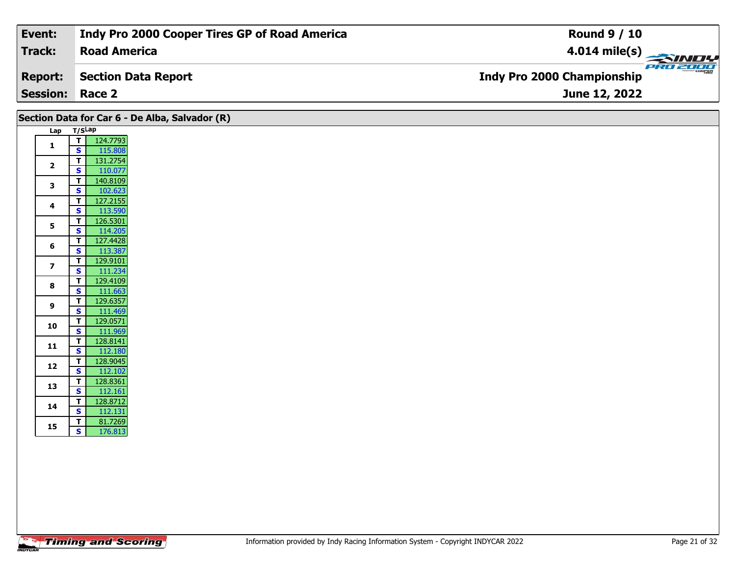| Event:                 | Indy Pro 2000 Cooper Tires GP of Road America | <b>Round 9 / 10</b>                           |
|------------------------|-----------------------------------------------|-----------------------------------------------|
| Track:                 | <b>Road America</b>                           | $4.014$ mile(s)                               |
| <b>Report:</b>         | Section Data Report                           | PRO 2000<br><b>Indy Pro 2000 Championship</b> |
| <b>Session: Race 2</b> |                                               | June 12, 2022                                 |

| Section Data for Car 6 - De Alba, Salvador (R) |                                                               |
|------------------------------------------------|---------------------------------------------------------------|
|                                                | Lap T/SLap                                                    |
| 1                                              | 124.7793<br>T                                                 |
|                                                | $\mathbf{s}$<br>115.808                                       |
| $\overline{2}$                                 | 131.2754<br>$\mathbf T$<br>110.077<br>$\mathbf{s}$            |
|                                                | 140.8109<br>T                                                 |
| 3                                              | $\overline{\mathbf{s}}$<br>102.623                            |
| 4                                              | $\mathbf T$<br>127.2155                                       |
|                                                | 113.590<br>$\mathbf{s}$                                       |
| $\overline{\mathbf{5}}$                        | 126.5301<br>$\mathbf T$                                       |
|                                                | 114.205<br><b>S</b><br>$\mathbf T$<br>127.4428                |
| 6                                              | $\mathbf{s}$<br>113.387                                       |
|                                                | 129.9101<br>T                                                 |
| $\overline{z}$                                 | $\mathbf{s}$<br>111.234                                       |
| 8                                              | 129.4109<br>$\mathbf T$                                       |
|                                                | $\mathbf{s}$<br>111.663                                       |
| 9                                              | $\mathbf T$<br>129.6357<br>S<br>111.469                       |
|                                                | 129.0571<br>$\mathbf T$                                       |
| 10                                             | $\overline{\mathbf{s}}$<br>111.969                            |
| 11                                             | 128.8141<br>$\mathbf T$                                       |
|                                                | 112.180<br>$\mathbf{s}$                                       |
| 12                                             | 128.9045<br>$\mathbf T$<br>S                                  |
|                                                | 112.102<br>$\mathbf T$<br>128.8361                            |
| 13                                             | $\overline{\mathbf{s}}$<br>112.161                            |
| 14                                             | 128.8712<br>T                                                 |
|                                                | $\overline{\mathbf{s}}$<br>112.131                            |
| 15                                             | $\mathbf{T}$<br>81.7269<br>$\overline{\mathbf{s}}$<br>176.813 |
|                                                |                                                               |
|                                                |                                                               |
|                                                |                                                               |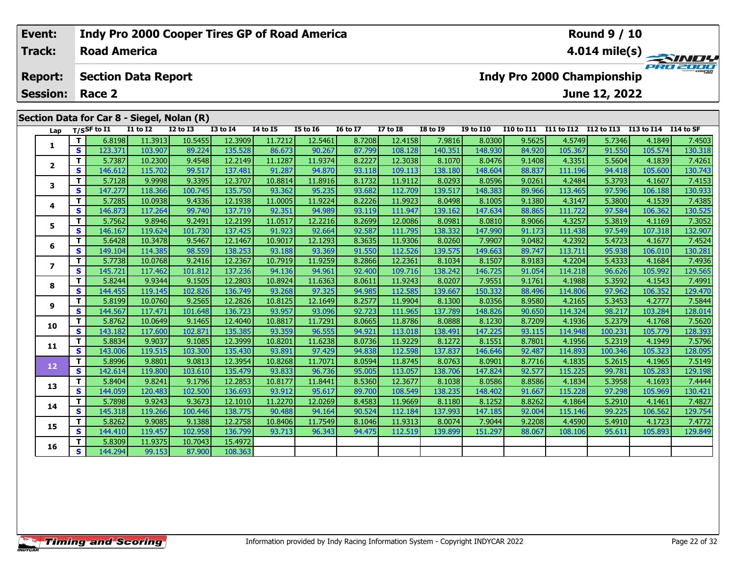### **Event: Indy Pro 2000 Cooper Tires GP of Road America Round 9 / 10Road America4.014 mile(s) Track:** PRO 2000 **Report: Section Data Report Indy Pro 2000 Championship June 12, 2022 Session: Race 2 Section Data for Car 8 - Siegel, Nolan (R) Lap T/SSF to I1 I1 to I2 I2 to I3 I3 to I4 I4 to I5 I5 to I6 I6 to I7 I7 to I8 I8 to I9 I9 to I10 I10 to I11 I11 to I12 I12 to I13 I13 to I14 I14 to SF**  1 | T | 6.8198| 11.3913| 10.5455| 12.3909| 11.7212| 12.5461| 8.7208| 12.4158| 7.9816| 8.0300| 9.5625| 4.5749| 5.7346| 4.1849| 7.4503<br>1 | S | 123.371 103.907| 89.224| 135.528| 86.673| 90.267| 87.799| 108.128| 140.351| 148.9 **1**2 | T | 5.7387 10.2300 9.4548 12.2149 11.1287 11.9374 8.2227 12.3038 8.1070 8.0476 9.1408 4.3351 5.5604 4.1839 7.4261<br>2 | S | 146.612 115.702 99.517 137.481 91.287 94.870 93.118 109.113 138.180 148.604 88.837 111.196 94.41 **2**

| Lap            |    | T/SSF to I1 | <b>I1 to I2</b> | <b>I2 to I3</b> | <b>I3 to I4</b> | <b>I4 to I5</b> | <b>I5 to 16</b> | <b>16 to 17</b> | <b>I7 to I8</b> | <b>I8 to I9</b> | <b>I9 to I10</b> | I10 to I11 I11 to I12 I12 to I13 I13 to I14 I14 to SF |         |         |         |         |
|----------------|----|-------------|-----------------|-----------------|-----------------|-----------------|-----------------|-----------------|-----------------|-----------------|------------------|-------------------------------------------------------|---------|---------|---------|---------|
|                | т  | 6.8198      | 11.3913         | 10.5455         | 12.3909         | 11.7212         | 12.5461         | 8.7208          | 12.4158         | 7.9816          | 8.0300           | 9.5625                                                | 4.5749  | 5.7346  | 4.1849  | 7.4503  |
| 1              | S. | 123.371     | 103.907         | 89.224          | 135.528         | 86.673          | 90.267          | 87.799          | 108.128         | 140.351         | 148.930          | 84.920                                                | 105.367 | 91.550  | 105.574 | 130.318 |
| $\mathbf{2}$   | т  | 5.7387      | 10.2300         | 9.4548          | 12.2149         | 11.1287         | 11.9374         | 8.2227          | 12.3038         | 8.1070          | 8.0476           | 9.1408                                                | 4.3351  | 5.5604  | 4.1839  | 7.4261  |
|                | S. | 146.612     | 115.702         | 99.517          | 137.481         | 91.287          | 94.870          | 93.118          | 109.113         | 138.180         | 148.604          | 88.837                                                | 111.196 | 94.418  | 105.600 | 130.743 |
| 3              | т  | 5.7128      | 9.9998          | 9.3395          | 12.3707         | 10.8814         | 11.8916         | 8.1732          | 11.9112         | 8.0293          | 8.0596           | 9.0261                                                | 4.2484  | 5.3793  | 4.1607  | 7.4153  |
|                | S. | 147.277     | 118.366         | 100.745         | 135.750         | 93.362          | 95.235          | 93.682          | 112.709         | 139.517         | 148.383          | 89.966                                                | 113.465 | 97.596  | 106.188 | 130.933 |
| 4              | т  | 5.7285      | 10.0938         | 9.4336          | 12.1938         | 11.0005         | 11.9224         | 8.2226          | 11.9923         | 8.0498          | 8.1005           | 9.1380                                                | 4.3147  | 5.3800  | 4.1539  | 7.4385  |
|                | S. | 146.873     | 117.264         | 99.740          | 137.719         | 92.351          | 94.989          | 93.119          | 111.947         | 139.162         | 147.634          | 88.865                                                | 111.722 | 97.584  | 106.362 | 130.525 |
| 5.             | т  | 5.7562      | 9.8946          | 9.2491          | 12.2199         | 11.0517         | 12.2216         | 8.2699          | 12.0086         | 8.0981          | 8.0810           | 8.9066                                                | 4.3257  | 5.3819  | 4.1169  | 7.3052  |
|                | S  | 146.167     | 119.624         | 101.730         | 137.425         | 91.923          | 92.664          | 92.587          | 111.795         | 138.332         | 147.990          | 91.173                                                | 111.438 | 97.549  | 107.318 | 132.907 |
| 6              | т  | 5.6428      | 10.3478         | 9.5467          | 12.1467         | 10.9017         | 12.1293         | 8.3635          | 11.9306         | 8.0260          | 7.9907           | 9.0482                                                | 4.2392  | 5.4723  | 4.1677  | 7.4524  |
|                | S. | 149.104     | 114.385         | 98.559          | 138.253         | 93.188          | 93.369          | 91.550          | 112.526         | 139.575         | 149.663          | 89.747                                                | 113.711 | 95.938  | 106.010 | 130.281 |
| $\overline{ }$ | т  | 5.7738      | 10.0768         | 9.2416          | 12.2367         | 10.7919         | 11.9259         | 8.2866          | 12.2361         | 8.1034          | 8.1507           | 8.9183                                                | 4.2204  | 5.4333  | 4.1684  | 7.4936  |
|                | S  | 145.721     | 117.462         | 101.812         | 137.236         | 94.136          | 94.961          | 92.400          | 109.716         | 138.242         | 146.725          | 91.054                                                | 114.218 | 96.626  | 105.992 | 129.565 |
| 8              | т  | 5.8244      | 9.9344          | 9.1505          | 12.2803         | 10.8924         | 11.6363         | 8.0611          | 11.9243         | 8.0207          | 7.9551           | 9.1761                                                | 4.1988  | 5.3592  | 4.1543  | 7.4991  |
|                | S. | 144.455     | 119.145         | 102.826         | 136.749         | 93.268          | 97.325          | 94.985          | 112.585         | 139.667         | 150.332          | 88.496                                                | 114.806 | 97.962  | 106.352 | 129.470 |
| 9              | т  | 5.8199      | 10.0760         | 9.2565          | 12.2826         | 10.8125         | 12.1649         | 8.2577          | 11.9904         | 8.1300          | 8.0356           | 8.9580                                                | 4.2165  | 5.3453  | 4.2777  | 7.5844  |
|                | S  | 144.567     | 117.471         | 101.648         | 136.723         | 93.957          | 93.096          | 92.723          | 111.965         | 137.789         | 148.826          | 90.650                                                | 114.324 | 98.217  | 103.284 | 128.014 |
| 10             | т  | 5.8762      | 10.0649         | 9.1465          | 12.4040         | 10.8817         | 11.7291         | 8.0665          | 11.8786         | 8.0888          | 8.1230           | 8.7209                                                | 4.1936  | 5.2379  | 4.1768  | 7.5620  |
|                | S. | 143.182     | 117.600         | 102.871         | 135.385         | 93.359          | 96.555          | 94.921          | 113.018         | 138.491         | 147.225          | 93.115                                                | 114.948 | 100.231 | 105.779 | 128.393 |
| 11             | T. | 5.8834      | 9.9037          | 9.1085          | 12.3999         | 10.8201         | 11.6238         | 8.0736          | 11.9229         | 8.1272          | 8.1551           | 8.7801                                                | 4.1956  | 5.2319  | 4.1949  | 7.5796  |
|                | S. | 143.006     | 119.515         | 103.300         | 135.430         | 93.891          | 97.429          | 94.838          | 112.598         | 137.837         | 146.646          | 92.487                                                | 114.893 | 100.346 | 105.323 | 128.095 |
| 12             | т  | 5.8996      | 9.8801          | 9.0813          | 12.3954         | 10.8268         | 11.7071         | 8.0594          | 11.8745         | 8.0763          | 8.0901           | 8.7716                                                | 4.1835  | 5.2615  | 4.1965  | 7.5149  |
|                | S. | 142.614     | 119.800         | 103.610         | 135.479         | 93.833          | 96.736          | 95.005          | 113.057         | 138.706         | 147.824          | 92.577                                                | 115.225 | 99.781  | 105.283 | 129.198 |
| 13             | Τ. | 5.8404      | 9.8241          | 9.1796          | 12.2853         | 10.8177         | 11.8441         | 8.5360          | 12.3677         | 8.1038          | 8.0586           | 8.8586                                                | 4.1834  | 5.3958  | 4.1693  | 7.4444  |
|                | S  | 144.059     | 120.483         | 102.500         | 136.693         | 93.912          | 95.617          | 89.700          | 108.549         | 138.235         | 148.402          | 91.667                                                | 115.228 | 97.298  | 105.969 | 130.421 |
| 14             | т  | 5.7898      | 9.9243          | 9.3673          | 12.1010         | 11.2270         | 12.0269         | 8.4583          | 11.9669         | 8.1180          | 8.1252           | 8.8262                                                | 4.1864  | 5.2910  | 4.1461  | 7.4827  |
|                | S. | 145.318     | 119.266         | 100.446         | 138.775         | 90.488          | 94.164          | 90.524          | 112.184         | 137.993         | 147.185          | 92.004                                                | 115.146 | 99.225  | 106.562 | 129.754 |
| 15             | T. | 5.8262      | 9.9085          | 9.1388          | 12.2758         | 10.8406         | 11.7549         | 8.1046          | 11.9313         | 8.0074          | 7.9044           | 9.2208                                                | 4.4590  | 5.4910  | 4.1723  | 7.4772  |
|                | S. | 144.410     | 119.457         | 102.958         | 136.799         | 93.713          | 96.343          | 94.475          | 112.519         | 139.899         | 151.297          | 88.067                                                | 108.106 | 95.611  | 105.893 | 129.849 |
| 16             | т  | 5.8309      | 11.9375         | 10.7043         | 15.4972         |                 |                 |                 |                 |                 |                  |                                                       |         |         |         |         |
|                | S. | 144.294     | 99.153          | 87.900          | 108.363         |                 |                 |                 |                 |                 |                  |                                                       |         |         |         |         |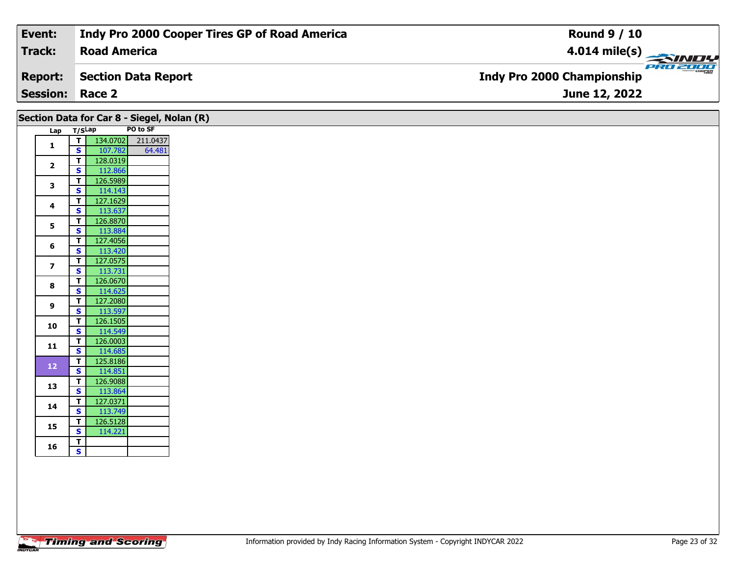| Event:                 | Indy Pro 2000 Cooper Tires GP of Road America | <b>Round 9 / 10</b>                           |
|------------------------|-----------------------------------------------|-----------------------------------------------|
| Track:                 | <b>Road America</b>                           | $4.014$ mile(s)                               |
| <b>Report:</b>         | Section Data Report                           | PRO 2000<br><b>Indy Pro 2000 Championship</b> |
| <b>Session: Race 2</b> |                                               | June 12, 2022                                 |

|                         |                              |                     | Section Data for Car 8 - Siegel, Nolan (R) |
|-------------------------|------------------------------|---------------------|--------------------------------------------|
|                         | Lap T/SLap                   |                     | PO to SF                                   |
| $\mathbf{1}$            | T                            |                     | 134.0702 211.0437                          |
|                         | $\mathbf{s}$<br>$\mathbf{T}$ | 107.782<br>128.0319 | 64.481                                     |
| $\overline{2}$          | $\overline{\mathbf{s}}$      | 112.866             |                                            |
|                         | T.                           | 126.5989            |                                            |
| $\mathbf{3}$            | $\mathbf{s}$                 | 114.143             |                                            |
| 4                       | Т                            | 127.1629            |                                            |
|                         | $\mathbf{s}$                 | 113.637             |                                            |
| $5\phantom{a}$          | $\mathbf T$                  | 126.8870            |                                            |
|                         | $\overline{\mathbf{s}}$      | 113.884             |                                            |
| 6                       | T.<br>$\mathbf{s}$           | 127.4056<br>113.420 |                                            |
|                         | $\mathbf{T}$                 | 127.0575            |                                            |
| $\overline{\mathbf{z}}$ | $\overline{\mathbf{s}}$      | 113.731             |                                            |
|                         | T                            | 126.0670            |                                            |
| 8                       | $\mathbf{s}$                 | 114.625             |                                            |
| 9                       | T                            | 127.2080            |                                            |
|                         | $\mathbf{s}$                 | 113.597             |                                            |
| 10                      | $\mathbf{T}$                 | 126.1505            |                                            |
|                         | $\overline{\mathbf{s}}$      | 114.549             |                                            |
| 11                      | $\mathbf{T}$<br>$\mathbf{s}$ | 126.0003<br>114.685 |                                            |
|                         | T                            | 125.8186            |                                            |
| 12 <sub>1</sub>         | $\mathbf{s}$                 | 114.851             |                                            |
|                         | T                            | 126.9088            |                                            |
| 13                      | $\mathbf{s}$                 | 113.864             |                                            |
| 14                      | T.                           | 127.0371            |                                            |
|                         | $\overline{\mathbf{s}}$      | 113.749             |                                            |
| 15                      | $\mathbf T$                  | 126.5128            |                                            |
|                         | $\overline{\mathbf{s}}$      | 114.221             |                                            |
| 16                      | T<br>$\overline{\mathbf{s}}$ |                     |                                            |
|                         |                              |                     |                                            |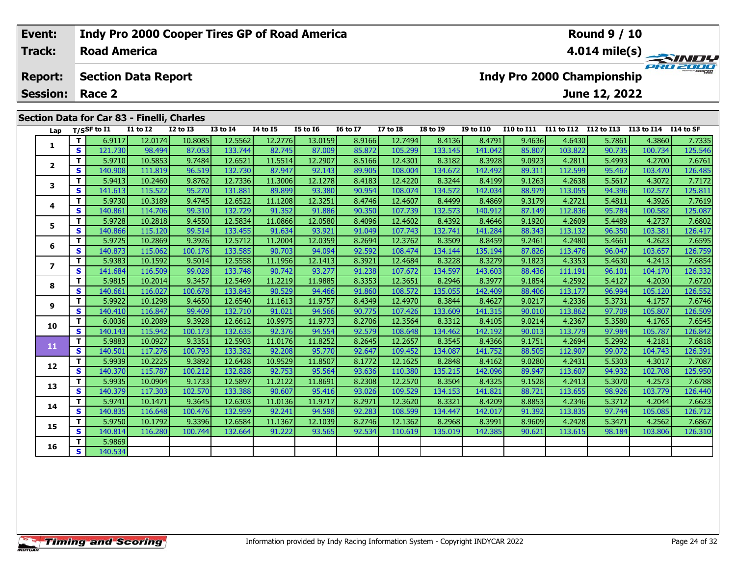| Event:<br><b>Indy Pro 2000 Cooper Tires GP of Road America</b> |            |                                            |                 |                 |              |                     |          |                                                        |                  | <b>Round 9 / 10</b>                           |                  |            |                |            |                        |            |  |
|----------------------------------------------------------------|------------|--------------------------------------------|-----------------|-----------------|--------------|---------------------|----------|--------------------------------------------------------|------------------|-----------------------------------------------|------------------|------------|----------------|------------|------------------------|------------|--|
| <b>Track:</b>                                                  |            | <b>Road America</b>                        |                 |                 |              |                     |          | 4.014 mile(s) $\overline{\phantom{a}}$<br><b>SINDY</b> |                  |                                               |                  |            |                |            |                        |            |  |
| <b>Report:</b>                                                 |            | <b>Section Data Report</b>                 |                 |                 |              |                     |          |                                                        |                  | PRO 2000<br><b>Indy Pro 2000 Championship</b> |                  |            |                |            |                        |            |  |
| <b>Session:</b>                                                |            | Race 2                                     |                 |                 |              |                     |          |                                                        | June 12, 2022    |                                               |                  |            |                |            |                        |            |  |
|                                                                |            | Section Data for Car 83 - Finelli, Charles |                 |                 |              |                     |          |                                                        |                  |                                               |                  |            |                |            |                        |            |  |
| Lap                                                            |            | $T/S$ SF to $I1$                           | <b>I1 to I2</b> | <b>I2 to I3</b> | $I3$ to $I4$ | <b>I4 to I5</b>     | I5 to I6 | <b>I6 to I7</b>                                        | <b>I7 to I8</b>  | <b>I8 to I9</b>                               | <b>I9 to I10</b> | I10 to I11 | I11 to I12     | I12 to I13 | I13 to I14             | I 14 to SF |  |
|                                                                |            | 6.9117                                     | 12.0174         | 10.8085         | 12.5562      | 12.2776             | 13.0159  | 8.9166                                                 | 12.7494          | 8.4136                                        | 8.4791           | 9.4636     | 4.6430         | 5.7861     | 4.3860                 | 7.7335     |  |
| S.                                                             |            | 121.730                                    | 98.494          | 87.053          | 133.744      | 82.745              | 87.009   | 85.872                                                 | 105.299          | 133.145                                       | 141.042          | 85.807     | 103.822        | 90.735     | 100.734                | 125.546    |  |
|                                                                | <u>т І</u> | ا ۵710 ع                                   | $10$ EQE2       | 0.749A          | 126521       | $11$ $551$ <i>A</i> | ודחסר כו | 95166                                                  | 12.4201 $\Gamma$ | 9.2192                                        | lacos a          | a napel    | $\lambda$ 2911 | г дооз Г   | $\Delta$ 2700 $\Gamma$ | 76761      |  |

| Lap                      |   | T/SSF to I1 | <b>I1 to I2</b> | <b>I2 to I3</b> | <b>I3 to I4</b> | <b>I4 to I5</b> | <b>I5 to 16</b> | <b>16 to 17</b> | <b>I7 to I8</b> | <b>I8 to I9</b> | <b>I9 to I10</b> |        |         |        | I10 to I11 I11 to I12 I12 to I13 I13 to I14 I14 to SF |         |
|--------------------------|---|-------------|-----------------|-----------------|-----------------|-----------------|-----------------|-----------------|-----------------|-----------------|------------------|--------|---------|--------|-------------------------------------------------------|---------|
| 1                        | т | 6.9117      | 12.0174         | 10.8085         | 12.5562         | 12.2776         | 13.0159         | 8.9166          | 12.7494         | 8.4136          | 8.4791           | 9.4636 | 4.6430  | 5.7861 | 4.3860                                                | 7.7335  |
|                          | s | 121.730     | 98.494          | 87.053          | 133.744         | 82.745          | 87.009          | 85.872          | 105.299         | 133.145         | 141.042          | 85.807 | 103.822 | 90.735 | 100.734                                               | 125.546 |
| $\overline{2}$           | т | 5.9710      | 10.5853         | 9.7484          | 12.6521         | 11.5514         | 12.2907         | 8.5166          | 12.4301         | 8.3182          | 8.3928           | 9.0923 | 4.2811  | 5.4993 | 4.2700                                                | 7.6761  |
|                          | S | 140.908     | 111.819         | 96.519          | 132.730         | 87.947          | 92.143          | 89.905          | 108.004         | 134.672         | 142.492          | 89.311 | 112.599 | 95.467 | 103.470                                               | 126.485 |
| 3                        | т | 5.9413      | 10.2460         | 9.8762          | 12.7336         | 11.3006         | 12.1278         | 8.4183          | 12.4220         | 8.3244          | 8.4199           | 9.1263 | 4.2638  | 5.5617 | 4.3072                                                | 7.7172  |
|                          | S | 141.613     | 115.522         | 95.270          | 131.881         | 89.899          | 93.380          | 90.954          | 108.074         | 134.572         | 142.034          | 88.979 | 113.055 | 94.396 | 102.577                                               | 125.811 |
| 4                        | Т | 5.9730      | 10.3189         | 9.4745          | 12.6522         | 11.1208         | 12.3251         | 8.4746          | 12.4607         | 8.4499          | 8.4869           | 9.3179 | 4.2721  | 5.4811 | 4.3926                                                | 7.7619  |
|                          | S | 140.861     | 114.706         | 99.310          | 132.729         | 91.352          | 91.886          | 90.350          | 107.739         | 132.573         | 140.912          | 87.149 | 112.836 | 95.784 | 100.582                                               | 125.087 |
| 5                        | т | 5.9728      | 10.2818         | 9.4550          | 12.5834         | 11.0866         | 12.0580         | 8.4096          | 12.4602         | 8.4392          | 8.4646           | 9.1920 | 4.2609  | 5.4489 | 4.2737                                                | 7.6802  |
|                          | s | 140.866     | 115.120         | 99.514          | 133.455         | 91.634          | 93.921          | 91.049          | 107.743         | 132.741         | 141.284          | 88.343 | 113.132 | 96.350 | 103.381                                               | 126.417 |
| 6                        | т | 5.9725      | 10.2869         | 9.3926          | 12.5712         | 11.2004         | 12.0359         | 8.2694          | 12.3762         | 8.3509          | 8.8459           | 9.2461 | 4.2480  | 5.4661 | 4.2623                                                | 7.6595  |
|                          | S | 140.873     | 115.062         | 100.176         | 133.585         | 90.703          | 94.094          | 92.592          | 108.474         | 134.144         | 135.194          | 87.826 | 113.476 | 96.047 | 103.657                                               | 126.759 |
| $\overline{\phantom{a}}$ | Т | 5.9383      | 10.1592         | 9.5014          | 12.5558         | 11.1956         | 12.1413         | 8.3921          | 12.4684         | 8.3228          | 8.3279           | 9.1823 | 4.3353  | 5.4630 | 4.2413                                                | 7.6854  |
|                          | S | 141.684     | 116.509         | 99.028          | 133.748         | 90.742          | 93.277          | 91.238          | 107.672         | 134.597         | 143.603          | 88.436 | 111.191 | 96.101 | 104.170                                               | 126.332 |
| 8                        | т | 5.9815      | 10.2014         | 9.3457          | 12.5469         | 11.2219         | 11.9885         | 8.3353          | 12.3651         | 8.2946          | 8.3977           | 9.1854 | 4.2592  | 5.4127 | 4.2030                                                | 7.6720  |
|                          | S | 140.661     | 116.027         | 100.678         | 133.843         | 90.529          | 94.466          | 91.860          | 108.572         | 135.055         | 142.409          | 88.406 | 113.177 | 96.994 | 105.120                                               | 126.552 |
| 9                        | Т | 5.9922      | 10.1298         | 9.4650          | 12.6540         | 11.1613         | 11.9757         | 8.4349          | 12.4970         | 8.3844          | 8.4627           | 9.0217 | 4.2336  | 5.3731 | 4.1757                                                | 7.6746  |
|                          | S | 140.410     | 116.847         | 99.409          | 132.710         | 91.021          | 94.566          | 90.775          | 107.426         | 133.609         | 141.315          | 90.010 | 113.862 | 97.709 | 105.807                                               | 126.509 |
| 10                       | т | 6.0036      | 10.2089         | 9.3928          | 12.6612         | 10.9975         | 11.9773         | 8.2706          | 12.3564         | 8.3312          | 8.4105           | 9.0214 | 4.2367  | 5.3580 | 4.1765                                                | 7.6545  |
|                          | S | 140.143     | 115.942         | 100.173         | 132.635         | 92.376          | 94.554          | 92.579          | 108.648         | 134.462         | 142.192          | 90.013 | 113.779 | 97.984 | 105.787                                               | 126.842 |
| 11                       | Т | 5.9883      | 10.0927         | 9.3351          | 12.5903         | 11.0176         | 11.8252         | 8.2645          | 12.2657         | 8.3545          | 8.4366           | 9.1751 | 4.2694  | 5.2992 | 4.2181                                                | 7.6818  |
|                          | S | 140.501     | 117.276         | 100.793         | 133.382         | 92.208          | 95.770          | 92.647          | 109.452         | 134.087         | 141.752          | 88.505 | 112.907 | 99.072 | 104.743                                               | 126.391 |
| 12                       | т | 5.9939      | 10.2225         | 9.3892          | 12.6428         | 10.9529         | 11.8507         | 8.1772          | 12.1625         | 8.2848          | 8.4162           | 9.0280 | 4.2431  | 5.5303 | 4.3017                                                | 7.7087  |
|                          | S | 140.370     | 115.787         | 100.212         | 132.828         | 92.753          | 95.564          | 93.636          | 110.380         | 135.215         | 142.096          | 89.947 | 113.607 | 94.932 | 102.708                                               | 125.950 |
| 13                       | т | 5.9935      | 10.0904         | 9.1733          | 12.5897         | 11.2122         | 11.8691         | 8.2308          | 12.2570         | 8.3504          | 8.4325           | 9.1528 | 4.2413  | 5.3070 | 4.2573                                                | 7.6788  |
|                          | S | 140.379     | 117.303         | 102.570         | 133.388         | 90.607          | 95.416          | 93.026          | 109.529         | 134.153         | 141.821          | 88.721 | 113.655 | 98.926 | 103.779                                               | 126.440 |
| 14                       |   | 5.9741      | 10.1471         | 9.3645          | 12.6303         | 11.0136         | 11.9717         | 8.2971          | 12.3620         | 8.3321          | 8.4209           | 8.8853 | 4.2346  | 5.3712 | 4.2044                                                | 7.6623  |
|                          | S | 140.835     | 116.648         | 100.476         | 132.959         | 92.241          | 94.598          | 92.283          | 108.599         | 134.447         | 142.017          | 91.392 | 113.835 | 97.744 | 105.085                                               | 126.712 |
| 15                       | т | 5.9750      | 10.1792         | 9.3396          | 12.6584         | 11.1367         | 12.1039         | 8.2746          | 12.1362         | 8.2968          | 8.3991           | 8.9609 | 4.2428  | 5.3471 | 4.2562                                                | 7.6867  |
|                          | S | 140.814     | 116.280         | 100.744         | 132.664         | 91.222          | 93.565          | 92.534          | 110.619         | 135.019         | 142.385          | 90.621 | 113.615 | 98.184 | 103.806                                               | 126.310 |
| 16                       |   | 5.9869      |                 |                 |                 |                 |                 |                 |                 |                 |                  |        |         |        |                                                       |         |
|                          | S | 140.534     |                 |                 |                 |                 |                 |                 |                 |                 |                  |        |         |        |                                                       |         |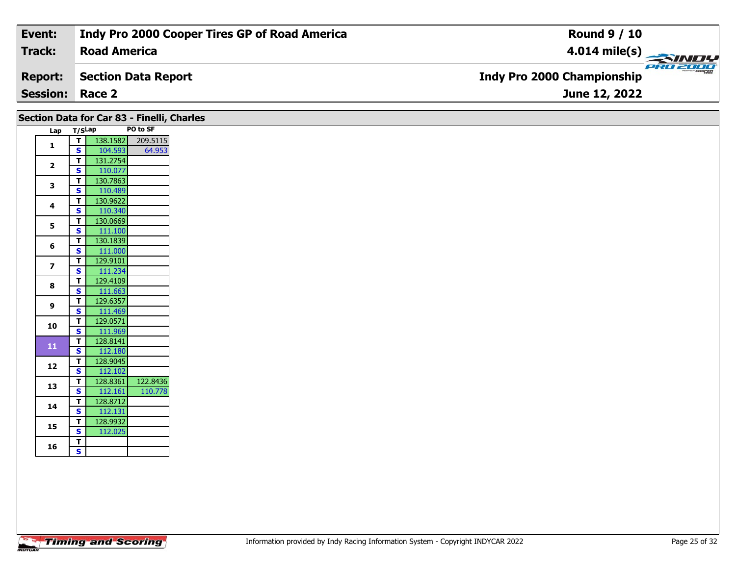| Event:                 | Indy Pro 2000 Cooper Tires GP of Road America | <b>Round 9 / 10</b>                                 |
|------------------------|-----------------------------------------------|-----------------------------------------------------|
| Track:                 | <b>Road America</b>                           | $\frac{4.014 \text{ mile(s)}}{4.014 \text{ miles}}$ |
| <b>Report:</b>         | Section Data Report                           | <b>Indy Pro 2000 Championship</b>                   |
| <b>Session: Race 2</b> |                                               | June 12, 2022                                       |

|                         |                         | Section Data for Car 83 - Finelli, Charles |          |
|-------------------------|-------------------------|--------------------------------------------|----------|
|                         | Lap T/SLap              |                                            | PO to SF |
|                         | $\overline{\mathbf{T}}$ | 138.1582                                   | 209.5115 |
| $\mathbf{1}$            | $\overline{\mathbf{s}}$ | 104.593                                    | 64.953   |
| $\mathbf{2}$            | $\mathbf T$             | 131.2754                                   |          |
|                         | S                       | 110.077                                    |          |
| 3                       | $\mathbf{T}$            | 130.7863                                   |          |
|                         | S                       | 110.489                                    |          |
| 4                       | $\mathbf{T}$            | 130.9622                                   |          |
|                         | S                       | 110.340                                    |          |
| 5                       | T                       | 130.0669                                   |          |
|                         | $\mathbf{s}$            | 111.100                                    |          |
| 6                       | $\mathbf T$             | 130.1839                                   |          |
|                         | $\mathbf{s}$            | 111.000                                    |          |
| $\overline{\mathbf{z}}$ | Т                       | 129.9101                                   |          |
|                         | <b>S</b>                | 111.234                                    |          |
| 8                       | $\mathbf T$             | 129.4109                                   |          |
|                         | <b>S</b>                | 111.663                                    |          |
| 9                       | T                       | 129.6357                                   |          |
|                         | $\mathbf{s}$            | 111.469                                    |          |
| 10                      | $\mathbf T$             | 129.0571                                   |          |
|                         | $\overline{\mathbf{s}}$ | 111.969                                    |          |
| 11                      | T                       | 128.8141                                   |          |
|                         | S                       | 112.180                                    |          |
| 12                      | $\mathbf{T}$            | 128.9045                                   |          |
|                         | S                       | 112.102                                    |          |
| 13                      | T                       | 128.8361                                   | 122.8436 |
|                         | $\overline{\mathbf{s}}$ | 112.161                                    | 110.778  |
| 14                      | T                       | 128.8712                                   |          |
|                         | $\mathbf{s}$            | 112.131                                    |          |
| 15                      | T<br>$\mathbf{s}$       | 128.9932                                   |          |
|                         |                         | 112.025                                    |          |
| 16                      | T<br>$\mathbf{s}$       |                                            |          |
|                         |                         |                                            |          |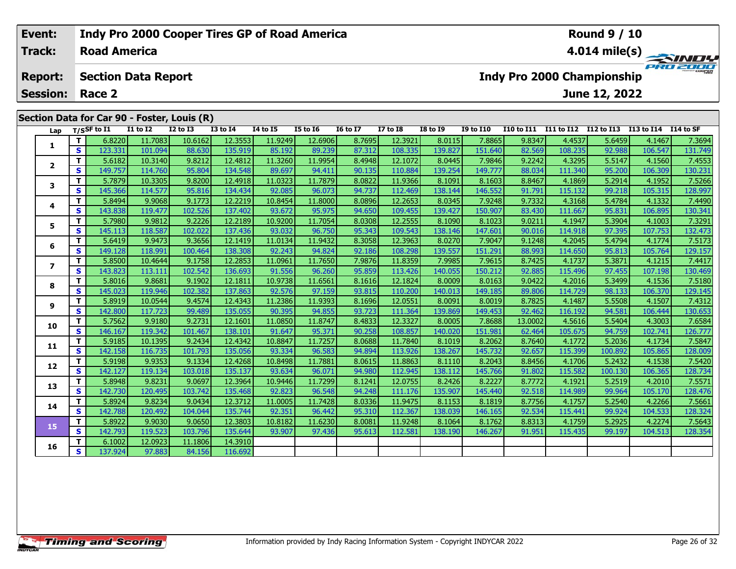#### Event: Indy Pro 2000 Cooper Tires GP of Road America **Round 9 / 10 Track: Road America** 4.014 mile(s) **PRO 200 Section Data Report Report: Indy Pro 2000 Championship** June 12, 2022 **Session: Race 2** Section Data for Car 90 - Foster, Louis (R) Lap T/SSF to I1  $\overline{11}$  to  $\overline{12}$  $\overline{12}$  to  $\overline{13}$  $\overline{13}$  to  $\overline{14}$  $\overline{14}$  to  $\overline{15}$  $\overline{15}$  to  $\overline{16}$  $\overline{16}$  to  $\overline{17}$  $\overline{17}$  to  $\overline{18}$  $18$  to  $19$ **I9 to I10** I10 to I11 I11 to I12 I12 to I13 I13 to I14 I14 to SF

|                | T. | 6.8220  | 11.7083 | 10.6162 | 12.3553 | 11.9249 | 12.6906 | 8.7695 | 12.3921 | 8.0115  | 7.8865  | 9.8347  | 4.4537  | 5.6459  | 4.1467  | 7.3694  |
|----------------|----|---------|---------|---------|---------|---------|---------|--------|---------|---------|---------|---------|---------|---------|---------|---------|
| 1              | S  | 123.331 | 101.094 | 88.630  | 135.919 | 85.192  | 89.239  | 87.312 | 108.335 | 139.827 | 151.640 | 82.569  | 108.235 | 92.988  | 106.547 | 131.749 |
| $\mathbf{2}$   | T. | 5.6182  | 10.3140 | 9.8212  | 12.4812 | 11.3260 | 11.9954 | 8.4948 | 12.1072 | 8.0445  | 7.9846  | 9.2242  | 4.3295  | 5.5147  | 4.1560  | 7.4553  |
|                | S  | 149.757 | 114.760 | 95.804  | 134.548 | 89.697  | 94.411  | 90.135 | 110.884 | 139.254 | 149.777 | 88.034  | 111.340 | 95.200  | 106.309 | 130.231 |
| 3              | T. | 5.7879  | 10.3305 | 9.8200  | 12.4918 | 11.0323 | 11.7879 | 8.0822 | 11.9366 | 8.1091  | 8.1603  | 8.8467  | 4.1869  | 5.2914  | 4.1952  | 7.5266  |
|                | S  | 145.366 | 114.577 | 95.816  | 134.434 | 92.085  | 96.073  | 94.737 | 112.469 | 138.144 | 146.552 | 91.791  | 115.132 | 99.218  | 105.315 | 128.997 |
| 4              | T. | 5.8494  | 9.9068  | 9.1773  | 12.2219 | 10.8454 | 11.8000 | 8.0896 | 12.2653 | 8.0345  | 7.9248  | 9.7332  | 4.3168  | 5.4784  | 4.1332  | 7.4490  |
|                | S  | 143.838 | 119.477 | 102.526 | 137.402 | 93.672  | 95.975  | 94.650 | 109.455 | 139.427 | 150.907 | 83.430  | 111.667 | 95.831  | 106.895 | 130.341 |
| 5              | T. | 5.7980  | 9.9812  | 9.2226  | 12.2189 | 10.9200 | 11.7054 | 8.0308 | 12.2555 | 8.1090  | 8.1023  | 9.0211  | 4.1947  | 5.3904  | 4.1003  | 7.3291  |
|                | S  | 145.113 | 118.587 | 102.022 | 137.436 | 93.032  | 96.750  | 95.343 | 109.543 | 138.146 | 147.601 | 90.016  | 114.918 | 97.395  | 107.753 | 132.473 |
| 6              | T. | 5.6419  | 9.9473  | 9.3656  | 12.1419 | 11.0134 | 11.9432 | 8.3058 | 12.3963 | 8.0270  | 7.9047  | 9.1248  | 4.2045  | 5.4794  | 4.1774  | 7.5173  |
|                | S  | 149.128 | 118.991 | 100.464 | 138.308 | 92.243  | 94.824  | 92.186 | 108.298 | 139.557 | 151.291 | 88.993  | 114.650 | 95.813  | 105.764 | 129.157 |
| $\overline{ }$ | T. | 5.8500  | 10.4644 | 9.1758  | 12.2853 | 11.0961 | 11.7650 | 7.9876 | 11.8359 | 7.9985  | 7.9615  | 8.7425  | 4.1737  | 5.3871  | 4.1215  | 7.4417  |
|                | S  | 143.823 | 113.111 | 102.542 | 136.693 | 91.556  | 96.260  | 95.859 | 113.426 | 140.055 | 150.212 | 92.885  | 115.496 | 97.455  | 107.198 | 130.469 |
| 8              | T. | 5.8016  | 9.8681  | 9.1902  | 12.1811 | 10.9738 | 11.6561 | 8.1616 | 12.1824 | 8.0009  | 8.0163  | 9.0422  | 4.2016  | 5.3499  | 4.1536  | 7.5180  |
|                | S  | 145.023 | 119.946 | 102.382 | 137.863 | 92.576  | 97.159  | 93.815 | 110.200 | 140.013 | 149.185 | 89.806  | 114.729 | 98.133  | 106.370 | 129.145 |
| 9              | T. | 5.8919  | 10.0544 | 9.4574  | 12.4343 | 11.2386 | 11.9393 | 8.1696 | 12.0551 | 8.0091  | 8.0019  | 8.7825  | 4.1487  | 5.5508  | 4.1507  | 7.4312  |
|                | S  | 142.800 | 117.723 | 99.489  | 135.055 | 90.395  | 94.855  | 93.723 | 111.364 | 139.869 | 149.453 | 92.462  | 116.192 | 94.581  | 106.444 | 130.653 |
| 10             | т  | 5.7562  | 9.9180  | 9.2731  | 12.1601 | 11.0850 | 11.8747 | 8.4833 | 12.3327 | 8.0005  | 7.8688  | 13.0002 | 4.5616  | 5.5404  | 4.3003  | 7.6584  |
|                | S  | 146.167 | 119.342 | 101.467 | 138.101 | 91.647  | 95.371  | 90.258 | 108.857 | 140.020 | 151.981 | 62.464  | 105.675 | 94.759  | 102.741 | 126.777 |
| 11             | T. | 5.9185  | 10.1395 | 9.2434  | 12.4342 | 10.8847 | 11.7257 | 8.0688 | 11.7840 | 8.1019  | 8.2062  | 8.7640  | 4.1772  | 5.2036  | 4.1734  | 7.5847  |
|                | S  | 142.158 | 116.735 | 101.793 | 135.056 | 93.334  | 96.583  | 94.894 | 113.926 | 138.267 | 145.732 | 92.657  | 115.399 | 100.892 | 105.865 | 128.009 |
| 12             | T. | 5.9198  | 9.9353  | 9.1334  | 12.4268 | 10.8498 | 11.7881 | 8.0615 | 11.8863 | 8.1110  | 8.2043  | 8.8456  | 4.1706  | 5.2432  | 4.1538  | 7.5420  |
|                | S. | 142.127 | 119.134 | 103.018 | 135.137 | 93.634  | 96.071  | 94.980 | 112.945 | 138.112 | 145.766 | 91.802  | 115.582 | 100.130 | 106.365 | 128.734 |
| 13             | T. | 5.8948  | 9.8231  | 9.0697  | 12.3964 | 10.9446 | 11.7299 | 8.1241 | 12.0755 | 8.2426  | 8.2227  | 8.7772  | 4.1921  | 5.2519  | 4.2010  | 7.5571  |
|                | S  | 142.730 | 120.495 | 103.742 | 135.468 | 92.823  | 96.548  | 94.248 | 111.176 | 135.907 | 145.440 | 92.518  | 114.989 | 99.964  | 105.170 | 128.476 |
| 14             | T. | 5.8924  | 9.8234  | 9.0434  | 12.3712 | 11.0005 | 11.7428 | 8.0336 | 11.9475 | 8.1153  | 8.1819  | 8.7756  | 4.1757  | 5.2540  | 4.2266  | 7.5661  |
|                | S  | 142.788 | 120.492 | 104.044 | 135.744 | 92.351  | 96.442  | 95.310 | 112.367 | 138.039 | 146.165 | 92.534  | 115.441 | 99.924  | 104.533 | 128.324 |
| 15             | T. | 5.8922  | 9.9030  | 9.0650  | 12.3803 | 10.8182 | 11.6230 | 8.0081 | 11.9248 | 8.1064  | 8.1762  | 8.8313  | 4.1759  | 5.2925  | 4.2274  | 7.5643  |
|                | S. | 142.793 | 119.523 | 103.796 | 135.644 | 93.907  | 97.436  | 95.613 | 112.581 | 138.190 | 146.267 | 91.951  | 115.435 | 99.197  | 104.513 | 128.354 |
| 16             | T. | 6.1002  | 12.0923 | 11.1806 | 14.3910 |         |         |        |         |         |         |         |         |         |         |         |
|                | S  | 137.924 | 97.883  | 84.156  | 116.692 |         |         |        |         |         |         |         |         |         |         |         |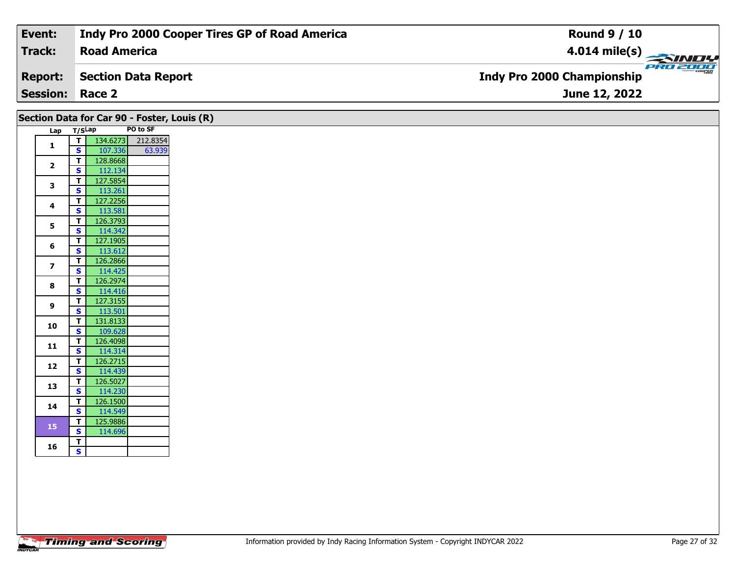| <b>Session: Race 2</b> |                                               | June 12, 2022                                 |
|------------------------|-----------------------------------------------|-----------------------------------------------|
| <b>Report:</b>         | Section Data Report                           | PRO 2000<br><b>Indy Pro 2000 Championship</b> |
| Track:                 | <b>Road America</b>                           | $4.014$ mile(s)                               |
| Event:                 | Indy Pro 2000 Cooper Tires GP of Road America | <b>Round 9 / 10</b>                           |

| PO to SF<br>Lap T/SLap<br>134.6273<br>212.8354<br>$\overline{t}$<br>$\mathbf{1}$<br>S<br>107.336<br>63.939<br>128.8668<br>$\mathbf T$<br>$\overline{\mathbf{2}}$<br>$\mathbf{s}$<br>112.134<br>127.5854<br>$\mathbf{T}$<br>3<br>$\mathbf{s}$<br>113.261<br>127.2256<br>$\mathbf T$<br>4<br>S<br>113.581<br>126.3793<br>$\mathbf T$<br>5<br>$\overline{\mathbf{s}}$<br>114.342<br>127.1905<br>T<br>6<br>113.612<br>S<br>126.2866<br>$\mathbf T$<br>$\overline{\mathbf{z}}$<br>$\mathbf{s}$<br>114.425<br>126.2974<br>$\overline{\mathbf{T}}$<br>8<br>114.416<br><b>S</b><br>127.3155<br>$\mathbf T$<br>9<br>113.501<br>$\mathbf{s}$<br>131.8133<br>$\mathbf T$<br>10<br>$\overline{\mathbf{s}}$<br>109.628<br>$\mathbf T$<br>126.4098<br>$11$<br>$\mathbf{s}$<br>114.314<br>126.2715<br>$\mathbf T$<br>12<br>S<br>114.439<br>126.5027<br>$\mathbf T$<br>13<br>$\overline{\mathbf{s}}$<br>114.230<br>126.1500<br>$\mathbf{T}$<br>14<br>114.549<br>$\mathbf{s}$<br>125.9886<br>$\mathbf{T}$<br>15<br>$\overline{\mathbf{s}}$<br>114.696<br>T<br>16<br>$\mathbf{s}$ |  |  | Section Data for Car 90 - Foster, Louis (R) |
|-----------------------------------------------------------------------------------------------------------------------------------------------------------------------------------------------------------------------------------------------------------------------------------------------------------------------------------------------------------------------------------------------------------------------------------------------------------------------------------------------------------------------------------------------------------------------------------------------------------------------------------------------------------------------------------------------------------------------------------------------------------------------------------------------------------------------------------------------------------------------------------------------------------------------------------------------------------------------------------------------------------------------------------------------------------------|--|--|---------------------------------------------|
|                                                                                                                                                                                                                                                                                                                                                                                                                                                                                                                                                                                                                                                                                                                                                                                                                                                                                                                                                                                                                                                                 |  |  |                                             |
|                                                                                                                                                                                                                                                                                                                                                                                                                                                                                                                                                                                                                                                                                                                                                                                                                                                                                                                                                                                                                                                                 |  |  |                                             |
|                                                                                                                                                                                                                                                                                                                                                                                                                                                                                                                                                                                                                                                                                                                                                                                                                                                                                                                                                                                                                                                                 |  |  |                                             |
|                                                                                                                                                                                                                                                                                                                                                                                                                                                                                                                                                                                                                                                                                                                                                                                                                                                                                                                                                                                                                                                                 |  |  |                                             |
|                                                                                                                                                                                                                                                                                                                                                                                                                                                                                                                                                                                                                                                                                                                                                                                                                                                                                                                                                                                                                                                                 |  |  |                                             |
|                                                                                                                                                                                                                                                                                                                                                                                                                                                                                                                                                                                                                                                                                                                                                                                                                                                                                                                                                                                                                                                                 |  |  |                                             |
|                                                                                                                                                                                                                                                                                                                                                                                                                                                                                                                                                                                                                                                                                                                                                                                                                                                                                                                                                                                                                                                                 |  |  |                                             |
|                                                                                                                                                                                                                                                                                                                                                                                                                                                                                                                                                                                                                                                                                                                                                                                                                                                                                                                                                                                                                                                                 |  |  |                                             |
|                                                                                                                                                                                                                                                                                                                                                                                                                                                                                                                                                                                                                                                                                                                                                                                                                                                                                                                                                                                                                                                                 |  |  |                                             |
|                                                                                                                                                                                                                                                                                                                                                                                                                                                                                                                                                                                                                                                                                                                                                                                                                                                                                                                                                                                                                                                                 |  |  |                                             |
|                                                                                                                                                                                                                                                                                                                                                                                                                                                                                                                                                                                                                                                                                                                                                                                                                                                                                                                                                                                                                                                                 |  |  |                                             |
|                                                                                                                                                                                                                                                                                                                                                                                                                                                                                                                                                                                                                                                                                                                                                                                                                                                                                                                                                                                                                                                                 |  |  |                                             |
|                                                                                                                                                                                                                                                                                                                                                                                                                                                                                                                                                                                                                                                                                                                                                                                                                                                                                                                                                                                                                                                                 |  |  |                                             |
|                                                                                                                                                                                                                                                                                                                                                                                                                                                                                                                                                                                                                                                                                                                                                                                                                                                                                                                                                                                                                                                                 |  |  |                                             |
|                                                                                                                                                                                                                                                                                                                                                                                                                                                                                                                                                                                                                                                                                                                                                                                                                                                                                                                                                                                                                                                                 |  |  |                                             |
|                                                                                                                                                                                                                                                                                                                                                                                                                                                                                                                                                                                                                                                                                                                                                                                                                                                                                                                                                                                                                                                                 |  |  |                                             |
|                                                                                                                                                                                                                                                                                                                                                                                                                                                                                                                                                                                                                                                                                                                                                                                                                                                                                                                                                                                                                                                                 |  |  |                                             |
|                                                                                                                                                                                                                                                                                                                                                                                                                                                                                                                                                                                                                                                                                                                                                                                                                                                                                                                                                                                                                                                                 |  |  |                                             |
|                                                                                                                                                                                                                                                                                                                                                                                                                                                                                                                                                                                                                                                                                                                                                                                                                                                                                                                                                                                                                                                                 |  |  |                                             |
|                                                                                                                                                                                                                                                                                                                                                                                                                                                                                                                                                                                                                                                                                                                                                                                                                                                                                                                                                                                                                                                                 |  |  |                                             |
|                                                                                                                                                                                                                                                                                                                                                                                                                                                                                                                                                                                                                                                                                                                                                                                                                                                                                                                                                                                                                                                                 |  |  |                                             |
|                                                                                                                                                                                                                                                                                                                                                                                                                                                                                                                                                                                                                                                                                                                                                                                                                                                                                                                                                                                                                                                                 |  |  |                                             |
|                                                                                                                                                                                                                                                                                                                                                                                                                                                                                                                                                                                                                                                                                                                                                                                                                                                                                                                                                                                                                                                                 |  |  |                                             |
|                                                                                                                                                                                                                                                                                                                                                                                                                                                                                                                                                                                                                                                                                                                                                                                                                                                                                                                                                                                                                                                                 |  |  |                                             |
|                                                                                                                                                                                                                                                                                                                                                                                                                                                                                                                                                                                                                                                                                                                                                                                                                                                                                                                                                                                                                                                                 |  |  |                                             |
|                                                                                                                                                                                                                                                                                                                                                                                                                                                                                                                                                                                                                                                                                                                                                                                                                                                                                                                                                                                                                                                                 |  |  |                                             |
|                                                                                                                                                                                                                                                                                                                                                                                                                                                                                                                                                                                                                                                                                                                                                                                                                                                                                                                                                                                                                                                                 |  |  |                                             |
|                                                                                                                                                                                                                                                                                                                                                                                                                                                                                                                                                                                                                                                                                                                                                                                                                                                                                                                                                                                                                                                                 |  |  |                                             |
|                                                                                                                                                                                                                                                                                                                                                                                                                                                                                                                                                                                                                                                                                                                                                                                                                                                                                                                                                                                                                                                                 |  |  |                                             |
|                                                                                                                                                                                                                                                                                                                                                                                                                                                                                                                                                                                                                                                                                                                                                                                                                                                                                                                                                                                                                                                                 |  |  |                                             |
|                                                                                                                                                                                                                                                                                                                                                                                                                                                                                                                                                                                                                                                                                                                                                                                                                                                                                                                                                                                                                                                                 |  |  |                                             |
|                                                                                                                                                                                                                                                                                                                                                                                                                                                                                                                                                                                                                                                                                                                                                                                                                                                                                                                                                                                                                                                                 |  |  |                                             |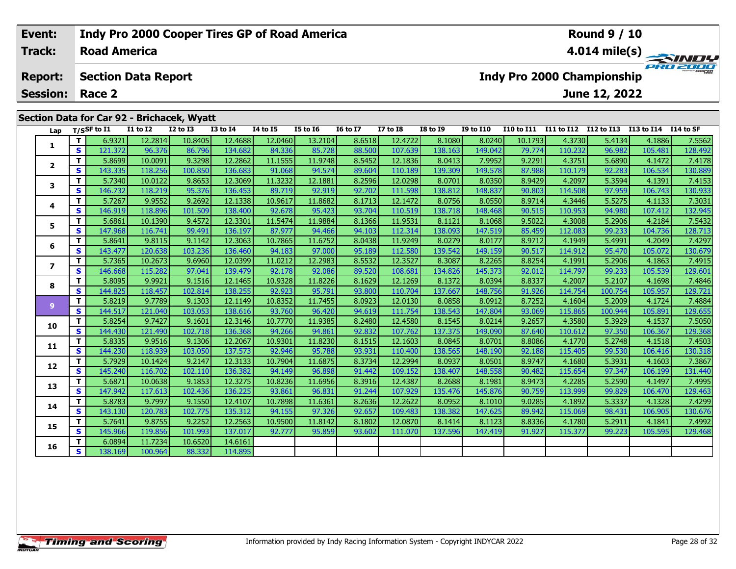| Event:          |                     |                            | <b>Indy Pro 2000 Cooper Tires GP of Road America</b> |                 |                 |          |                 |                                               |                         |                  |                 |            | <b>Round 9 / 10</b> |                      |         |  |
|-----------------|---------------------|----------------------------|------------------------------------------------------|-----------------|-----------------|----------|-----------------|-----------------------------------------------|-------------------------|------------------|-----------------|------------|---------------------|----------------------|---------|--|
| Track:          | <b>Road America</b> |                            |                                                      |                 |                 |          |                 |                                               | $4.014 \text{ mile(s)}$ |                  |                 |            |                     |                      |         |  |
| <b>Report:</b>  |                     | <b>Section Data Report</b> |                                                      |                 |                 |          |                 | PRO 2000<br><b>Indy Pro 2000 Championship</b> |                         |                  |                 |            |                     |                      |         |  |
| <b>Session:</b> | Race 2              |                            |                                                      |                 |                 |          |                 |                                               |                         |                  |                 |            | June 12, 2022       |                      |         |  |
|                 |                     |                            | Section Data for Car 92 - Brichacek, Wyatt           |                 |                 |          |                 |                                               |                         |                  |                 |            |                     |                      |         |  |
| Lap             | $T/S$ SF to I1      | I1 to I2                   | <b>I2 to I3</b>                                      | <b>I3 to I4</b> | <b>I4 to I5</b> | I5 to I6 | <b>16 to 17</b> | <b>I7 to I8</b>                               | <b>I8 to I9</b>         | <b>I9 to I10</b> | I10 to I11      | I11 to I12 | I12 to I13          | I13 to I14 I14 to SF |         |  |
|                 | 6.9321              | 12.2814                    | 10.8405                                              | 12.4688         | 12.0460         | 13.2104  | 8.6518          | 12.4722                                       | 8.1080                  | 8.0240           | 10.1793         | 4.3730     | 5.4134              | 4.1886               | 7.5562  |  |
|                 | 121.372             | 96376                      | 86 796 L                                             | 134682          | 84336           | 85 728   | 88.500L         | 107639                                        | 138163                  | 149 $042$        | 79 774 <b>1</b> | 110.232    | 96982               | 105 481              | 128 492 |  |

| Lap            |                         | T/SSF to 11 | 11 10 12 | 12 TO 13 | 13 TO 14 | 14 TO 15 | <b>12 10 10</b> | 10 10 TV | <b>17 10 18</b> | 19 10 19 | 19 TO 11U | <b>110 TO 111</b> | 111 TO 112 | 112 TO 113 | 113 TO 114 | 114 TO SF |
|----------------|-------------------------|-------------|----------|----------|----------|----------|-----------------|----------|-----------------|----------|-----------|-------------------|------------|------------|------------|-----------|
| 1              | T.                      | 6.9321      | 12.2814  | 10.8405  | 12.4688  | 12.0460  | 13.2104         | 8.6518   | 12.4722         | 8.1080   | 8.0240    | 10.1793           | 4.3730     | 5.4134     | 4.1886     | 7.5562    |
|                | S                       | 121.372     | 96.376   | 86.796   | 134.682  | 84.336   | 85.728          | 88.500   | 107.639         | 138.163  | 149.042   | 79.774            | 110.232    | 96.982     | 105.481    | 128.492   |
|                | T.                      | 5.8699      | 10.0091  | 9.3298   | 12.2862  | 11.1555  | 11.9748         | 8.5452   | 12.1836         | 8.0413   | 7.9952    | 9.2291            | 4.3751     | 5.6890     | 4.1472     | 7.4178    |
| $\overline{2}$ | S                       | 143.335     | 118.256  | 100.850  | 136.683  | 91.068   | 94.574          | 89.604   | 110.189         | 139.309  | 149.578   | 87.988            | 110.179    | 92.283     | 106.534    | 130.889   |
| 3              | T                       | 5.7340      | 10.0122  | 9.8653   | 12.3069  | 11.3232  | 12.1881         | 8.2596   | 12.0298         | 8.0701   | 8.0350    | 8.9429            | 4.2097     | 5.3594     | 4.1391     | 7.4153    |
|                | S                       | 146.732     | 118.219  | 95.376   | 136.453  | 89.719   | 92.919          | 92.702   | 111.598         | 138.812  | 148.837   | 90.803            | 114.508    | 97.959     | 106.743    | 130.933   |
| 4              | T.                      | 5.7267      | 9.9552   | 9.2692   | 12.1338  | 10.9617  | 11.8682         | 8.1713   | 12.1472         | 8.0756   | 8.0550    | 8.9714            | 4.3446     | 5.5275     | 4.1133     | 7.3031    |
|                | S                       | 146.919     | 118.896  | 101.509  | 138.400  | 92.678   | 95.423          | 93.704   | 110.519         | 138.718  | 148.468   | 90.515            | 110.953    | 94.980     | 107.412    | 132.945   |
| 5              | T                       | 5.6861      | 10.1390  | 9.4572   | 12.3301  | 11.5474  | 11.9884         | 8.1366   | 11.9531         | 8.1121   | 8.1068    | 9.5022            | 4.3008     | 5.2906     | 4.2184     | 7.5432    |
|                | S                       | 147.968     | 116.741  | 99.491   | 136.197  | 87.977   | 94.466          | 94.103   | 112.314         | 138.093  | 147.519   | 85.459            | 112.083    | 99.233     | 104.736    | 128.713   |
| 6              | T.                      | 5.8641      | 9.8115   | 9.1142   | 12.3063  | 10.7865  | 11.6752         | 8.0438   | 11.9249         | 8.0279   | 8.0177    | 8.9712            | 4.1949     | 5.4991     | 4.2049     | 7.4297    |
|                | S                       | 143.477     | 120.638  | 103.236  | 136.460  | 94.183   | 97.000          | 95.189   | 112.580         | 139.542  | 149.159   | 90.517            | 114.912    | 95.470     | 105.072    | 130.679   |
| $\overline{ }$ | T.                      | 5.7365      | 10.2673  | 9.6960   | 12.0399  | 11.0212  | 12.2983         | 8.5532   | 12.3527         | 8.3087   | 8.2265    | 8.8254            | 4.1991     | 5.2906     | 4.1863     | 7.4915    |
|                | S.                      | 146.668     | 115.282  | 97.041   | 139.479  | 92.178   | 92.086          | 89.520   | 108.681         | 134.826  | 145.373   | 92.012            | 114.797    | 99.233     | 105.539    | 129.601   |
| 8              | Т                       | 5.8095      | 9.9921   | 9.1516   | 12.1465  | 10.9328  | 11.8226         | 8.1629   | 12.1269         | 8.1372   | 8.0394    | 8.8337            | 4.2007     | 5.2107     | 4.1698     | 7.4846    |
|                | S                       | 144.825     | 118.457  | 102.814  | 138.255  | 92.923   | 95.791          | 93.800   | 110.704         | 137.667  | 148.756   | 91.926            | 114.754    | 100.754    | 105.957    | 129.721   |
| 9              | T                       | 5.8219      | 9.7789   | 9.1303   | 12.1149  | 10.8352  | 11.7455         | 8.0923   | 12.0130         | 8.0858   | 8.0912    | 8.7252            | 4.1604     | 5.2009     | 4.1724     | 7.4884    |
|                | $\mathbf{s}$            | 144.517     | 121.040  | 103.053  | 138.616  | 93.760   | 96.420          | 94.619   | 111.754         | 138.543  | 147.804   | 93.069            | 115.865    | 100.944    | 105.891    | 129.655   |
| 10             | T.                      | 5.8254      | 9.7427   | 9.1601   | 12.3146  | 10.7770  | 11.9385         | 8.2480   | 12.4580         | 8.1545   | 8.0214    | 9.2657            | 4.3580     | 5.3929     | 4.1537     | 7.5050    |
|                | $\mathbf{s}$            | 144.430     | 121.490  | 102.718  | 136.368  | 94.266   | 94.861          | 92.832   | 107.762         | 137.375  | 149.090   | 87.640            | 110.612    | 97.350     | 106.367    | 129.368   |
| 11             | T.                      | 5.8335      | 9.9516   | 9.1306   | 12.2067  | 10.9301  | 11.8230         | 8.1515   | 12.1603         | 8.0845   | 8.0701    | 8.8086            | 4.1770     | 5.2748     | 4.1518     | 7.4503    |
|                | $\overline{\mathbf{s}}$ | 144.230     | 118.939  | 103.050  | 137.573  | 92.946   | 95.788          | 93.931   | 110.400         | 138.565  | 148.190   | 92.188            | 115.405    | 99.530     | 106.416    | 130.318   |
| 12             | T                       | 5.7929      | 10.1424  | 9.2147   | 12.3133  | 10.7904  | 11.6875         | 8.3734   | 12.2994         | 8.0937   | 8.0501    | 8.9747            | 4.1680     | 5.3931     | 4.1603     | 7.3867    |
|                | $\overline{\mathbf{s}}$ | 145.240     | 116.702  | 102.110  | 136.382  | 94.149   | 96.898          | 91.442   | 109.152         | 138.407  | 148.558   | 90.482            | 115.654    | 97.347     | 106.199    | 131.440   |
| 13             | T                       | 5.6871      | 10.0638  | 9.1853   | 12.3275  | 10.8236  | 11.6956         | 8.3916   | 12.4387         | 8.2688   | 8.1981    | 8.9473            | 4.2285     | 5.2590     | 4.1497     | 7.4995    |
|                | $\mathbf{s}$            | 147.942     | 117.613  | 102.436  | 136.225  | 93.861   | 96.831          | 91.244   | 107.929         | 135.476  | 145.876   | 90.759            | 113.999    | 99.829     | 106.470    | 129.463   |
| 14             | T                       | 5.8783      | 9.7997   | 9.1550   | 12.4107  | 10.7898  | 11.6361         | 8.2636   | 12.2622         | 8.0952   | 8.1010    | 9.0285            | 4.1892     | 5.3337     | 4.1328     | 7.4299    |
|                | S                       | 143.130     | 120.783  | 102.775  | 135.312  | 94.155   | 97.326          | 92.657   | 109.483         | 138.382  | 147.625   | 89.942            | 115.069    | 98.431     | 106.905    | 130.676   |
| 15             | T.                      | 5.7641      | 9.8755   | 9.2252   | 12.2563  | 10.9500  | 11.8142         | 8.1802   | 12.0870         | 8.1414   | 8.1123    | 8.8336            | 4.1780     | 5.2911     | 4.1841     | 7.4992    |
|                | $\mathbf{s}$            | 145.966     | 119.856  | 101.993  | 137.017  | 92.777   | 95.859          | 93.602   | 111.070         | 137.596  | 147.419   | 91.927            | 115.377    | 99.223     | 105.595    | 129.468   |
| 16             | T.                      | 6.0894      | 11.7234  | 10.6520  | 14.6161  |          |                 |          |                 |          |           |                   |            |            |            |           |
|                | $\overline{\mathbf{s}}$ | 138.169     | 100.964  | 88.332   | 114.895  |          |                 |          |                 |          |           |                   |            |            |            |           |
|                |                         |             |          |          |          |          |                 |          |                 |          |           |                   |            |            |            |           |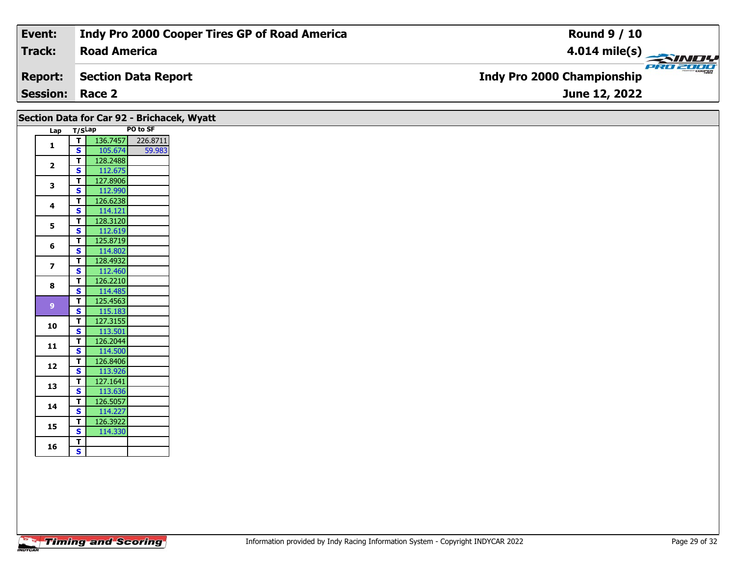| Event:                 | Indy Pro 2000 Cooper Tires GP of Road America | <b>Round 9 / 10</b>                           |
|------------------------|-----------------------------------------------|-----------------------------------------------|
| Track:                 | <b>Road America</b>                           | $4.014$ mile(s)                               |
| <b>Report:</b>         | Section Data Report                           | PRO 2000<br><b>Indy Pro 2000 Championship</b> |
| <b>Session: Race 2</b> |                                               | June 12, 2022                                 |

|                |                         | Section Data for Car 92 - Brichacek, Wyatt |          |
|----------------|-------------------------|--------------------------------------------|----------|
|                | Lap                     | T/SLap                                     | PO to SF |
| $\mathbf{1}$   | $\overline{1}$          | 136.7457                                   | 226.8711 |
|                | $\overline{\mathbf{s}}$ | 105.674                                    | 59.983   |
| $\overline{2}$ | $\mathbf{T}$<br>S       | 128.2488<br>112.675                        |          |
|                | T                       | 127.8906                                   |          |
| 3              | $\mathbf{s}$            | 112.990                                    |          |
|                | $\mathbf T$             | 126.6238                                   |          |
| 4              | $\mathbf{s}$            | 114.121                                    |          |
| 5              | T                       | 128.3120                                   |          |
|                | S                       | 112.619                                    |          |
| 6              | T.                      | 125.8719                                   |          |
|                | S                       | 114.802                                    |          |
| $\overline{ }$ | T.                      | 128.4932                                   |          |
|                | S                       | 112.460<br>126.2210                        |          |
| 8              | T<br>S                  | 114.485                                    |          |
|                | $\mathbf T$             | 125.4563                                   |          |
| 9 <sup>°</sup> | <b>S</b>                | 115.183                                    |          |
|                | T.                      | 127.3155                                   |          |
| 10             | S                       | 113.501                                    |          |
|                | $\mathbf T$             | 126.2044                                   |          |
| 11             | S                       | 114.500                                    |          |
| 12             | T.                      | 126.8406                                   |          |
|                | $\mathbf{s}$            | 113.926                                    |          |
| 13             | T.                      | 127.1641                                   |          |
|                | $\overline{\mathbf{s}}$ | 113.636                                    |          |
| 14             | T.<br>S                 | 126.5057<br>114.227                        |          |
|                | $\mathbf T$             | 126.3922                                   |          |
| 15             | $\overline{\mathbf{s}}$ | 114.330                                    |          |
|                | $\mathbf{T}$            |                                            |          |
| 16             | $\overline{\mathbf{s}}$ |                                            |          |
|                |                         |                                            |          |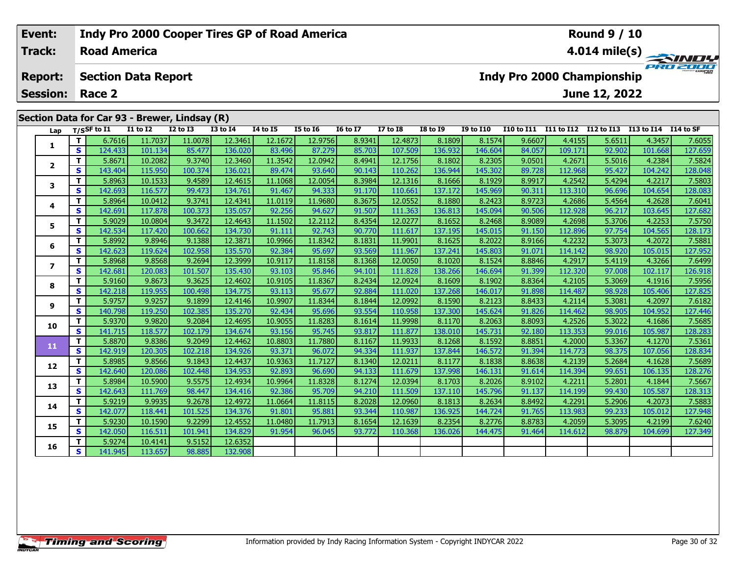#### Event: **Indy Pro 2000 Cooper Tires GP of Road America Round 9 / 10 Track: Road America** 4.014 mile(s) PRO 2001 **Report: Section Data Report Indy Pro 2000 Championship Session:** Race 2 June 12, 2022 Section Data for Car 93 - Brewer, Lindsay (R)  $\overline{I/S}$  Tf to  $\overline{I1}$  $\overline{11}$  to  $\overline{12}$  $\overline{12}$  to  $\overline{13}$  $\overline{13}$  to  $\overline{14}$  $\overline{14}$  to  $\overline{15}$ **I5 to 16 I6 to I7 I7 to I8 I8 to 19 I9 to I10** I10 to I11 I11 to I12 I12 to I13 I13 to I14 I14 to SF Lap T. 12.3461 6.7616 11.7037 11.0078 12.1672 12.9756 8.9341 12.4873 8.1809 8.1574 9.6607 4.4155 5.6511 4.3457 7.6055  $\mathbf{1}$  $\overline{\mathbf{s}}$ 124.433 101.134 85.477 136.020 83.496 87.279 85.703 107.50 136.93 146.604 84.057 109.171 92.902 101.668 127.659  $\mathbf{T}$ 5.8671 10.2082 9.3740 12.3460 11.3542 12.0942 8.4941 12.1756 8.1802 8.2305 9.0501 4.2671 5.5016 4.2384 7.5824  $\overline{2}$  $\overline{\mathbf{s}}$ 143.404 115,950 100.374 136.021 89.474 93.640 90.143 110.262 136.944 145.302 89.728 112.968 95.427 104.242 128.048

#### $\overline{\mathbf{r}}$ 5.8963 10.1533 9.4589 12.4615 11.1068 12.0054 8.3984 12.1316 8.1666 8.1929 8.9917 4.2542 5.4294 4.2217 7.5803 3 142.693 91.467 113.310 104.654 128.083  $\overline{\mathbf{s}}$ 116.577 99.473 134.761 94.333 91.170 110.66 137.172 145.969 90.311 96.696  $\overline{\mathsf{r}}$ 5.8964 10.0412 9.3741 12.4341 11.0119 11.9680 8.3675 12.0552 8.1880 8.2423 8.9723 4.2686 5.4564 4.2628 7.6041  $\overline{\mathbf{4}}$ 112.928  $\mathbf{s}$ 142.691 117.878 100.373 135.057 92.256 94.627 91.507 111.363 136.813 145.094 90.506 96.217 103.645 127.682 5.9029 10.0804 9.3472 12.4643 11.1502 12.2112 12.0277 5.3706 7.5750 T 8.4354 8.1652 8.2468 8.9089 4.2698 4.2253 5  $\overline{\mathbf{s}}$ 142.534 117.420 100.662 134.730 91.111 92.743 90.770 111.617 137.195 145.015 91.150 112.89 97.754 104.565 128.173  $\mathbf{T}$ 5.8992 9.8946 9.1388 12.3871 10.9966 11.8342 8.1831 11.9901 8.1625 8.2022 8.9166 4.2232 5.3073 4.2072 7.5881 6  $\overline{\mathbf{s}}$ 142.623 119.624 102.95 135,570 92.384 95.697 93.569 111.967 137.241 145,803 91.071 114.142 98.920 105.015 127.952 T. 5.8968 9.8568 9.2694 12.3999 10.9117 11.8158 8.1368 12.0050 8.1020 8.1524 8.8846 4.2917 5.4119 4.3266 7.6499  $\overline{z}$  $\overline{\mathbf{s}}$ 126.918 142.681 120.083 101.507 135.430 93.103 95.846 94.101 111.828 138.266 146.694 91.399 112,320 97.008 102.117 5.9160 9.8673 9.3625 12.4602 10.9105 11.8367 8.2434 12.0924 8.1609 8.1902 8.8364 4.2105 5.3069 4.1916 7.5956 T. 8 92.884  $\overline{\mathbf{s}}$ 142,218 119.955 100.498 134,775 93.113 95.677 111.020 137.268 146.017 91.898 114.487 98.928 105.406 127.825  $\overline{\mathsf{T}}$ 9.1899 10.9907 12.0992 8.1590 8.2123 5.9757 9.9257 12.4146 11.8344 8.1844 8.8433 4.2114 5.3081 4.2097 7.6182  $\mathbf{9}$ 127.446 S 140.798 119.250 102.385 135.270 92.434 95.696 93.554 110.95 137.300 145.624 91.826 114.462 98.905 104.952  $\overline{\mathsf{T}}$ 5.9370 9.9820 9.2084 12.4695 10.9055 11.8283 8.1614 11.9998 8.1170 8.2063 8.8093 4.2526 5.3022 4.1686 7.5685 10  $\overline{\mathbf{s}}$ 141.715 118.577 102.179 134.674 93.156 95.745 93.817 111.87 138.010 145.731 92.180 113.353 99.016 105.98 128.283 T. 5.8870 9.8386 9.2049 12.4462 10.8803 11.7880  $8.1167$ 11.9933 8.1268 8.1592 8.8851 4.2000 5.3367  $4.1270$ 7.5361 11  $\overline{\mathbf{s}}$ 142.919 120.305 102.218 134.926 93.371 96.072 94.334 111.937 137.844 146.572 91.394 114.773 98.375 107.056 128.834 T. 5.8985 9.8566 9.1843 12.4437 10.9363 11.7127 8.1340 12.0211 8.1177 8.1838 8.8638 4.2139 5.2684 4.1628 7.5689  $12$  $\overline{\mathbf{s}}$ 142.640 120.086 102.448 134.953 92.893 96.690 94.133 111.679 137.998 146.131 91.614 114.394 99.651 106.135 128,276  $\overline{\mathsf{r}}$ 5.8984 10.5900 9.5575 12.4934 10.9964 11.8328 8.1274 12.0394 8.1703 8.2026 8.9102  $4.2211$ 5.2801 4.1844 7.5667 13  $\overline{\mathbf{s}}$ 142.643 111.769 98.447 134.416 92.386 95.709 94.210 111.509 137.110 145.796 91.137 114.199 99.430 105.587 128.313  $\overline{\mathsf{T}}$ 5.9219 9.9935 9.2678 12.4972 11.0664 11.8115 8.2028 12.0960 8.8492 4.2291 5.2906 7.5883 8.1813 8.2634 4.2073 14  $\overline{\mathbf{s}}$ 91.801 127.948 142.077 118.441 101.525 95.881 93.344 110.987 136.925 144.724 91.765 113.983 99.233 105.012 134.376  $\overline{\mathsf{T}}$ 5.9230 10.1590 9.2299 12.4552 11.0480 11.7913 8.1654 12.1639 8.2354 8.2776 8.8783 4.2059 5.3095 4.2199 7.6240 15 S. 142.05 116.511 101.941 134.829 91.954 96.045 93.772 110.368 136.026 144.475 91.464 114.612 98.879 104.699 127.349 T. 5.9274 10.4141 9.5152 12.6352 16  $\overline{\mathbf{s}}$ 141.945 113.657 98.88 132.90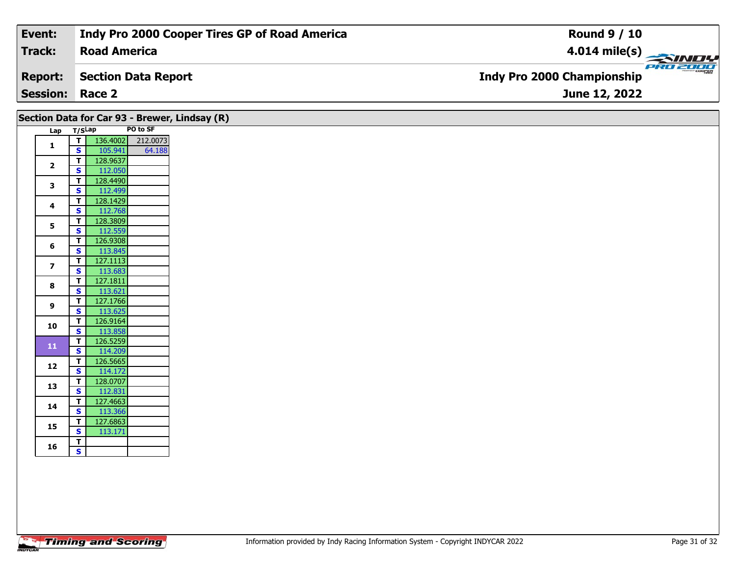| Event:                 | Indy Pro 2000 Cooper Tires GP of Road America | <b>Round 9 / 10</b>                             |
|------------------------|-----------------------------------------------|-------------------------------------------------|
| Track:                 | <b>Road America</b>                           | $\frac{4.014 \text{ mile(s)}}{2.34 \text{ Hz}}$ |
| <b>Report:</b>         | Section Data Report                           | <b>Indy Pro 2000 Championship</b>               |
| <b>Session: Race 2</b> |                                               | <b>June 12, 2022</b>                            |

|                         |        |                     | PO to SF | Section Data for Car 93 - Brewer, Lindsay (R) |
|-------------------------|--------|---------------------|----------|-----------------------------------------------|
| Lap                     | T/SLap |                     |          |                                               |
| $\mathbf{1}$            | т      | 136.4002            | 212.0073 |                                               |
|                         | S      | 105.941             | 64.188   |                                               |
| $\overline{\mathbf{2}}$ | T      | 128.9637            |          |                                               |
|                         | S      | 112.050             |          |                                               |
| 3                       | T.     | 128.4490            |          |                                               |
|                         | S<br>T | 112.499             |          |                                               |
| 4                       |        | 128.1429            |          |                                               |
|                         | s<br>T | 112.768             |          |                                               |
| 5                       | S      | 128.3809            |          |                                               |
|                         | T      | 112.559<br>126.9308 |          |                                               |
| 6                       | S      | 113.845             |          |                                               |
|                         | т      | 127.1113            |          |                                               |
| $\overline{\mathbf{z}}$ | S      | 113.683             |          |                                               |
|                         | T      | 127.1811            |          |                                               |
| 8                       | S      | 113.621             |          |                                               |
|                         | T      | 127.1766            |          |                                               |
| 9                       | S      | 113.625             |          |                                               |
|                         | T.     | 126.9164            |          |                                               |
| 10                      | S      | 113.858             |          |                                               |
| 11                      | T      | 126.5259            |          |                                               |
|                         | S      | 114.209             |          |                                               |
| 12                      | T      | 126.5665            |          |                                               |
|                         | S      | 114.172             |          |                                               |
| 13                      | T      | 128.0707            |          |                                               |
|                         | S      | 112.831             |          |                                               |
| 14                      | т      | 127.4663            |          |                                               |
|                         | S      | 113.366             |          |                                               |
| 15                      | т      | 127.6863            |          |                                               |
|                         | S      | 113.171             |          |                                               |
| 16                      | т      |                     |          |                                               |
|                         | S      |                     |          |                                               |